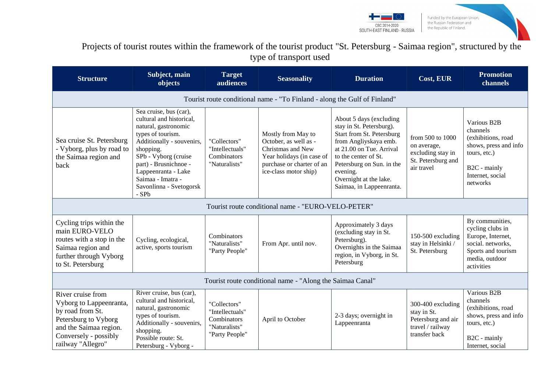



# Projects of tourist routes within the framework of the tourist product "St. Petersburg - Saimaa region", structured by the type of transport used

| <b>Structure</b>                                                                                                                                                 | Subject, main<br>objects                                                                                                                                                                                                                                                   | <b>Target</b><br>audiences                                                        | <b>Seasonality</b>                                                                                                                                  | <b>Duration</b>                                                                                                                                                                                                                                              | Cost, EUR                                                                                   | <b>Promotion</b><br>channels                                                                                                           |
|------------------------------------------------------------------------------------------------------------------------------------------------------------------|----------------------------------------------------------------------------------------------------------------------------------------------------------------------------------------------------------------------------------------------------------------------------|-----------------------------------------------------------------------------------|-----------------------------------------------------------------------------------------------------------------------------------------------------|--------------------------------------------------------------------------------------------------------------------------------------------------------------------------------------------------------------------------------------------------------------|---------------------------------------------------------------------------------------------|----------------------------------------------------------------------------------------------------------------------------------------|
|                                                                                                                                                                  |                                                                                                                                                                                                                                                                            |                                                                                   | Tourist route conditional name - "To Finland - along the Gulf of Finland"                                                                           |                                                                                                                                                                                                                                                              |                                                                                             |                                                                                                                                        |
| Sea cruise St. Petersburg<br>- Vyborg, plus by road to<br>the Saimaa region and<br>back                                                                          | Sea cruise, bus (car),<br>cultural and historical,<br>natural, gastronomic<br>types of tourism.<br>Additionally - souvenirs,<br>shopping.<br>SPb - Vyborg (cruise<br>part) - Brusnichnoe -<br>Lappeenranta - Lake<br>Saimaa - Imatra -<br>Savonlinna - Svetogorsk<br>- SPb | "Collectors"<br>"Intellectuals"<br>Combinators<br>"Naturalists"                   | Mostly from May to<br>October, as well as -<br>Christmas and New<br>Year holidays (in case of<br>purchase or charter of an<br>ice-class motor ship) | About 5 days (excluding<br>stay in St. Petersburg).<br>Start from St. Petersburg<br>from Angliyskaya emb.<br>at 21.00 on Tue. Arrival<br>to the center of St.<br>Petersburg on Sun. in the<br>evening.<br>Overnight at the lake.<br>Saimaa, in Lappeenranta. | from 500 to 1000<br>on average,<br>excluding stay in<br>St. Petersburg and<br>air travel    | Various B2B<br>channels<br>(exhibitions, road<br>shows, press and info<br>tours, etc.)<br>B2C - mainly<br>Internet, social<br>networks |
|                                                                                                                                                                  |                                                                                                                                                                                                                                                                            |                                                                                   | Tourist route conditional name - "EURO-VELO-PETER"                                                                                                  |                                                                                                                                                                                                                                                              |                                                                                             |                                                                                                                                        |
| Cycling trips within the<br>main EURO-VELO<br>routes with a stop in the<br>Saimaa region and<br>further through Vyborg<br>to St. Petersburg                      | Cycling, ecological,<br>active, sports tourism                                                                                                                                                                                                                             | Combinators<br>"Naturalists"<br>"Party People"                                    | From Apr. until nov.                                                                                                                                | Approximately 3 days<br>(excluding stay in St.<br>Petersburg).<br>Overnights in the Saimaa<br>region, in Vyborg, in St.<br>Petersburg                                                                                                                        | 150-500 excluding<br>stay in Helsinki /<br>St. Petersburg                                   | By communities,<br>cycling clubs in<br>Europe, Internet,<br>social. networks,<br>Sports and tourism<br>media, outdoor<br>activities    |
| Tourist route conditional name - "Along the Saimaa Canal"                                                                                                        |                                                                                                                                                                                                                                                                            |                                                                                   |                                                                                                                                                     |                                                                                                                                                                                                                                                              |                                                                                             |                                                                                                                                        |
| River cruise from<br>Vyborg to Lappeenranta,<br>by road from St.<br>Petersburg to Vyborg<br>and the Saimaa region.<br>Conversely - possibly<br>railway "Allegro" | River cruise, bus (car),<br>cultural and historical,<br>natural, gastronomic<br>types of tourism.<br>Additionally - souvenirs,<br>shopping.<br>Possible route: St.<br>Petersburg - Vyborg -                                                                                | "Collectors"<br>"Intellectuals"<br>Combinators<br>"Naturalists"<br>"Party People" | April to October                                                                                                                                    | 2-3 days; overnight in<br>Lappeenranta                                                                                                                                                                                                                       | 300-400 excluding<br>stay in St.<br>Petersburg and air<br>travel / railway<br>transfer back | Various B2B<br>channels<br>(exhibitions, road<br>shows, press and info<br>tours, etc.)<br>B2C - mainly<br>Internet, social             |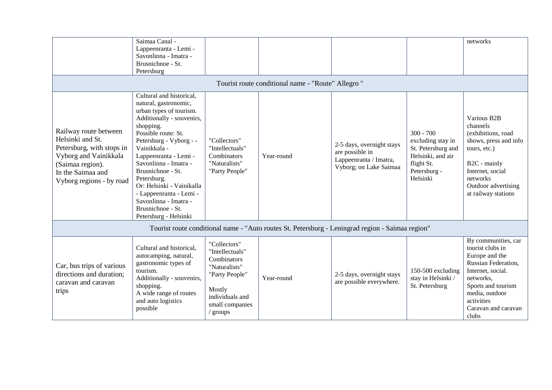|                                                                                                                                                                      | Saimaa Canal -<br>Lappeenranta - Lemi -<br>Savonlinna - Imatra -<br>Brusnichnoe - St.<br>Petersburg                                                                                                                                                                                                                                                                                                           |                                                                                                                                               |                                                    |                                                                                                  |                                                                                                                       | networks                                                                                                                                                                                                 |
|----------------------------------------------------------------------------------------------------------------------------------------------------------------------|---------------------------------------------------------------------------------------------------------------------------------------------------------------------------------------------------------------------------------------------------------------------------------------------------------------------------------------------------------------------------------------------------------------|-----------------------------------------------------------------------------------------------------------------------------------------------|----------------------------------------------------|--------------------------------------------------------------------------------------------------|-----------------------------------------------------------------------------------------------------------------------|----------------------------------------------------------------------------------------------------------------------------------------------------------------------------------------------------------|
|                                                                                                                                                                      |                                                                                                                                                                                                                                                                                                                                                                                                               |                                                                                                                                               | Tourist route conditional name - "Route" Allegro " |                                                                                                  |                                                                                                                       |                                                                                                                                                                                                          |
| Railway route between<br>Helsinki and St.<br>Petersburg, with stops in<br>Vyborg and Vainikkala<br>(Saimaa region).<br>In the Saimaa and<br>Vyborg regions - by road | Cultural and historical,<br>natural, gastronomic,<br>urban types of tourism.<br>Additionally - souvenirs,<br>shopping.<br>Possible route: St.<br>Petersburg - Vyborg - -<br>Vainikkala -<br>Lappeenranta - Lemi -<br>Savonlinna - Imatra -<br>Brusnichnoe - St.<br>Petersburg.<br>Or: Helsinki - Vainikalla<br>- Lappeenranta - Lemi -<br>Savonlinna - Imatra -<br>Brusnichnoe - St.<br>Petersburg - Helsinki | "Collectors"<br>"Intellectuals"<br>Combinators<br>"Naturalists"<br>"Party People"                                                             | Year-round                                         | 2-5 days, overnight stays<br>are possible in<br>Lappeenranta / Imatra,<br>Vyborg; on Lake Saimaa | $300 - 700$<br>excluding stay in<br>St. Petersburg and<br>Helsinki, and air<br>flight St.<br>Petersburg -<br>Helsinki | Various B2B<br>channels<br>(exhibitions, road<br>shows, press and info<br>tours, etc.)<br>B2C - mainly<br>Internet, social<br>networks<br>Outdoor advertising<br>at railway stations                     |
| Tourist route conditional name - "Auto routes St. Petersburg - Leningrad region - Saimaa region"                                                                     |                                                                                                                                                                                                                                                                                                                                                                                                               |                                                                                                                                               |                                                    |                                                                                                  |                                                                                                                       |                                                                                                                                                                                                          |
| Car, bus trips of various<br>directions and duration;<br>caravan and caravan<br>trips                                                                                | Cultural and historical,<br>autocamping, natural,<br>gastronomic types of<br>tourism.<br>Additionally - souvenirs,<br>shopping.<br>A wide range of routes<br>and auto logistics<br>possible                                                                                                                                                                                                                   | "Collectors"<br>"Intellectuals"<br>Combinators<br>"Naturalists"<br>"Party People"<br>Mostly<br>individuals and<br>small companies<br>/ groups | Year-round                                         | 2-5 days, overnight stays<br>are possible everywhere.                                            | 150-500 excluding<br>stay in Helsinki /<br>St. Petersburg                                                             | By communities, car<br>tourist clubs in<br>Europe and the<br>Russian Federation,<br>Internet, social.<br>networks,<br>Sports and tourism<br>media, outdoor<br>activities<br>Caravan and caravan<br>clubs |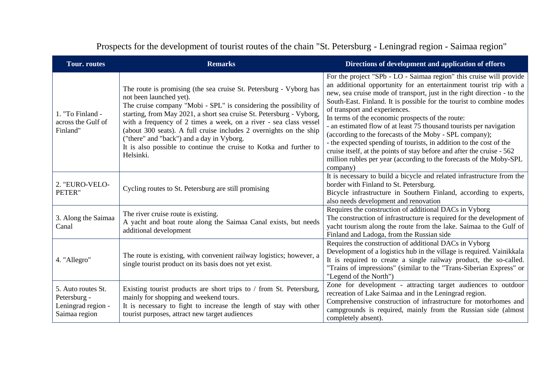| <b>Tour.</b> routes                                                       | <b>Remarks</b>                                                                                                                                                                                                                                                                                                                                                                                                                                                                                                        | Directions of development and application of efforts                                                                                                                                                                                                                                                                                                                                                                                                                                                                                                                                                                                                                                                                                                    |
|---------------------------------------------------------------------------|-----------------------------------------------------------------------------------------------------------------------------------------------------------------------------------------------------------------------------------------------------------------------------------------------------------------------------------------------------------------------------------------------------------------------------------------------------------------------------------------------------------------------|---------------------------------------------------------------------------------------------------------------------------------------------------------------------------------------------------------------------------------------------------------------------------------------------------------------------------------------------------------------------------------------------------------------------------------------------------------------------------------------------------------------------------------------------------------------------------------------------------------------------------------------------------------------------------------------------------------------------------------------------------------|
| 1. "To Finland -<br>across the Gulf of<br>Finland"                        | The route is promising (the sea cruise St. Petersburg - Vyborg has<br>not been launched yet).<br>The cruise company "Mobi - SPL" is considering the possibility of<br>starting, from May 2021, a short sea cruise St. Petersburg - Vyborg,<br>with a frequency of 2 times a week, on a river - sea class vessel<br>(about 300 seats). A full cruise includes 2 overnights on the ship<br>("there" and "back") and a day in Vyborg.<br>It is also possible to continue the cruise to Kotka and further to<br>Helsinki. | For the project "SPb - LO - Saimaa region" this cruise will provide<br>an additional opportunity for an entertainment tourist trip with a<br>new, sea cruise mode of transport, just in the right direction - to the<br>South-East. Finland. It is possible for the tourist to combine modes<br>of transport and experiences.<br>In terms of the economic prospects of the route:<br>- an estimated flow of at least 75 thousand tourists per navigation<br>(according to the forecasts of the Moby - SPL company);<br>- the expected spending of tourists, in addition to the cost of the<br>cruise itself, at the points of stay before and after the cruise - 562<br>million rubles per year (according to the forecasts of the Moby-SPL<br>company) |
| 2. "EURO-VELO-<br>PETER"                                                  | Cycling routes to St. Petersburg are still promising                                                                                                                                                                                                                                                                                                                                                                                                                                                                  | It is necessary to build a bicycle and related infrastructure from the<br>border with Finland to St. Petersburg.<br>Bicycle infrastructure in Southern Finland, according to experts,<br>also needs development and renovation                                                                                                                                                                                                                                                                                                                                                                                                                                                                                                                          |
| 3. Along the Saimaa<br>Canal                                              | The river cruise route is existing.<br>A yacht and boat route along the Saimaa Canal exists, but needs<br>additional development                                                                                                                                                                                                                                                                                                                                                                                      | Requires the construction of additional DACs in Vyborg<br>The construction of infrastructure is required for the development of<br>yacht tourism along the route from the lake. Saimaa to the Gulf of<br>Finland and Ladoga, from the Russian side                                                                                                                                                                                                                                                                                                                                                                                                                                                                                                      |
| 4. "Allegro"                                                              | The route is existing, with convenient railway logistics; however, a<br>single tourist product on its basis does not yet exist.                                                                                                                                                                                                                                                                                                                                                                                       | Requires the construction of additional DACs in Vyborg<br>Development of a logistics hub in the village is required. Vainikkala<br>It is required to create a single railway product, the so-called.<br>"Trains of impressions" (similar to the "Trans-Siberian Express" or<br>"Legend of the North")                                                                                                                                                                                                                                                                                                                                                                                                                                                   |
| 5. Auto routes St.<br>Petersburg -<br>Leningrad region -<br>Saimaa region | Existing tourist products are short trips to / from St. Petersburg,<br>mainly for shopping and weekend tours.<br>It is necessary to fight to increase the length of stay with other<br>tourist purposes, attract new target audiences                                                                                                                                                                                                                                                                                 | Zone for development - attracting target audiences to outdoor<br>recreation of Lake Saimaa and in the Leningrad region.<br>Comprehensive construction of infrastructure for motorhomes and<br>campgrounds is required, mainly from the Russian side (almost<br>completely absent).                                                                                                                                                                                                                                                                                                                                                                                                                                                                      |

Prospects for the development of tourist routes of the chain "St. Petersburg - Leningrad region - Saimaa region"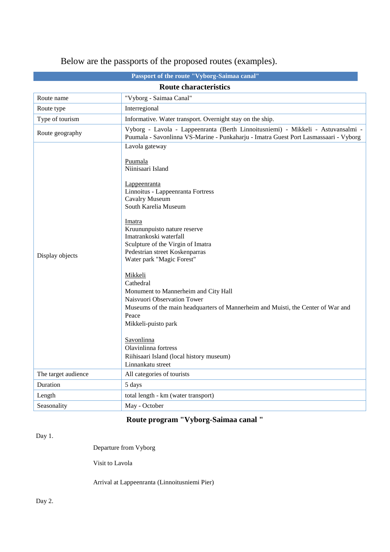|                              | Passport of the route "Vyborg-Saimaa canal"                                                                                                                                                                                                                                                                                                                                                                                                                                                                                                                                                                                                            |  |  |
|------------------------------|--------------------------------------------------------------------------------------------------------------------------------------------------------------------------------------------------------------------------------------------------------------------------------------------------------------------------------------------------------------------------------------------------------------------------------------------------------------------------------------------------------------------------------------------------------------------------------------------------------------------------------------------------------|--|--|
| <b>Route characteristics</b> |                                                                                                                                                                                                                                                                                                                                                                                                                                                                                                                                                                                                                                                        |  |  |
| Route name                   | "Vyborg - Saimaa Canal"                                                                                                                                                                                                                                                                                                                                                                                                                                                                                                                                                                                                                                |  |  |
| Route type                   | Interregional                                                                                                                                                                                                                                                                                                                                                                                                                                                                                                                                                                                                                                          |  |  |
| Type of tourism              | Informative. Water transport. Overnight stay on the ship.                                                                                                                                                                                                                                                                                                                                                                                                                                                                                                                                                                                              |  |  |
| Route geography              | Vyborg - Lavola - Lappeenranta (Berth Linnoitusniemi) - Mikkeli - Astuvansalmi -<br>Puumala - Savonlinna VS-Marine - Punkaharju - Imatra Guest Port Lasmassaari - Vyborg                                                                                                                                                                                                                                                                                                                                                                                                                                                                               |  |  |
| Display objects              | Lavola gateway<br>Puumala<br>Niinisaari Island<br>Lappeenranta<br>Linnoitus - Lappeenranta Fortress<br>Cavalry Museum<br>South Karelia Museum<br>Imatra<br>Kruununpuisto nature reserve<br>Imatrankoski waterfall<br>Sculpture of the Virgin of Imatra<br>Pedestrian street Koskenparras<br>Water park "Magic Forest"<br><u>Mikkeli</u><br>Cathedral<br>Monument to Mannerheim and City Hall<br>Naisvuori Observation Tower<br>Museums of the main headquarters of Mannerheim and Muisti, the Center of War and<br>Peace<br>Mikkeli-puisto park<br>Savonlinna<br>Olavinlinna fortress<br>Riihisaari Island (local history museum)<br>Linnankatu street |  |  |
| The target audience          | All categories of tourists                                                                                                                                                                                                                                                                                                                                                                                                                                                                                                                                                                                                                             |  |  |
| Duration                     | 5 days                                                                                                                                                                                                                                                                                                                                                                                                                                                                                                                                                                                                                                                 |  |  |
| Length                       | total length - km (water transport)                                                                                                                                                                                                                                                                                                                                                                                                                                                                                                                                                                                                                    |  |  |
| Seasonality                  | May - October                                                                                                                                                                                                                                                                                                                                                                                                                                                                                                                                                                                                                                          |  |  |

# Below are the passports of the proposed routes (examples).

# **Route program "Vyborg-Saimaa canal "**

Day 1.

Departure from Vyborg

Visit to Lavola

Arrival at Lappeenranta (Linnoitusniemi Pier)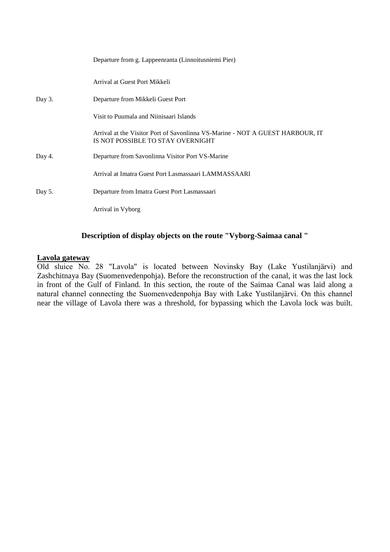|        | Departure from g. Lappeenranta (Linnoitusniemi Pier)                                                               |
|--------|--------------------------------------------------------------------------------------------------------------------|
|        | Arrival at Guest Port Mikkeli                                                                                      |
| Day 3. | Departure from Mikkeli Guest Port                                                                                  |
|        | Visit to Puumala and Niinisaari Islands                                                                            |
|        | Arrival at the Visitor Port of Savonlinna VS-Marine - NOT A GUEST HARBOUR, IT<br>IS NOT POSSIBLE TO STAY OVERNIGHT |
| Day 4. | Departure from Savonlinna Visitor Port VS-Marine                                                                   |
|        | Arrival at Imatra Guest Port Lasmassaari LAMMASSAARI                                                               |
| Day 5. | Departure from Imatra Guest Port Lasmassaari                                                                       |
|        | Arrival in Vyborg                                                                                                  |

# **Description of display objects on the route "Vyborg-Saimaa canal "**

# **Lavola gateway**

Old sluice No. 28 "Lavola" is located between Novinsky Bay (Lake Yustilanjärvi) and Zashchitnaya Bay (Suomenvedenpohja). Before the reconstruction of the canal, it was the last lock in front of the Gulf of Finland. In this section, the route of the Saimaa Canal was laid along a natural channel connecting the Suomenvedenpohja Bay with Lake Yustilanjärvi. On this channel near the village of Lavola there was a threshold, for bypassing which the Lavola lock was built.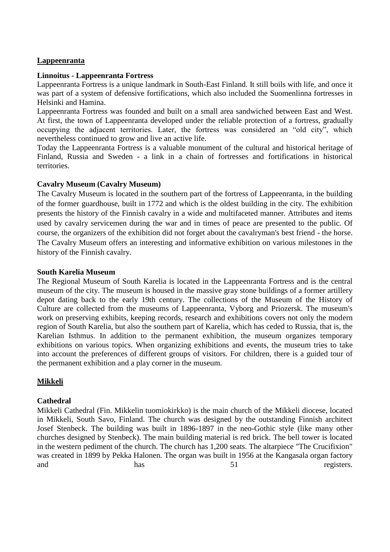# **Lappeenranta**

## **Linnoitus - Lappeenranta Fortress**

Lappeenranta Fortress is a unique landmark in South-East Finland. It still boils with life, and once it was part of a system of defensive fortifications, which also included the Suomenlinna fortresses in Helsinki and Hamina.

Lappeenranta Fortress was founded and built on a small area sandwiched between East and West. At first, the town of Lappeenranta developed under the reliable protection of a fortress, gradually occupying the adjacent territories. Later, the fortress was considered an "old city", which nevertheless continued to grow and live an active life.

Today the Lappeenranta Fortress is a valuable monument of the cultural and historical heritage of Finland, Russia and Sweden - a link in a chain of fortresses and fortifications in historical territories.

## **Cavalry Museum (Cavalry Museum)**

The Cavalry Museum is located in the southern part of the fortress of Lappeenranta, in the building of the former guardhouse, built in 1772 and which is the oldest building in the city. The exhibition presents the history of the Finnish cavalry in a wide and multifaceted manner. Attributes and items used by cavalry servicemen during the war and in times of peace are presented to the public. Of course, the organizers of the exhibition did not forget about the cavalryman's best friend - the horse. The Cavalry Museum offers an interesting and informative exhibition on various milestones in the history of the Finnish cavalry.

## **South Karelia Museum**

The Regional Museum of South Karelia is located in the Lappeenranta Fortress and is the central museum of the city. The museum is housed in the massive gray stone buildings of a former artillery depot dating back to the early 19th century. The collections of the Museum of the History of Culture are collected from the museums of Lappeenranta, Vyborg and Priozersk. The museum's work on preserving exhibits, keeping records, research and exhibitions covers not only the modern region of South Karelia, but also the southern part of Karelia, which has ceded to Russia, that is, the Karelian Isthmus. In addition to the permanent exhibition, the museum organizes temporary exhibitions on various topics. When organizing exhibitions and events, the museum tries to take into account the preferences of different groups of visitors. For children, there is a guided tour of the permanent exhibition and a play corner in the museum.

## **Mikkeli**

## **Cathedral**

Mikkeli Cathedral (Fin. Mikkelin tuomiokirkko) is the main church of the Mikkeli diocese, located in Mikkeli, South Savo, Finland. The church was designed by the outstanding Finnish architect Josef Stenbeck. The building was built in 1896-1897 in the neo-Gothic style (like many other churches designed by Stenbeck). The main building material is red brick. The bell tower is located in the western pediment of the church. The church has 1,200 seats. The altarpiece "The Crucifixion" was created in 1899 by Pekka Halonen. The organ was built in 1956 at the Kangasala organ factory and has has 51 registers.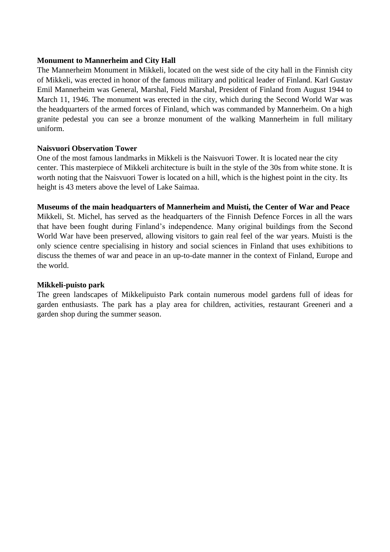## **Monument to Mannerheim and City Hall**

The Mannerheim Monument in Mikkeli, located on the west side of the city hall in the Finnish city of Mikkeli, was erected in honor of the famous military and political leader of Finland. Karl Gustav Emil Mannerheim was General, Marshal, Field Marshal, President of Finland from August 1944 to March 11, 1946. The monument was erected in the city, which during the Second World War was the headquarters of the armed forces of Finland, which was commanded by Mannerheim. On a high granite pedestal you can see a bronze monument of the walking Mannerheim in full military uniform.

# **Naisvuori Observation Tower**

One of the most famous landmarks in Mikkeli is the Naisvuori Tower. It is located near the city center. This masterpiece of Mikkeli architecture is built in the style of the 30s from white stone. It is worth noting that the Naisvuori Tower is located on a hill, which is the highest point in the city. Its height is 43 meters above the level of Lake Saimaa.

**Museums of the main headquarters of Mannerheim and Muisti, the Center of War and Peace** Mikkeli, St. Michel, has served as the headquarters of the Finnish Defence Forces in all the wars that have been fought during Finland's independence. Many original buildings from the Second World War have been preserved, allowing visitors to gain real feel of the war years. Muisti is the only science centre specialising in history and social sciences in Finland that uses exhibitions to discuss the themes of war and peace in an up-to-date manner in the context of Finland, Europe and the world.

## **Mikkeli-puisto park**

The green landscapes of Mikkelipuisto Park contain numerous model gardens full of ideas for garden enthusiasts. The park has a play area for children, activities, restaurant Greeneri and a garden shop during the summer season.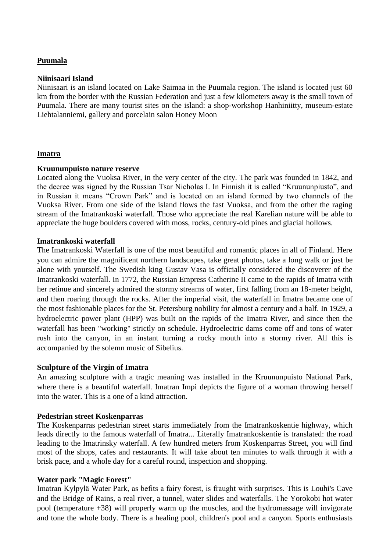# **Puumala**

#### **Niinisaari Island**

Niinisaari is an island located on Lake Saimaa in the Puumala region. The island is located just 60 km from the border with the Russian Federation and just a few kilometers away is the small town of Puumala. There are many tourist sites on the island: a shop-workshop [Hanhiniitty,](http://www.goosemeadow.fi/) museum-estate [Liehtalanniemi,](http://www.puumala.fi/russia/russia.htm) gallery and porcelain salon Honey Moon

## **Imatra**

#### **Kruununpuisto nature reserve**

Located along the Vuoksa River, in the very center of the city. The park was founded in 1842, and the decree was signed by the Russian Tsar Nicholas I. In Finnish it is called "Kruununpiusto", and in Russian it means "Crown Park" and is located on an island formed by two channels of the Vuoksa River. From one side of the island flows the fast Vuoksa, and from the other the raging stream of the Imatrankoski waterfall. Those who appreciate the real Karelian nature will be able to appreciate the huge boulders covered with moss, rocks, century-old pines and glacial hollows.

#### **Imatrankoski waterfall**

The Imatrankoski Waterfall is one of the most beautiful and romantic places in all of Finland. Here you can admire the magnificent northern landscapes, take great photos, take a long walk or just be alone with yourself. The Swedish king Gustav Vasa is officially considered the discoverer of the Imatrankoski waterfall. In 1772, the Russian Empress Catherine II came to the rapids of Imatra with her retinue and sincerely admired the stormy streams of water, first falling from an 18-meter height, and then roaring through the rocks. After the imperial visit, the waterfall in Imatra became one of the most fashionable places for the St. Petersburg nobility for almost a century and a half. In 1929, a hydroelectric power plant (HPP) was built on the rapids of the Imatra River, and since then the waterfall has been "working" strictly on schedule. Hydroelectric dams come off and tons of water rush into the canyon, in an instant turning a rocky mouth into a stormy river. All this is accompanied by the solemn music of Sibelius.

#### **Sculpture of the Virgin of Imatra**

An amazing sculpture with a tragic meaning was installed in the Kruununpuisto National Park, where there is a beautiful waterfall. Imatran Impi depicts the figure of a woman throwing herself into the water. This is a one of a kind attraction.

#### **Pedestrian street Koskenparras**

The Koskenparras pedestrian street starts immediately from the Imatrankoskentie highway, which leads directly to the famous [waterfall of Imatra.](http://ru.esosedi.org/FI/13/1000172991/vodopad_imatrankoski/).. Literally Imatrankoskentie is translated: the road leading to the Imatrinsky waterfall. A few hundred meters from Koskenparras Street, you will find most of the shops, cafes and restaurants. It will take about ten minutes to walk through it with a brisk pace, and a whole day for a careful round, inspection and shopping.

#### **Water park "Magic Forest"**

Imatran Kylpylä Water Park, as befits a fairy forest, is fraught with surprises. This is Louhi's Cave and the Bridge of Rains, a real river, a tunnel, water slides and waterfalls. The Yorokobi hot water pool (temperature +38) will properly warm up the muscles, and the hydromassage will invigorate and tone the whole body. There is a healing pool, children's pool and a canyon. Sports enthusiasts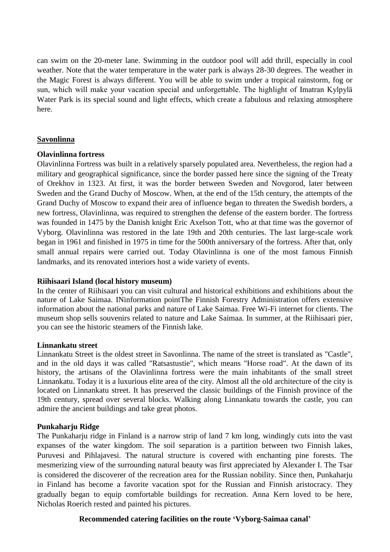can swim on the 20-meter lane. Swimming in the outdoor pool will add thrill, especially in cool weather. Note that the water temperature in the water park is always 28-30 degrees. The weather in the Magic Forest is always different. You will be able to swim under a tropical rainstorm, fog or sun, which will make your vacation special and unforgettable. The highlight of Imatran Kylpylä Water Park is its special sound and light effects, which create a fabulous and relaxing atmosphere here.

# **Savonlinna**

## **Olavinlinna fortress**

Olavinlinna Fortress was built in a relatively sparsely populated area. Nevertheless, the region had a military and geographical significance, since the border passed here since the signing of the Treaty of Orekhov in 1323. At first, it was the border between Sweden and Novgorod, later between Sweden and the Grand Duchy of Moscow. When, at the end of the 15th century, the attempts of the Grand Duchy of Moscow to expand their area of influence began to threaten the Swedish borders, a new fortress, Olavinlinna, was required to strengthen the defense of the eastern border. The fortress was founded in 1475 by the Danish knight Eric Axelson Tott, who at that time was the governor of Vyborg. Olavinlinna was restored in the late 19th and 20th centuries. The last large-scale work began in 1961 and finished in 1975 in time for the 500th anniversary of the fortress. After that, only small annual repairs were carried out. Today Olavinlinna is one of the most famous Finnish landmarks, and its renovated interiors host a wide variety of events.

## **Riihisaari Island (local history museum)**

In the center of Riihisaari you can visit cultural and historical exhibitions and exhibitions about the nature of Lake Saimaa. I[Ninformation pointT](http://visitsavonlinna.fi/ru/)he Finnish Forestry Administration offers extensive information about the national parks and nature of Lake Saimaa. Free Wi-Fi internet for clients. The museum shop sells souvenirs related to nature and Lake Saimaa. In summer, at the Riihisaari pier, you can see the historic steamers of the Finnish lake.

## **Linnankatu street**

Linnankatu Street is the oldest street in Savonlinna. The name of the street is translated as "Castle", and in the old days it was called "Ratsastustie", which means "Horse road". At the dawn of its history, the artisans of the Olavinlinna fortress were the main inhabitants of the small street Linnankatu. Today it is a luxurious elite area of the city. Almost all the old architecture of the city is located on Linnankatu street. It has preserved the classic buildings of the Finnish province of the 19th century, spread over several blocks. Walking along Linnankatu towards the castle, you can admire the ancient buildings and take great photos.

## **Punkaharju Ridge**

The Punkaharju ridge in Finland is a narrow strip of land 7 km long, windingly cuts into the vast expanses of the water kingdom. The soil separation is a partition between two Finnish lakes, Puruvesi and Pihlajavesi. The natural structure is covered with enchanting pine forests. The mesmerizing view of the surrounding natural beauty was first appreciated by Alexander I. The Tsar is considered the discoverer of the recreation area for the Russian nobility. Since then, Punkaharju in Finland has become a favorite vacation spot for the Russian and Finnish aristocracy. They gradually began to equip comfortable buildings for recreation. Anna Kern loved to be here, Nicholas Roerich rested and painted his pictures.

## **Recommended catering facilities on the route 'Vyborg-Saimaa canal'**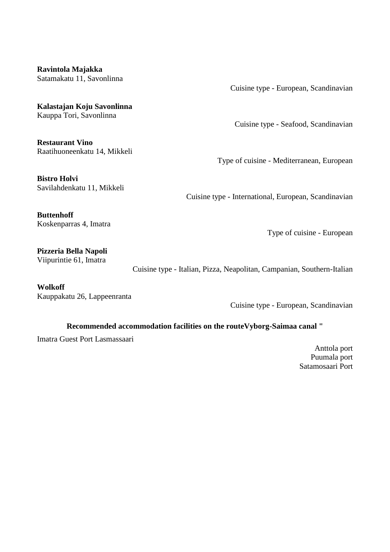**Ravintola Majakka** [Satamakatu 11, Savonlinna](https://www.tripadvisor.ru/Restaurant_Review-g189911-d1204012-Reviews-Ravintola_Majakka-Savonlinna_Southern_Savonia.html#MAPVIEW)

**Kalastajan Koju Savonlinna** [Kauppa Tori, Savonlinna](https://www.tripadvisor.ru/Restaurant_Review-g189911-d2351638-Reviews-Kalastajan_Koju_Savonlinna-Savonlinna_Southern_Savonia.html#MAPVIEW) 

**Restaurant Vino** [Raatihuoneenkatu 14, Mikkeli](https://www.tripadvisor.ru/Restaurant_Review-g189909-d10508101-Reviews-Restaurant_Vino-Mikkeli_Southern_Savonia.html#MAPVIEW)

**Bistro Holvi** [Savilahdenkatu 11, Mikkeli](https://www.tripadvisor.ru/Restaurant_Review-g189909-d14101418-Reviews-Bistro_Holvi-Mikkeli_Southern_Savonia.html#MAPVIEW) Cuisine type - European, Scandinavian

Cuisine type - Seafood, Scandinavian

Type of cuisine - Mediterranean, European

Cuisine type - International, European, Scandinavian

**Buttenhoff** [Koskenparras 4, Imatra](https://www.tripadvisor.ru/Restaurant_Review-g226905-d3846781-Reviews-Buttenhoff-Imatra_South_Karelia.html#MAPVIEW)

Type of cuisine - European

**Pizzeria Bella Napoli** [Viipurintie 61, Imatra](https://www.tripadvisor.ru/Restaurant_Review-g226905-d10400227-Reviews-Pizzeria_Bella_Napoli-Imatra_South_Karelia.html#MAPVIEW)

Cuisine type - Italian, Pizza, Neapolitan, Campanian, Southern-Italian

**Wolkoff** [Kauppakatu 26, Lappeenranta](https://www.tripadvisor.ru/Restaurant_Review-g227603-d739462-Reviews-Wolkoff-Lappeenranta_South_Karelia.html#MAPVIEW)

Cuisine type - European, Scandinavian

## **Recommended accommodation facilities on the routeVyborg-Saimaa canal "**

Imatra Guest Port Lasmassaari

Anttola port Puumala port Satamosaari Port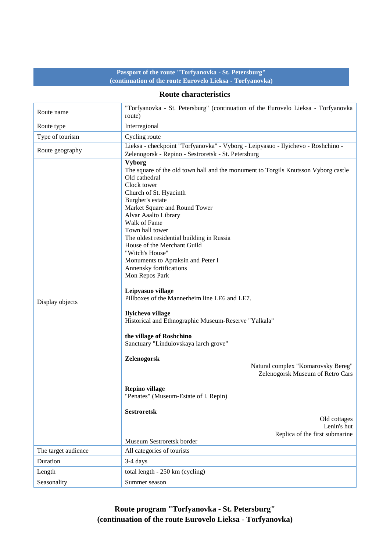# **Passport of the route "Torfyanovka - St. Petersburg" (continuation of the route Eurovelo Lieksa - Torfyanovka)**

#### **Route characteristics**

| Route name          | "Torfyanovka - St. Petersburg" (continuation of the Eurovelo Lieksa - Torfyanovka<br>route)                                                                                                                                                                                                                                                                                                                                                                                                                                                                                                                                                                                                                                                                                                                                                                                                                                                                           |
|---------------------|-----------------------------------------------------------------------------------------------------------------------------------------------------------------------------------------------------------------------------------------------------------------------------------------------------------------------------------------------------------------------------------------------------------------------------------------------------------------------------------------------------------------------------------------------------------------------------------------------------------------------------------------------------------------------------------------------------------------------------------------------------------------------------------------------------------------------------------------------------------------------------------------------------------------------------------------------------------------------|
| Route type          | Interregional                                                                                                                                                                                                                                                                                                                                                                                                                                                                                                                                                                                                                                                                                                                                                                                                                                                                                                                                                         |
| Type of tourism     | Cycling route                                                                                                                                                                                                                                                                                                                                                                                                                                                                                                                                                                                                                                                                                                                                                                                                                                                                                                                                                         |
| Route geography     | Lieksa - checkpoint "Torfyanovka" - Vyborg - Leipyasuo - Ilyichevo - Roshchino -<br>Zelenogorsk - Repino - Sestroretsk - St. Petersburg                                                                                                                                                                                                                                                                                                                                                                                                                                                                                                                                                                                                                                                                                                                                                                                                                               |
| Display objects     | <b>Vyborg</b><br>The square of the old town hall and the monument to Torgils Knutsson Vyborg castle<br>Old cathedral<br>Clock tower<br>Church of St. Hyacinth<br>Burgher's estate<br>Market Square and Round Tower<br>Alvar Aaalto Library<br>Walk of Fame<br>Town hall tower<br>The oldest residential building in Russia<br>House of the Merchant Guild<br>"Witch's House"<br>Monuments to Apraksin and Peter I<br>Annensky fortifications<br>Mon Repos Park<br>Leipyasuo village<br>Pillboxes of the Mannerheim line LE6 and LE7.<br>Ilyichevo village<br>Historical and Ethnographic Museum-Reserve "Yalkala"<br>the village of Roshchino<br>Sanctuary "Lindulovskaya larch grove"<br>Zelenogorsk<br>Natural complex "Komarovsky Bereg"<br>Zelenogorsk Museum of Retro Cars<br><b>Repino village</b><br>"Penates" (Museum-Estate of I. Repin)<br><b>Sestroretsk</b><br>Old cottages<br>Lenin's hut<br>Replica of the first submarine<br>Museum Sestroretsk border |
| The target audience | All categories of tourists                                                                                                                                                                                                                                                                                                                                                                                                                                                                                                                                                                                                                                                                                                                                                                                                                                                                                                                                            |
| Duration            | 3-4 days                                                                                                                                                                                                                                                                                                                                                                                                                                                                                                                                                                                                                                                                                                                                                                                                                                                                                                                                                              |
| Length              | total length - 250 km (cycling)                                                                                                                                                                                                                                                                                                                                                                                                                                                                                                                                                                                                                                                                                                                                                                                                                                                                                                                                       |
| Seasonality         | Summer season                                                                                                                                                                                                                                                                                                                                                                                                                                                                                                                                                                                                                                                                                                                                                                                                                                                                                                                                                         |

**Route program "Torfyanovka - St. Petersburg" (continuation of the route Eurovelo Lieksa - Torfyanovka)**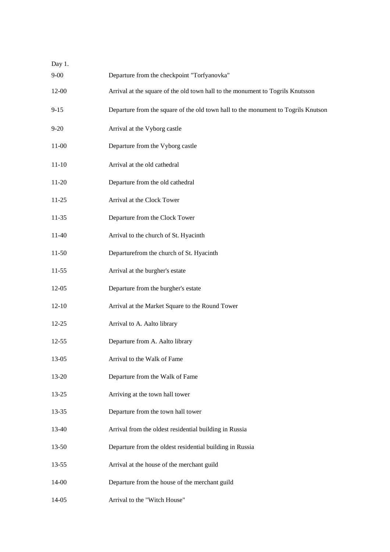| Day 1.    |                                                                                   |
|-----------|-----------------------------------------------------------------------------------|
| $9 - 00$  | Departure from the checkpoint "Torfyanovka"                                       |
| $12 - 00$ | Arrival at the square of the old town hall to the monument to Togrils Knutsson    |
| $9 - 15$  | Departure from the square of the old town hall to the monument to Togrils Knutson |
| $9 - 20$  | Arrival at the Vyborg castle                                                      |
| $11-00$   | Departure from the Vyborg castle                                                  |
| $11 - 10$ | Arrival at the old cathedral                                                      |
| 11-20     | Departure from the old cathedral                                                  |
| $11 - 25$ | Arrival at the Clock Tower                                                        |
| $11 - 35$ | Departure from the Clock Tower                                                    |
| 11-40     | Arrival to the church of St. Hyacinth                                             |
| $11-50$   | Departurefrom the church of St. Hyacinth                                          |
| $11-55$   | Arrival at the burgher's estate                                                   |
| 12-05     | Departure from the burgher's estate                                               |
| $12 - 10$ | Arrival at the Market Square to the Round Tower                                   |
| $12 - 25$ | Arrival to A. Aalto library                                                       |
| 12-55     | Departure from A. Aalto library                                                   |
| 13-05     | Arrival to the Walk of Fame                                                       |
| 13-20     | Departure from the Walk of Fame                                                   |
| $13 - 25$ | Arriving at the town hall tower                                                   |
| 13-35     | Departure from the town hall tower                                                |
| 13-40     | Arrival from the oldest residential building in Russia                            |
| 13-50     | Departure from the oldest residential building in Russia                          |
| $13 - 55$ | Arrival at the house of the merchant guild                                        |
| 14-00     | Departure from the house of the merchant guild                                    |
| 14-05     | Arrival to the "Witch House"                                                      |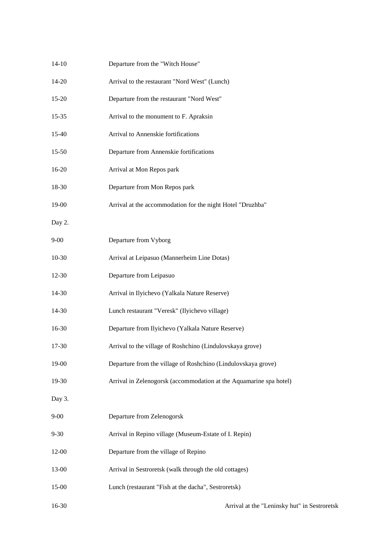| $14 - 10$ | Departure from the "Witch House"                                   |
|-----------|--------------------------------------------------------------------|
| $14-20$   | Arrival to the restaurant "Nord West" (Lunch)                      |
| 15-20     | Departure from the restaurant "Nord West"                          |
| $15 - 35$ | Arrival to the monument to F. Apraksin                             |
| 15-40     | Arrival to Annenskie fortifications                                |
| 15-50     | Departure from Annenskie fortifications                            |
| 16-20     | Arrival at Mon Repos park                                          |
| 18-30     | Departure from Mon Repos park                                      |
| 19-00     | Arrival at the accommodation for the night Hotel "Druzhba"         |
| Day 2.    |                                                                    |
| $9 - 00$  | Departure from Vyborg                                              |
| $10-30$   | Arrival at Leipasuo (Mannerheim Line Dotas)                        |
| 12-30     | Departure from Leipasuo                                            |
| 14-30     | Arrival in Ilyichevo (Yalkala Nature Reserve)                      |
| 14-30     | Lunch restaurant "Veresk" (Ilyichevo village)                      |
| 16-30     | Departure from Ilyichevo (Yalkala Nature Reserve)                  |
| 17-30     | Arrival to the village of Roshchino (Lindulovskaya grove)          |
| 19-00     | Departure from the village of Roshchino (Lindulovskaya grove)      |
| 19-30     | Arrival in Zelenogorsk (accommodation at the Aquamarine spa hotel) |
| Day 3.    |                                                                    |
| $9 - 00$  | Departure from Zelenogorsk                                         |
| $9 - 30$  | Arrival in Repino village (Museum-Estate of I. Repin)              |
| 12-00     | Departure from the village of Repino                               |
| 13-00     | Arrival in Sestroretsk (walk through the old cottages)             |
| 15-00     | Lunch (restaurant "Fish at the dacha", Sestroretsk)                |
| 16-30     | Arrival at the "Leninsky hut" in Sestroretsk                       |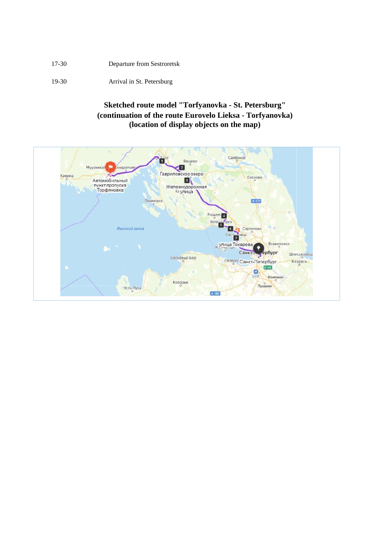17-30 Departure from Sestroretsk

19-30 Arrival in St. Petersburg

# **Sketched route model "Torfyanovka - St. Petersburg" (continuation of the route Eurovelo Lieksa - Torfyanovka) (location of display objects on the map)**

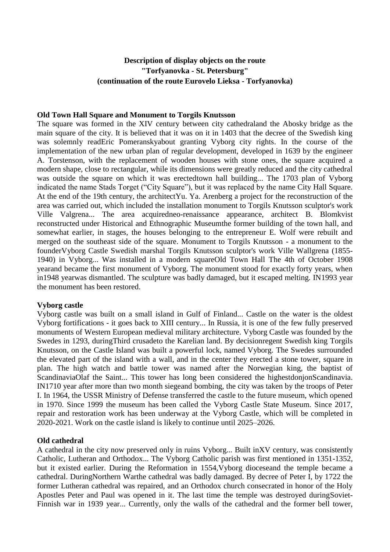# **Description of display objects on the route "Torfyanovka - St. Petersburg" (continuation of the route Eurovelo Lieksa - Torfyanovka)**

#### **Old Town Hall Square and Monument to Torgils Knutsson**

The square was formed in the XIV century between [city cathedrala](https://ru.wikipedia.org/wiki/%D0%A1%D1%82%D0%B0%D1%80%D1%8B%D0%B9_%D0%BA%D0%B0%D1%84%D0%B5%D0%B4%D1%80%D0%B0%D0%BB%D1%8C%D0%BD%D1%8B%D0%B9_%D1%81%D0%BE%D0%B1%D0%BE%D1%80_(%D0%92%D1%8B%D0%B1%D0%BE%D1%80%D0%B3))nd the Abosky bridge as the main square of the city. It is believed that it was on it in 1403 that the decree of the Swedish king was solemnly rea[dEric Pomeranskya](https://ru.wikipedia.org/wiki/%D0%AD%D1%80%D0%B8%D0%BA_%D0%9F%D0%BE%D0%BC%D0%B5%D1%80%D0%B0%D0%BD%D1%81%D0%BA%D0%B8%D0%B9)bout granting Vyborg city rights. In the course of the implementation of the new urban plan of regular development, developed in 1639 by the engineer A. Torstenson, with the replacement of wooden houses with stone ones, the square acquired a modern shape, close to rectangular, while its dimensions were greatly reduced and the city cathedral was outside the square on which it was erecte[dtown hall building.](https://ru.wikipedia.org/wiki/%D0%92%D1%8B%D0%B1%D0%BE%D1%80%D0%B3%D1%81%D0%BA%D0%B0%D1%8F_%D1%80%D0%B0%D1%82%D1%83%D1%88%D0%B0).. The 1703 plan of Vyborg indicated the name Stads Torget ("City Square"), but it was replaced by the name City Hall Square. At the end of the 19th century, the architec[tYu. Ya. Arenberg](https://ru.wikipedia.org/wiki/%D0%90%D1%80%D0%B5%D0%BD%D0%B1%D0%B5%D1%80%D0%B3,_%D0%AE%D1%85%D0%B0%D0%BD_%D0%AF%D0%BA%D0%BE%D0%B1) a project for the reconstruction of the area was carried out, which included the installation [monument to Torgils Knutsson](https://ru.wikipedia.org/wiki/%D0%9F%D0%B0%D0%BC%D1%8F%D1%82%D0%BD%D0%B8%D0%BA_%D0%A2%D0%BE%D1%80%D0%B3%D0%B8%D0%BB%D1%8C%D1%81%D1%83_%D0%9A%D0%BD%D1%83%D1%82%D1%81%D1%81%D0%BE%D0%BD%D1%83) sculptor's work [Ville Valgrena.](https://ru.wikipedia.org/wiki/%D0%92%D0%B0%D0%BB%D1%8C%D0%B3%D1%80%D0%B5%D0%BD,_%D0%92%D0%B8%D0%BB%D0%BB%D0%B5).. The area acquire[dneo-renaissance](https://ru.wikipedia.org/wiki/%D0%9D%D0%B5%D0%BE%D1%80%D0%B5%D0%BD%D0%B5%D1%81%D1%81%D0%B0%D0%BD%D1%81) appearance, architect [B. Blomkvist](https://ru.wikipedia.org/wiki/%D0%91%D0%BB%D0%BE%D0%BC%D0%BA%D0%B2%D0%B8%D1%81%D1%82,_%D0%99%D0%BE%D1%85%D0%B0%D0%BD_%D0%91%D1%80%D1%8E%D0%BD%D0%BE%D0%BB%D1%8C%D1%84) reconstructed under [Historical and Ethnographic Museumt](https://fi.wikipedia.org/wiki/Viipurin_historiallinen_museo)he former building of the town hall, and somewhat earlier, in stages, the houses belonging to the entrepreneur E. Wolf were rebuilt and merged on the southeast side of the square. Monument to Torgils Knutsson - a monument to the founde[rVyborg Castle](https://ru.wikipedia.org/wiki/%D0%92%D1%8B%D0%B1%D0%BE%D1%80%D0%B3%D1%81%D0%BA%D0%B8%D0%B9_%D0%B7%D0%B0%D0%BC%D0%BE%D0%BA) Swedish marshal [Torgils Knutsson](https://ru.wikipedia.org/wiki/%D0%A2%D0%BE%D1%80%D0%B3%D0%B8%D0%BB%D1%8C%D1%81_%D0%9A%D0%BD%D1%83%D1%82%D1%81%D1%81%D0%BE%D0%BD) sculptor's work [Ville Wallgrena](https://ru.wikipedia.org/wiki/%D0%92%D0%B0%D0%BB%D0%BB%D1%8C%D0%B3%D1%80%D0%B5%D0%BD,_%D0%92%D0%B8%D0%BB%D0%BB%D0%B5) [\(1855-](https://ru.wikipedia.org/wiki/1855) [1940\)](https://ru.wikipedia.org/wiki/1940) in [Vyborg.](https://ru.wikipedia.org/wiki/%D0%92%D1%8B%D0%B1%D0%BE%D1%80%D0%B3).. Was installed in a modern squar[eOld Town Hall](https://ru.wikipedia.org/wiki/%D0%92%D1%8B%D0%B1%D0%BE%D1%80%D0%B3%D1%81%D0%BA%D0%B0%D1%8F_%D1%80%D0%B0%D1%82%D1%83%D1%88%D0%B0) [The 4th of October](https://ru.wikipedia.org/wiki/4_%D0%BE%D0%BA%D1%82%D1%8F%D0%B1%D1%80%D1%8F) [1908](https://ru.wikipedia.org/wiki/1908_%D0%B3%D0%BE%D0%B4)  [yeara](https://ru.wikipedia.org/wiki/1908_%D0%B3%D0%BE%D0%B4)nd became the first monument of Vyborg. The monument stood for exactly forty years, when i[n1948 yearw](https://ru.wikipedia.org/wiki/1948_%D0%B3%D0%BE%D0%B4)as dismantled. The sculpture was badly damaged, but it escaped melting. I[N1993 year](https://ru.wikipedia.org/wiki/1993_%D0%B3%D0%BE%D0%B4) the monument has been restored.

#### **Vyborg castle**

Vyborg castle was built on a small [island](https://ru.wikipedia.org/wiki/%D0%97%D0%B0%D0%BC%D0%BA%D0%BE%D0%B2%D1%8B%D0%B9_(%D0%BE%D1%81%D1%82%D1%80%D0%BE%D0%B2,_%D0%92%D1%8B%D0%B1%D0%BE%D1%80%D0%B3)) in [Gulf of Finland.](https://ru.wikipedia.org/wiki/%D0%A4%D0%B8%D0%BD%D1%81%D0%BA%D0%B8%D0%B9_%D0%B7%D0%B0%D0%BB%D0%B8%D0%B2).. [Castle on the water](https://ru.wikipedia.org/wiki/%D0%97%D0%B0%D0%BC%D0%BE%D0%BA_%D0%BD%D0%B0_%D0%B2%D0%BE%D0%B4%D0%B5) is the oldest [Vyborg](https://ru.wikipedia.org/wiki/%D0%92%D1%8B%D0%B1%D0%BE%D1%80%D0%B3) fortifications - it goes back to [XIII century.](https://ru.wikipedia.org/wiki/XIII_%D0%B2%D0%B5%D0%BA).. In Russia, it is one of the few fully preserved monuments of Western European medieval military architecture. Vyborg Castle was founded by the Swedes in 1293, durin[gThird crusadet](https://ru.wikipedia.org/wiki/%D0%A2%D1%80%D0%B5%D1%82%D0%B8%D0%B9_%D1%88%D0%B2%D0%B5%D0%B4%D1%81%D0%BA%D0%B8%D0%B9_%D0%BA%D1%80%D0%B5%D1%81%D1%82%D0%BE%D0%B2%D1%8B%D0%B9_%D0%BF%D0%BE%D1%85%D0%BE%D0%B4)o the Karelian land. By decisio[nregent](https://ru.wikipedia.org/wiki/%D0%A0%D0%B5%D0%B3%D0%B5%D0%BD%D1%82) [Swedish king](https://ru.wikipedia.org/wiki/%D0%91%D0%B8%D1%80%D0%B3%D0%B5%D1%80_%D0%9C%D0%B0%D0%B3%D0%BD%D1%83%D1%81%D1%81%D0%BE%D0%BD_(%D0%BA%D0%BE%D1%80%D0%BE%D0%BB%D1%8C_%D0%A8%D0%B2%D0%B5%D1%86%D0%B8%D0%B8)) [Torgils](https://ru.wikipedia.org/wiki/%D0%A2%D0%BE%D1%80%D0%B3%D0%B8%D0%BB%D1%8C%D1%81_%D0%9A%D0%BD%D1%83%D1%82%D1%81%D1%81%D0%BE%D0%BD)  [Knutsson,](https://ru.wikipedia.org/wiki/%D0%A2%D0%BE%D1%80%D0%B3%D0%B8%D0%BB%D1%8C%D1%81_%D0%9A%D0%BD%D1%83%D1%82%D1%81%D1%81%D0%BE%D0%BD) on the Castle Island was built a powerful [lock,](https://ru.wikipedia.org/wiki/%D0%97%D0%B0%D0%BC%D0%BE%D0%BA_(%D1%81%D1%82%D1%80%D0%BE%D0%B5%D0%BD%D0%B8%D0%B5)) named Vyborg. The Swedes surrounded the elevated part of the island with a wall, and in the center they erected a stone tower, square in plan. The high watch and battle tower was named after the Norwegian king, the baptist of Scandinavi[aOlaf the Saint.](https://ru.wikipedia.org/wiki/%D0%9E%D0%BB%D0%B0%D1%84_II).. This tower has long been considered the highestdonionScandinavia. I[N1710](https://ru.wikipedia.org/wiki/1710_%D0%B3%D0%BE%D0%B4) year after more than [two month siegea](https://ru.wikipedia.org/wiki/%D0%9E%D1%81%D0%B0%D0%B4%D0%B0_%D0%92%D1%8B%D0%B1%D0%BE%D1%80%D0%B3%D0%B0_(1710))nd bombing, the city was taken by the troops of Peter I. In 1964, the USSR Ministry of Defense transferred the castle to the future museum, which opened in 1970. Since 1999 the museum has been called the Vyborg Castle State Museum. Since 2017, repair and restoration work has been underway at the Vyborg Castle, which will be completed in 2020-2021. Work on the castle island is likely to continue until 2025–2026.

## **Old cathedral**

A cathedral in the city now preserved only in ruins [Vyborg.](https://ru.wikipedia.org/wiki/%D0%92%D1%8B%D0%B1%D0%BE%D1%80%D0%B3).. Built i[nXV century,](https://ru.wikipedia.org/wiki/XV_%D0%B2%D0%B5%D0%BA) was consistently [Catholic,](https://ru.wikipedia.org/wiki/%D0%9A%D0%B0%D1%82%D0%BE%D0%BB%D0%B8%D1%87%D0%B5%D1%81%D1%82%D0%B2%D0%BE) [Lutheran](https://ru.wikipedia.org/wiki/%D0%9B%D1%8E%D1%82%D0%B5%D1%80%D0%B0%D0%BD%D1%81%D1%82%D0%B2%D0%BE) and [Orthodox.](https://ru.wikipedia.org/wiki/%D0%9F%D1%80%D0%B0%D0%B2%D0%BE%D1%81%D0%BB%D0%B0%D0%B2%D0%B8%D0%B5).. The Vyborg Catholic parish was first mentioned in 1351-1352, but it existed earlier. During the Reformation in 1554[,Vyborg diocesea](https://ru.wikipedia.org/wiki/%D0%92%D1%8B%D0%B1%D0%BE%D1%80%D0%B3%D1%81%D0%BA%D0%B0%D1%8F_%D0%B5%D0%BF%D0%B0%D1%80%D1%85%D0%B8%D1%8F_(%D0%BB%D1%8E%D1%82%D0%B5%D1%80%D0%B0%D0%BD%D1%81%D0%BA%D0%B0%D1%8F))nd the temple became a cathedral. Durin[gNorthern Wart](https://ru.wikipedia.org/wiki/%D0%A1%D0%B5%D0%B2%D0%B5%D1%80%D0%BD%D0%B0%D1%8F_%D0%B2%D0%BE%D0%B9%D0%BD%D0%B0)he cathedral was badly damaged. By decree of Peter I, by 1722 the former Lutheran cathedral was repaired, and an Orthodox church consecrated in honor of the Holy Apostles Peter and Paul was opened in it. The last time the temple was destroyed durin[gSoviet-](https://ru.wikipedia.org/wiki/%D0%A1%D0%BE%D0%B2%D0%B5%D1%82%D1%81%D0%BA%D0%BE-%D1%84%D0%B8%D0%BD%D1%81%D0%BA%D0%B8%D0%B5_%D0%B2%D0%BE%D0%B9%D0%BD%D1%8B)[Finnish war](https://ru.wikipedia.org/wiki/%D0%A1%D0%BE%D0%B2%D0%B5%D1%82%D1%81%D0%BA%D0%BE-%D1%84%D0%B8%D0%BD%D1%81%D0%BA%D0%B8%D0%B5_%D0%B2%D0%BE%D0%B9%D0%BD%D1%8B) in [1939 year.](https://ru.wikipedia.org/wiki/1939_%D0%B3%D0%BE%D0%B4).. Currently, only the walls of the cathedral and the former bell tower,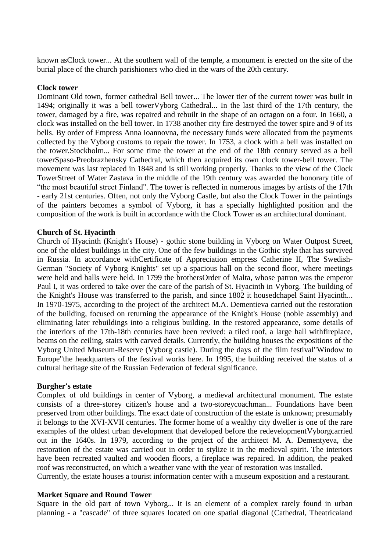known a[sClock tower.](https://ru.wikipedia.org/wiki/%D0%A7%D0%B0%D1%81%D0%BE%D0%B2%D0%B0%D1%8F_%D0%B1%D0%B0%D1%88%D0%BD%D1%8F_(%D0%92%D1%8B%D0%B1%D0%BE%D1%80%D0%B3)).. At the southern wall of the temple, a monument is erected on the site of the burial place of the church parishioners who died in the wars of the 20th century.

#### **Clock tower**

Dominant [Old town,](https://ru.wikipedia.org/wiki/%D0%A1%D1%82%D0%B0%D1%80%D1%8B%D0%B9_%D0%B3%D0%BE%D1%80%D0%BE%D0%B4_(%D0%92%D1%8B%D0%B1%D0%BE%D1%80%D0%B3)) former cathedral [Bell tower.](https://ru.wikipedia.org/wiki/%D0%9A%D0%BE%D0%BB%D0%BE%D0%BA%D0%BE%D0%BB%D1%8C%D0%BD%D1%8F).. The lower tier of the current tower was built in 1494; originally it was a bell towe[rVyborg Cathedral.](https://ru.wikipedia.org/wiki/%D0%A1%D1%82%D0%B0%D1%80%D1%8B%D0%B9_%D0%BA%D0%B0%D1%84%D0%B5%D0%B4%D1%80%D0%B0%D0%BB%D1%8C%D0%BD%D1%8B%D0%B9_%D1%81%D0%BE%D0%B1%D0%BE%D1%80_(%D0%92%D1%8B%D0%B1%D0%BE%D1%80%D0%B3)).. In the last third of the 17th century, the tower, damaged by a fire, was repaired and rebuilt in the shape of an octagon on a four. In 1660, a clock was installed on the bell tower. In 1738 another city fire destroyed the tower spire and 9 of its bells. By order of Empress Anna Ioannovna, the necessary funds were allocated from the payments collected by the Vyborg customs to repair the tower. In 1753, a clock with a bell was installed on the tower[.Stockholm.](https://ru.wikipedia.org/wiki/%D0%A1%D1%82%D0%BE%D0%BA%D0%B3%D0%BE%D0%BB%D1%8C%D0%BC).. For some time the tower at the end of the 18th century served as a bell towe[rSpaso-Preobrazhensky Cathedral,](https://ru.wikipedia.org/wiki/%D0%A1%D0%BF%D0%B0%D1%81%D0%BE-%D0%9F%D1%80%D0%B5%D0%BE%D0%B1%D1%80%D0%B0%D0%B6%D0%B5%D0%BD%D1%81%D0%BA%D0%B8%D0%B9_%D1%81%D0%BE%D0%B1%D0%BE%D1%80_(%D0%92%D1%8B%D0%B1%D0%BE%D1%80%D0%B3)) which then acquired its own clock tower-bell tower. The movement was last replaced in 1848 and is still working properly. Thanks to the view of the Clock Towe[rStreet of Water Zastava](https://ru.wikipedia.org/wiki/%D0%A3%D0%BB%D0%B8%D1%86%D0%B0_%D0%92%D0%BE%D0%B4%D0%BD%D0%BE%D0%B9_%D0%97%D0%B0%D1%81%D1%82%D0%B0%D0%B2%D1%8B) in the middle of the 19th century was awarded the honorary title of "the most beautiful street [Finland"](https://ru.wikipedia.org/wiki/%D0%92%D0%B5%D0%BB%D0%B8%D0%BA%D0%BE%D0%B5_%D0%BA%D0%BD%D1%8F%D0%B6%D0%B5%D1%81%D1%82%D0%B2%D0%BE_%D0%A4%D0%B8%D0%BD%D0%BB%D1%8F%D0%BD%D0%B4%D1%81%D0%BA%D0%BE%D0%B5). The tower is reflected in numerous images by artists of the 17th - early 21st centuries. Often, not only the Vyborg Castle, but also the Clock Tower in the paintings of the painters becomes a symbol of Vyborg, it has a specially highlighted position and the composition of the work is built in accordance with the Clock Tower as an architectural dominant.

## **Church of St. Hyacinth**

Church of Hyacinth (Knight's House) - [gothic](https://ru.wikipedia.org/wiki/%D0%93%D0%BE%D1%82%D0%B8%D0%BA%D0%B0) stone building in [Vyborg](https://ru.wikipedia.org/wiki/%D0%92%D1%8B%D0%B1%D0%BE%D1%80%D0%B3) on [Water Outpost Street,](https://ru.wikipedia.org/wiki/%D0%A3%D0%BB%D0%B8%D1%86%D0%B0_%D0%92%D0%BE%D0%B4%D0%BD%D0%BE%D0%B9_%D0%97%D0%B0%D1%81%D1%82%D0%B0%D0%B2%D1%8B) one of the oldest buildings in the city. One of the few buildings in the Gothic style that has survived in Russia. In accordance wit[hCertificate of Appreciation](https://ru.wikipedia.org/wiki/%D0%96%D0%B0%D0%BB%D0%BE%D0%B2%D0%B0%D0%BD%D0%BD%D0%B0%D1%8F_%D0%B3%D1%80%D0%B0%D0%BC%D0%BE%D1%82%D0%B0_%D0%B4%D0%B2%D0%BE%D1%80%D1%8F%D0%BD%D1%81%D1%82%D0%B2%D1%83) empress [Catherine II,](https://ru.wikipedia.org/wiki/%D0%95%D0%BA%D0%B0%D1%82%D0%B5%D1%80%D0%B8%D0%BD%D0%B0_II) The Swedish-German "Society of Vyborg Knights" set up a spacious hall on the second floor, where meetings were held and balls were held. In 1799 the brother[sOrder of Malta,](https://ru.wikipedia.org/wiki/%D0%9C%D0%B0%D0%BB%D1%8C%D1%82%D0%B8%D0%B9%D1%81%D0%BA%D0%B8%D0%B9_%D0%BE%D1%80%D0%B4%D0%B5%D0%BD) whose patron was the emperor [Paul I,](https://ru.wikipedia.org/wiki/%D0%9F%D0%B0%D0%B2%D0%B5%D0%BB_I) it was ordered to take over the care of the parish of St. Hyacinth in Vyborg. The building of the Knight's House was transferred to the parish, and since 1802 it house[dchapel](https://ru.wikipedia.org/wiki/%D0%A7%D0%B0%D1%81%D0%BE%D0%B2%D0%BD%D1%8F) [Saint Hyacinth.](https://ru.wikipedia.org/wiki/%D0%9E%D0%B4%D1%80%D0%BE%D0%B2%D0%BE%D0%BD%D0%B6,_%D0%AF%D1%86%D0%B5%D0%BA).. In 1970-1975, according to the project of the architect M.A. Dementieva carried out the restoration of the building, focused on returning the appearance of the Knight's House (noble assembly) and eliminating later rebuildings into a religious building. In the restored appearance, some details of the interiors of the 17th-18th centuries have been revived: a tiled roof, a large hall wit[hfireplace,](https://ru.wikipedia.org/wiki/%D0%9A%D0%B0%D0%BC%D0%B8%D0%BD) beams on the ceiling, stairs with carved details. Currently, the building houses the expositions of the Vyborg United Museum-Reserve [\(Vyborg castle\)](https://ru.wikipedia.org/wiki/%D0%92%D1%8B%D0%B1%D0%BE%D1%80%D0%B3%D1%81%D0%BA%D0%B8%D0%B9_%D0%B7%D0%B0%D0%BC%D0%BE%D0%BA). During the days of the film festiva[l"Window to](https://ru.wikipedia.org/wiki/%D0%9E%D0%BA%D0%BD%D0%BE_%D0%B2_%D0%95%D0%B2%D1%80%D0%BE%D0%BF%D1%83_(%D0%BA%D0%B8%D0%BD%D0%BE%D1%84%D0%B5%D1%81%D1%82%D0%B8%D0%B2%D0%B0%D0%BB%D1%8C))  [Europe"t](https://ru.wikipedia.org/wiki/%D0%9E%D0%BA%D0%BD%D0%BE_%D0%B2_%D0%95%D0%B2%D1%80%D0%BE%D0%BF%D1%83_(%D0%BA%D0%B8%D0%BD%D0%BE%D1%84%D0%B5%D1%81%D1%82%D0%B8%D0%B2%D0%B0%D0%BB%D1%8C))he headquarters of the festival works here. In 1995, the building received the status of a cultural heritage site of the Russian Federation of federal significance.

#### **Burgher's estate**

Complex of old buildings in [center of Vyborg,](https://ru.wikipedia.org/wiki/%D0%A1%D1%82%D0%B0%D1%80%D1%8B%D0%B9_%D0%B3%D0%BE%D1%80%D0%BE%D0%B4_(%D0%92%D1%8B%D0%B1%D0%BE%D1%80%D0%B3)) a medieval architectural monument. The estate consists of a three-storey citizen's house and a two-store[ycoachman.](https://ru.wikipedia.org/wiki/%D0%9A%D0%B0%D1%80%D0%B5%D1%82%D0%BD%D0%B8%D0%BA_(%D0%BF%D0%BE%D1%81%D1%82%D1%80%D0%BE%D0%B9%D0%BA%D0%B0)).. Foundations have been preserved from other buildings. The exact date of construction of the estate is unknown; presumably it belongs to the XVI-XVII centuries. The former home of a wealthy city dweller is one of the rare examples of the oldest urban development that developed before the redevelopmen[tVyborgc](https://ru.wikipedia.org/wiki/%D0%92%D1%8B%D0%B1%D0%BE%D1%80%D0%B3)arried out in the 1640s. In 1979, according to the project of the architect M. A. Dementyeva, the restoration of the estate was carried out in order to stylize it in the medieval spirit. The interiors have been recreated vaulted and wooden floors, a fireplace was repaired. In addition, the peaked roof was reconstructed, on which a weather vane with the year of restoration was installed.

Currently, the estate houses a tourist information center with a museum exposition and a restaurant.

#### **Market Square and Round Tower**

[Square](https://ru.wikipedia.org/wiki/%D0%9F%D0%BB%D0%BE%D1%89%D0%B0%D0%B4%D1%8C_(%D0%B0%D1%80%D1%85%D0%B8%D1%82%D0%B5%D0%BA%D1%82%D1%83%D1%80%D0%B0)) in the old part of town [Vyborg.](https://ru.wikipedia.org/wiki/%D0%92%D1%8B%D0%B1%D0%BE%D1%80%D0%B3).. It is an element of a complex rarely found in urban planning - a "cascade" of three squares located on one spatial diagonal [\(Cathedral,](https://ru.wikipedia.org/wiki/%D0%A1%D0%BE%D0%B1%D0%BE%D1%80%D0%BD%D0%B0%D1%8F_%D0%BF%D0%BB%D0%BE%D1%89%D0%B0%D0%B4%D1%8C_(%D0%92%D1%8B%D0%B1%D0%BE%D1%80%D0%B3)) [Theatricala](https://ru.wikipedia.org/wiki/%D0%A2%D0%B5%D0%B0%D1%82%D1%80%D0%B0%D0%BB%D1%8C%D0%BD%D0%B0%D1%8F_%D0%BF%D0%BB%D0%BE%D1%89%D0%B0%D0%B4%D1%8C_(%D0%92%D1%8B%D0%B1%D0%BE%D1%80%D0%B3))nd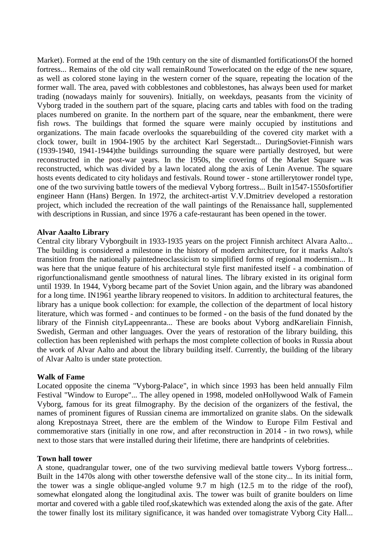Market). Formed at the end of the 19th century on the site of dismantled fortification[sOf the horned](https://ru.wikipedia.org/wiki/%D0%92%D1%8B%D0%B1%D0%BE%D1%80%D0%B3%D1%81%D0%BA%D0%B0%D1%8F_%D0%B3%D0%BE%D1%80%D0%BE%D0%B4%D1%81%D0%BA%D0%B0%D1%8F_%D1%81%D1%82%D0%B5%D0%BD%D0%B0)  [fortress.](https://ru.wikipedia.org/wiki/%D0%92%D1%8B%D0%B1%D0%BE%D1%80%D0%B3%D1%81%D0%BA%D0%B0%D1%8F_%D0%B3%D0%BE%D1%80%D0%BE%D0%B4%D1%81%D0%BA%D0%B0%D1%8F_%D1%81%D1%82%D0%B5%D0%BD%D0%B0).. Remains of the old city wall remai[nRound Towerl](https://ru.wikipedia.org/wiki/%D0%9A%D1%80%D1%83%D0%B3%D0%BB%D0%B0%D1%8F_%D0%B1%D0%B0%D1%88%D0%BD%D1%8F_(%D0%92%D1%8B%D0%B1%D0%BE%D1%80%D0%B3))ocated on the edge of the new square, as well as colored stone laying in the western corner of the square, repeating the location of the former wall. The area, paved with cobblestones and cobblestones, has always been used for market trading (nowadays mainly for souvenirs). Initially, on weekdays, peasants from the vicinity of Vyborg traded in the southern part of the square, placing carts and tables with food on the trading places numbered on granite. In the northern part of the square, near the embankment, there were fish rows. The buildings that formed the square were mainly occupied by institutions and organizations. The main facade overlooks the squar[ebuilding of the covered city market with a](https://ru.wikipedia.org/wiki/%D0%92%D1%8B%D0%B1%D0%BE%D1%80%D0%B3%D1%81%D0%BA%D0%B8%D0%B9_%D1%80%D1%8B%D0%BD%D0%BE%D0%BA)  [clock tower,](https://ru.wikipedia.org/wiki/%D0%92%D1%8B%D0%B1%D0%BE%D1%80%D0%B3%D1%81%D0%BA%D0%B8%D0%B9_%D1%80%D1%8B%D0%BD%D0%BE%D0%BA) built in 1904-1905 by the architect [Karl Segerstadt.](https://ru.wikipedia.org/wiki/%D0%A5%D0%BE%D1%80%D0%B4_%D0%B0%D1%84_%D0%A1%D0%B5%D0%B3%D0%B5%D1%80%D1%88%D1%82%D0%B0%D0%B4,_%D0%9A%D0%B0%D1%80%D0%BB).. Durin[gSoviet-Finnish wars](https://ru.wikipedia.org/wiki/%D0%A1%D0%BE%D0%B2%D0%B5%D1%82%D1%81%D0%BA%D0%BE-%D1%84%D0%B8%D0%BD%D1%81%D0%BA%D0%B8%D0%B5_%D0%B2%D0%BE%D0%B9%D0%BD%D1%8B)  [\(1939-1940, 1941-1944\)t](https://ru.wikipedia.org/wiki/%D0%A1%D0%BE%D0%B2%D0%B5%D1%82%D1%81%D0%BA%D0%BE-%D1%84%D0%B8%D0%BD%D1%81%D0%BA%D0%B8%D0%B5_%D0%B2%D0%BE%D0%B9%D0%BD%D1%8B)he buildings surrounding the square were partially destroyed, but were reconstructed in the post-war years. In the 1950s, the covering of the Market Square was reconstructed, which was divided by a lawn located along the axis of Lenin Avenue. The square hosts events dedicated to city holidays and festivals. Round tower - stone artiller[ytower](https://ru.wikipedia.org/wiki/%D0%91%D0%B0%D1%88%D0%BD%D1%8F) [rondel](https://ru.wikipedia.org/wiki/%D0%A0%D0%BE%D0%BD%D0%B4%D0%B5%D0%BB%D1%8C_(%D1%84%D0%BE%D1%80%D1%82%D0%B8%D1%84%D0%B8%D0%BA%D0%B0%D1%86%D0%B8%D1%8F)) type, one of the two surviving battle towers of the medieval [Vyborg fortress.](https://ru.wikipedia.org/wiki/%D0%92%D1%8B%D0%B1%D0%BE%D1%80%D0%B3%D1%81%D0%BA%D0%B0%D1%8F_%D0%B3%D0%BE%D1%80%D0%BE%D0%B4%D1%81%D0%BA%D0%B0%D1%8F_%D1%81%D1%82%D0%B5%D0%BD%D0%B0).. Built i[n1547](https://ru.wikipedia.org/wiki/1547)[-1550sf](https://ru.wikipedia.org/wiki/1550_%D0%B3%D0%BE%D0%B4)ortifier engineer Hann (Hans) Bergen. In 1972, the architect-artist V.V.Dmitriev developed a restoration project, which included the recreation of the wall paintings of the Renaissance hall, supplemented with descriptions in Russian, and since 1976 a cafe-restaurant has been opened in the tower.

## **Alvar Aaalto Library**

Central city [library](https://ru.wikipedia.org/wiki/%D0%91%D0%B8%D0%B1%D0%BB%D0%B8%D0%BE%D1%82%D0%B5%D0%BA%D0%B0) [Vyborgb](https://ru.wikipedia.org/wiki/%D0%92%D1%8B%D0%B1%D0%BE%D1%80%D0%B3)uilt in [1933-](https://ru.wikipedia.org/wiki/1933)[1935 years](https://ru.wikipedia.org/wiki/1935_%D0%B3%D0%BE%D0%B4) on the project [Finnish](https://ru.wikipedia.org/wiki/%D0%A4%D0%B8%D0%BD%D0%BD%D1%8B) [architect](https://ru.wikipedia.org/wiki/%D0%90%D1%80%D1%85%D0%B8%D1%82%D0%B5%D0%BA%D1%82%D0%BE%D1%80) [Alvara Aalto.](https://ru.wikipedia.org/wiki/%D0%90%D0%B0%D0%BB%D1%82%D0%BE,_%D0%90%D0%BB%D0%B2%D0%B0%D1%80).. The building is considered a milestone in the history of modern architecture, for it marks Aalto's transition from the nationally painte[dneoclassicism](https://ru.wikipedia.org/wiki/%D0%9D%D0%B5%D0%BE%D0%BA%D0%BB%D0%B0%D1%81%D1%81%D0%B8%D1%86%D0%B8%D0%B7%D0%BC) to simplified forms of regional [modernism.](https://ru.wikipedia.org/wiki/%D0%9C%D0%BE%D0%B4%D0%B5%D1%80%D0%BD%D0%B8%D0%B7%D0%BC).. It was here that the unique feature of his architectural style first manifested itself - a combination of rigo[rfunctionalisma](https://ru.wikipedia.org/wiki/%D0%A4%D1%83%D0%BD%D0%BA%D1%86%D0%B8%D0%BE%D0%BD%D0%B0%D0%BB%D0%B8%D0%B7%D0%BC_(%D0%B0%D1%80%D1%85%D0%B8%D1%82%D0%B5%D0%BA%D1%82%D1%83%D1%80%D0%B0))nd gentle smoothness of natural lines. The library existed in its original form until 1939. In 1944, Vyborg became part of the Soviet Union again, and the library was abandoned for a long time. I[N1961 yeart](https://ru.wikipedia.org/wiki/1961_%D0%B3%D0%BE%D0%B4)he library reopened to visitors. In addition to architectural features, the library has a unique book collection: for example, the collection of the department of local history literature, which was formed - and continues to be formed - on the basis of the fund donated by the library of the Finnish cit[yLappeenranta.](https://ru.wikipedia.org/wiki/%D0%9B%D0%B0%D0%BF%D0%BF%D0%B5%D0%B5%D0%BD%D1%80%D0%B0%D0%BD%D1%82%D0%B0).. These are books about Vyborg an[dKareliai](https://ru.wikipedia.org/wiki/%D0%9A%D0%B0%D1%80%D0%B5%D0%BB%D0%B8%D1%8F)n Finnish, Swedish, German and other languages. Over the years of restoration of the library building, this collection has been replenished with perhaps the most complete collection of books in Russia about the work of Alvar Aalto and about the library building itself. Currently, the building of the library of Alvar Aalto is under state protection.

## **Walk of Fame**

Located opposite the cinema ["Vyborg-Palace",](https://ru.wikipedia.org/wiki/%D0%9D%D0%BE%D0%B2%D0%B0%D1%8F_%D1%80%D0%B0%D1%82%D1%83%D1%88%D0%B0_(%D0%92%D1%8B%D0%B1%D0%BE%D1%80%D0%B3)) in which since 1993 has been held annually [Film](https://ru.wikipedia.org/wiki/%D0%9E%D0%BA%D0%BD%D0%BE_%D0%B2_%D0%95%D0%B2%D1%80%D0%BE%D0%BF%D1%83_(%D0%BA%D0%B8%D0%BD%D0%BE%D1%84%D0%B5%D1%81%D1%82%D0%B8%D0%B2%D0%B0%D0%BB%D1%8C))  [Festival "Window to Europe".](https://ru.wikipedia.org/wiki/%D0%9E%D0%BA%D0%BD%D0%BE_%D0%B2_%D0%95%D0%B2%D1%80%D0%BE%D0%BF%D1%83_(%D0%BA%D0%B8%D0%BD%D0%BE%D1%84%D0%B5%D1%81%D1%82%D0%B8%D0%B2%D0%B0%D0%BB%D1%8C)).. The alley opened in 1998, modeled o[nHollywood Walk of Famei](https://ru.wikipedia.org/wiki/%D0%93%D0%BE%D0%BB%D0%BB%D0%B8%D0%B2%D1%83%D0%B4%D1%81%D0%BA%D0%B0%D1%8F_%C2%AB%D0%90%D0%BB%D0%BB%D0%B5%D1%8F_%D1%81%D0%BB%D0%B0%D0%B2%D1%8B%C2%BB)n Vyborg, famous for its great filmography. By the decision of the organizers of the festival, the names of prominent figures of Russian cinema are immortalized on granite slabs. On the sidewalk along Krepostnaya Street, there are the emblem of the Window to Europe Film Festival and commemorative stars (initially in one row, and after reconstruction in 2014 - in two rows), while next to those stars that were installed during their lifetime, there are handprints of celebrities.

## **Town hall tower**

A stone, quadrangular tower, one of the two surviving medieval battle towers [Vyborg fortress.](https://ru.wikipedia.org/wiki/%D0%92%D1%8B%D0%B1%D0%BE%D1%80%D0%B3%D1%81%D0%BA%D0%B0%D1%8F_%D0%BA%D1%80%D0%B5%D0%BF%D0%BE%D1%81%D1%82%D1%8C).. Built in the 1470s along with other tower[sthe defensive wall of the stone city.](https://ru.wikipedia.org/wiki/%D0%92%D1%8B%D0%B1%D0%BE%D1%80%D0%B3%D1%81%D0%BA%D0%B0%D1%8F_%D0%B3%D0%BE%D1%80%D0%BE%D0%B4%D1%81%D0%BA%D0%B0%D1%8F_%D1%81%D1%82%D0%B5%D0%BD%D0%B0).. In its initial form, the tower was a single oblique-angled volume 9.7 m high (12.5 m to the ridge of the roof), somewhat elongated along the longitudinal axis. The tower was built of granite boulders on lime mortar and covered with a gable tiled roof[,skatew](https://ru.wikipedia.org/wiki/%D0%9E%D1%85%D0%BB%D1%83%D0%BF%D0%B5%D0%BD%D1%8C)hich was extended along the axis of the gate. After the tower finally lost its military significance, it was handed over t[omagistrate](https://ru.wikipedia.org/wiki/%D0%9C%D0%B0%D0%B3%D0%B8%D1%81%D1%82%D1%80%D0%B0%D1%82) [Vyborg City Hall.](https://ru.wikipedia.org/wiki/%D0%92%D1%8B%D0%B1%D0%BE%D1%80%D0%B3%D1%81%D0%BA%D0%B0%D1%8F_%D1%80%D0%B0%D1%82%D1%83%D1%88%D0%B0)..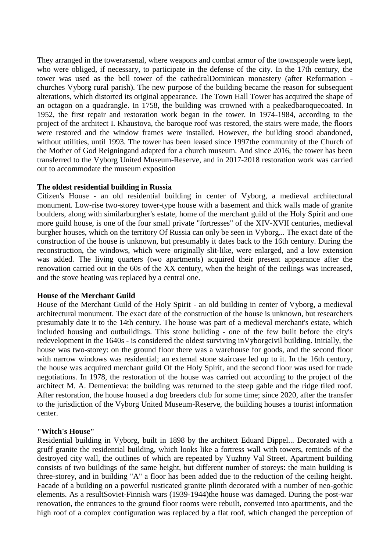They arranged in the towe[rarsenal,](https://ru.wikipedia.org/wiki/%D0%90%D1%80%D1%81%D0%B5%D0%BD%D0%B0%D0%BB) where weapons and combat armor of the townspeople were kept, who were obliged, if necessary, to participate in the defense of the city. In the 17th century, the tower was used as the bell tower of the cathedra[lDominican](https://ru.wikipedia.org/wiki/%D0%94%D0%BE%D0%BC%D0%B8%D0%BD%D0%B8%D0%BA%D0%B0%D0%BD%D1%86%D1%8B) monastery (after [Reformation](https://ru.wikipedia.org/wiki/%D0%A0%D0%B5%D1%84%D0%BE%D1%80%D0%BC%D0%B0%D1%86%D0%B8%D1%8F) churches [Vyborg rural parish\)](https://ru.wikipedia.org/wiki/%D0%92%D1%8B%D0%B1%D0%BE%D1%80%D0%B3%D1%81%D0%BA%D0%B8%D0%B9_%D1%81%D0%BE%D0%B1%D0%BE%D1%80_%D0%B4%D0%BE%D0%BC%D0%B8%D0%BD%D0%B8%D0%BA%D0%B0%D0%BD%D1%81%D0%BA%D0%BE%D0%B3%D0%BE_%D0%BC%D0%BE%D0%BD%D0%B0%D1%81%D1%82%D1%8B%D1%80%D1%8F). The new purpose of the building became the reason for subsequent alterations, which distorted its original appearance. The Town Hall Tower has acquired the shape of an octagon on a quadrangle. In 1758, the building was crowned with a peake[dbaroquec](https://ru.wikipedia.org/wiki/%D0%91%D0%B0%D1%80%D0%BE%D0%BA%D0%BA%D0%BE)oated. In 1952, the first repair and restoration work began in the tower. In 1974-1984, according to the project of the architect I. Khaustova, the baroque roof was restored, the stairs were made, the floors were restored and the window frames were installed. However, the building stood abandoned, without utilities, until 1993. The tower has been leased since 199[7the community of the Church of](https://ru.wikipedia.org/wiki/%D0%91%D0%BE%D0%B3%D0%BE%D1%80%D0%BE%D0%B4%D0%B8%D1%87%D0%BD%D1%8B%D0%B9_%D1%86%D0%B5%D0%BD%D1%82%D1%80)  [the Mother of God Reigninga](https://ru.wikipedia.org/wiki/%D0%91%D0%BE%D0%B3%D0%BE%D1%80%D0%BE%D0%B4%D0%B8%D1%87%D0%BD%D1%8B%D0%B9_%D1%86%D0%B5%D0%BD%D1%82%D1%80)nd adapted for a church museum. And since 2016, the tower has been transferred to the Vyborg United Museum-Reserve, and in 2017-2018 restoration work was carried out to accommodate the museum exposition

#### **The oldest residential building in Russia**

Citizen's House - an old residential building in [center of Vyborg,](https://ru.wikipedia.org/wiki/%D0%A1%D1%82%D0%B0%D1%80%D1%8B%D0%B9_%D0%B3%D0%BE%D1%80%D0%BE%D0%B4_(%D0%92%D1%8B%D0%B1%D0%BE%D1%80%D0%B3)) a medieval architectural monument. Low-rise two-storey tower-type house with a basement and thick walls made of granite boulders, along with simila[rburgher's estate,](https://ru.wikipedia.org/wiki/%D0%A3%D1%81%D0%B0%D0%B4%D1%8C%D0%B1%D0%B0_%D0%B1%D1%8E%D1%80%D0%B3%D0%B5%D1%80%D0%B0) home of the merchant [guild of the Holy Spirit](https://ru.wikipedia.org/wiki/%D0%94%D0%BE%D0%BC_%D0%BA%D1%83%D0%BF%D0%B5%D1%87%D0%B5%D1%81%D0%BA%D0%BE%D0%B9_%D0%B3%D0%B8%D0%BB%D1%8C%D0%B4%D0%B8%D0%B8_%D0%A1%D0%B2%D1%8F%D1%82%D0%BE%D0%B3%D0%BE_%D0%94%D1%83%D1%85%D0%B0) and one more [guild house,](https://ru.wikipedia.org/wiki/%D0%93%D0%B8%D0%BB%D1%8C%D0%B4%D0%B5%D0%B9%D1%81%D0%BA%D0%B8%D0%B9_%D0%B4%D0%BE%D0%BC_(%D0%92%D1%8B%D0%B1%D0%BE%D1%80%D0%B3)) is one of the four small private "fortresses" of the XIV-XVII centuries, medieval burgher houses, which on the territory [Of Russia](https://ru.wikipedia.org/wiki/%D0%A0%D0%BE%D1%81%D1%81%D0%B8%D1%8F) can only be seen in [Vyborg.](https://ru.wikipedia.org/wiki/%D0%92%D1%8B%D0%B1%D0%BE%D1%80%D0%B3).. The exact date of the construction of the house is unknown, but presumably it dates back to the 16th century. During the reconstruction, the windows, which were originally slit-like, were enlarged, and a low extension was added. The living quarters (two apartments) acquired their present appearance after the renovation carried out in the 60s of the XX century, when the height of the ceilings was increased, and the stove heating was replaced by a central one.

#### **House of the Merchant Guild**

House of the Merchant Guild of the Holy Spirit - an old building in [center of Vyborg,](https://ru.wikipedia.org/wiki/%D0%A1%D1%82%D0%B0%D1%80%D1%8B%D0%B9_%D0%B3%D0%BE%D1%80%D0%BE%D0%B4_(%D0%92%D1%8B%D0%B1%D0%BE%D1%80%D0%B3)) a medieval architectural monument. The exact date of the construction of the house is unknown, but researchers presumably date it to the 14th century. The house was part of a medieval merchant's estate, which included housing and outbuildings. This stone building - one of the few built before the city's redevelopment in the 1640s - is considered the oldest surviving i[nVyborgc](https://ru.wikipedia.org/wiki/%D0%92%D1%8B%D0%B1%D0%BE%D1%80%D0%B3)ivil building. Initially, the house was two-storey: on the ground floor there was a warehouse for goods, and the second floor with narrow windows was residential; an external stone staircase led up to it. In the 16th century, the house was acquired merchant [guild](https://ru.wikipedia.org/wiki/%D0%9A%D1%83%D0%BF%D0%B5%D1%87%D0%B5%D1%81%D0%BA%D0%B0%D1%8F_%D0%B3%D0%B8%D0%BB%D1%8C%D0%B4%D0%B8%D1%8F) [Of the Holy Spirit,](https://ru.wikipedia.org/wiki/%D0%A1%D0%B2%D1%8F%D1%82%D0%BE%D0%B9_%D0%94%D1%83%D1%85) and the second floor was used for trade negotiations. In 1978, the restoration of the house was carried out according to the project of the architect M. A. Dementieva: the building was returned to the steep gable and the ridge tiled roof. After restoration, the house housed a dog breeders club for some time; since 2020, after the transfer to the jurisdiction of the Vyborg United Museum-Reserve, the building houses a tourist information center.

## **"Witch's House"**

Residential building in [Vyborg,](https://ru.wikipedia.org/wiki/%D0%92%D1%8B%D0%B1%D0%BE%D1%80%D0%B3) built in 1898 by the architect [Eduard Dippel.](https://ru.wikipedia.org/wiki/%D0%94%D0%B8%D0%BF%D0%BF%D0%B5%D0%BB%D1%8C,_%D0%AD%D0%B4%D1%83%D0%B0%D1%80%D0%B4).. Decorated with a gruff granite the residential building, which looks like a fortress wall with towers, reminds of the destroyed city wall, the outlines of which are repeated by Yuzhny Val Street. [Apartment building](https://ru.wikipedia.org/wiki/%D0%94%D0%BE%D1%85%D0%BE%D0%B4%D0%BD%D1%8B%D0%B9_%D0%B4%D0%BE%D0%BC)  [consists](https://ru.wikipedia.org/wiki/%D0%94%D0%BE%D1%85%D0%BE%D0%B4%D0%BD%D1%8B%D0%B9_%D0%B4%D0%BE%D0%BC) of two buildings of the same height, but different number of storeys: the main building is three-storey, and in building "A" a floor has been added due to the reduction of the ceiling height. Facade of a building on a powerful rusticated granite [plinth decorated](https://ru.wikipedia.org/wiki/%D0%A6%D0%BE%D0%BA%D0%BE%D0%BB%D1%8C) with a number of neo-gothic elements. As a resul[tSoviet-Finnish wars \(1939-1944\)t](https://ru.wikipedia.org/wiki/%D0%A1%D0%BE%D0%B2%D0%B5%D1%82%D1%81%D0%BA%D0%BE-%D1%84%D0%B8%D0%BD%D1%81%D0%BA%D0%B8%D0%B5_%D0%B2%D0%BE%D0%B9%D0%BD%D1%8B)he house was damaged. During the post-war renovation, the entrances to the ground floor rooms were rebuilt, converted into apartments, and the high roof of a complex configuration was replaced by a flat roof, which changed the perception of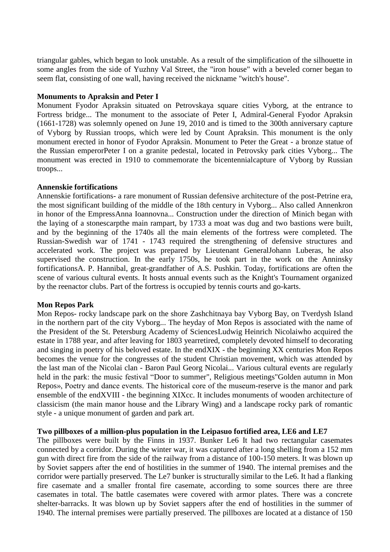triangular gables, which began to look unstable. As a result of the simplification of the silhouette in some angles from the side of Yuzhny Val Street, the "iron house" with a beveled corner began to seem flat, consisting of one wall, having received the nickname "witch's house".

#### **Monuments to Apraksin and Peter I**

Monument [Fyodor Apraksin](https://ru.wikipedia.org/wiki/%D0%90%D0%BF%D1%80%D0%B0%D0%BA%D1%81%D0%B8%D0%BD,_%D0%A4%D1%91%D0%B4%D0%BE%D1%80_%D0%9C%D0%B0%D1%82%D0%B2%D0%B5%D0%B5%D0%B2%D0%B8%D1%87) situated on [Petrovskaya square](https://ru.wikipedia.org/wiki/%D0%9F%D0%B5%D1%82%D1%80%D0%BE%D0%B2%D1%81%D0%BA%D0%B0%D1%8F_%D0%BF%D0%BB%D0%BE%D1%89%D0%B0%D0%B4%D1%8C_(%D0%92%D1%8B%D0%B1%D0%BE%D1%80%D0%B3)) cities [Vyborg,](https://ru.wikipedia.org/wiki/%D0%92%D1%8B%D0%B1%D0%BE%D1%80%D0%B3) at the entrance to [Fortress bridge.](https://ru.wikipedia.org/wiki/%D0%9A%D1%80%D0%B5%D0%BF%D0%BE%D1%81%D1%82%D0%BD%D0%BE%D0%B9_%D0%BC%D0%BE%D1%81%D1%82_(%D0%92%D1%8B%D0%B1%D0%BE%D1%80%D0%B3)).. The monument to the associate of Peter I, Admiral-General Fyodor Apraksin (1661-1728) was solemnly opened on June 19, 2010 and is timed to the 300th anniversary captur[e](https://ru.wikipedia.org/wiki/%D0%9E%D1%81%D0%B0%D0%B4%D0%B0_%D0%92%D1%8B%D0%B1%D0%BE%D1%80%D0%B3%D0%B0_(1710)) [of Vyborg by Russian troops,](https://ru.wikipedia.org/wiki/%D0%9E%D1%81%D0%B0%D0%B4%D0%B0_%D0%92%D1%8B%D0%B1%D0%BE%D1%80%D0%B3%D0%B0_(1710)) which were led by Count Apraksin. This monument is the only monument erected in honor of Fyodor Apraksin. Monument to Peter the Great - a bronze statue of the Russian empero[rPeter I](https://ru.wikipedia.org/wiki/%D0%9F%D1%91%D1%82%D1%80_I) on a granite pedestal, located in [Petrovsky park](https://ru.wikipedia.org/wiki/%D0%9F%D0%B5%D1%82%D1%80%D0%BE%D0%B2%D1%81%D0%BA%D0%B8%D0%B9_%D0%BF%D0%B0%D1%80%D0%BA_(%D0%92%D1%8B%D0%B1%D0%BE%D1%80%D0%B3)) cities [Vyborg.](https://ru.wikipedia.org/wiki/%D0%92%D1%8B%D0%B1%D0%BE%D1%80%D0%B3).. The monument was erected in 1910 to commemorate the bicentennia[lcapture of Vyborg by Russian](https://ru.wikipedia.org/wiki/%D0%9E%D1%81%D0%B0%D0%B4%D0%B0_%D0%92%D1%8B%D0%B1%D0%BE%D1%80%D0%B3%D0%B0_(1710))  [troops.](https://ru.wikipedia.org/wiki/%D0%9E%D1%81%D0%B0%D0%B4%D0%B0_%D0%92%D1%8B%D0%B1%D0%BE%D1%80%D0%B3%D0%B0_(1710))..

#### **Annenskie fortifications**

Annenskie fortifications- a rare monument of Russian defensive architecture of the post-Petrine era, the most significant building of the middle of the 18th century in [Vyborg.](https://ru.wikipedia.org/wiki/%D0%98%D1%81%D1%82%D0%BE%D1%80%D0%B8%D1%8F_%D0%92%D1%8B%D0%B1%D0%BE%D1%80%D0%B3%D0%B0).. Also called Annenkron in honor of the Empres[sAnna Ioannovna.](https://ru.wikipedia.org/wiki/%D0%90%D0%BD%D0%BD%D0%B0_%D0%98%D0%BE%D0%B0%D0%BD%D0%BD%D0%BE%D0%B2%D0%BD%D0%B0).. Construction under the direction of Minich began with the laying of a ston[escarpt](https://ru.wikipedia.org/wiki/%D0%AD%D1%81%D0%BA%D0%B0%D1%80%D0%BF)he main rampart, by 1733 a moat was dug and two bastions were built, and by the beginning of the 1740s all the main elements of the fortress were completed. The Russian-Swedish war of 1741 - 1743 required the strengthening of defensive structures and accelerated work. The project was prepared by Lieutenant Genera[lJohann Luberas,](https://ru.wikipedia.org/wiki/%D0%9B%D1%8E%D0%B1%D0%B5%D1%80%D0%B0%D1%81_%D1%84%D0%BE%D0%BD_%D0%9F%D0%BE%D1%82%D1%82,_%D0%98%D0%BE%D0%B3%D0%B0%D0%BD%D0%BD_%D0%9B%D1%8E%D0%B4%D0%B2%D0%B8%D0%B3) he also supervised the construction. In the early 1750s, he took part in the work on the Anninsky fortification[sA. P. Hannibal,](https://ru.wikipedia.org/wiki/%D0%93%D0%B0%D0%BD%D0%BD%D0%B8%D0%B1%D0%B0%D0%BB,_%D0%90%D0%B1%D1%80%D0%B0%D0%BC_%D0%9F%D0%B5%D1%82%D1%80%D0%BE%D0%B2%D0%B8%D1%87) great-grandfather of A.S. Pushkin. Today, fortifications are often the scene of various cultural events. It hosts annual events such as the Knight's Tournament organized by the reenactor clubs. Part of the fortress is occupied by tennis courts and go-karts.

## **Mon Repos Park**

Mon Repos- rocky [landscape park](https://ru.wikipedia.org/wiki/%D0%9F%D0%B5%D0%B9%D0%B7%D0%B0%D0%B6%D0%BD%D1%8B%D0%B9_%D0%BF%D0%B0%D1%80%D0%BA) on the shore [Zashchitnaya bay](https://ru.wikipedia.org/wiki/%D0%97%D0%B0%D1%89%D0%B8%D1%82%D0%BD%D0%B0%D1%8F) [Vyborg Bay,](https://ru.wikipedia.org/wiki/%D0%92%D1%8B%D0%B1%D0%BE%D1%80%D0%B3%D1%81%D0%BA%D0%B8%D0%B9_%D0%B7%D0%B0%D0%BB%D0%B8%D0%B2) on Tverdysh Island in the northern part of the city [Vyborg.](https://ru.wikipedia.org/wiki/%D0%92%D1%8B%D0%B1%D0%BE%D1%80%D0%B3).. The heyday of Mon Repos is associated with the name of the President of the St. Petersburg Academy of Science[sLudwig Heinrich Nicolaiw](https://ru.wikipedia.org/wiki/%D0%9D%D0%B8%D0%BA%D0%BE%D0%BB%D0%B0%D0%B8,_%D0%9B%D1%8E%D0%B4%D0%B2%D0%B8%D0%B3_%D0%93%D0%B5%D0%BD%D1%80%D0%B8%D1%85)ho acquired the estate in [1788 year,](https://ru.wikipedia.org/wiki/1788_%D0%B3%D0%BE%D0%B4) and after leaving for [1803 yearr](https://ru.wikipedia.org/wiki/1803_%D0%B3%D0%BE%D0%B4)etired, completely devoted himself to decorating and singing in poetry of his beloved estate. In the en[dXIX](https://ru.wikipedia.org/wiki/XIX_%D0%B2%D0%B5%D0%BA) - the beginning [XX centuries](https://ru.wikipedia.org/wiki/XX_%D0%B2%D0%B5%D0%BA) Mon Repos becomes the venue for the congresses of the student Christian movement, which was attended by the last man of the Nicolai clan - Baron [Paul Georg Nicolai.](https://ru.wikipedia.org/wiki/%D0%9D%D0%B8%D0%BA%D0%BE%D0%BB%D0%B0%D0%B8,_%D0%9F%D0%B0%D0%B2%D0%B5%D0%BB_%D0%9D%D0%B8%D0%BA%D0%BE%D0%BB%D0%B0%D0%B5%D0%B2%D0%B8%D1%87).. Various cultural events are regularly held in the park: the music festival ["Door to summer"](https://ru.wikipedia.org/w/index.php?title=%D0%94%D0%B2%D0%B5%D1%80%D1%8C_%D0%B2_%D0%BB%D0%B5%D1%82%D0%BE_(%D1%84%D0%B5%D1%81%D1%82%D0%B8%D0%B2%D0%B0%D0%BB%D1%8C)&action=edit&redlink=1), Religious meetings["Golden autumn in Mon](https://ru.wikipedia.org/w/index.php?title=%D0%97%D0%BE%D0%BB%D0%BE%D1%82%D0%B0%D1%8F_%D0%BE%D1%81%D0%B5%D0%BD%D1%8C_%D0%B2_%D0%9C%D0%BE%D0%BD%D1%80%D0%B5%D0%BF%D0%BE&action=edit&redlink=1)  [Repos»](https://ru.wikipedia.org/w/index.php?title=%D0%97%D0%BE%D0%BB%D0%BE%D1%82%D0%B0%D1%8F_%D0%BE%D1%81%D0%B5%D0%BD%D1%8C_%D0%B2_%D0%9C%D0%BE%D0%BD%D1%80%D0%B5%D0%BF%D0%BE&action=edit&redlink=1), Poetry and dance events. The historical core of the museum-reserve is the manor and park ensemble of the en[dXVIII](https://ru.wikipedia.org/wiki/XVIII_%D0%B2%D0%B5%D0%BA) - the beginning [XIXc](https://ru.wikipedia.org/wiki/XIX_%D0%B2%D0%B5%D0%BA)c. It includes monuments of wooden architecture of classicism (the main manor house and the Library Wing) and a landscape rocky park of romantic style - a unique monument of garden and park art.

## **Two pillboxes of a million-plus population in the Leipasuo fortified area, LE6 and LE7**

The pillboxes were built by the Finns in 1937. Bunker Le6 It had two rectangular casemates connected by a corridor. During the winter war, it was captured after a long shelling from a 152 mm gun with direct fire from the side of the railway from a distance of 100-150 meters. It was blown up by Soviet sappers after the end of hostilities in the summer of 1940. The internal premises and the corridor were partially preserved. The Le7 bunker is structurally similar to the Le6. It had a flanking fire casemate and a smaller frontal fire casemate, according to some sources there are three casemates in total. The battle casemates were covered with armor plates. There was a concrete shelter-barracks. It was blown up by Soviet sappers after the end of hostilities in the summer of 1940. The internal premises were partially preserved. The pillboxes are located at a distance of 150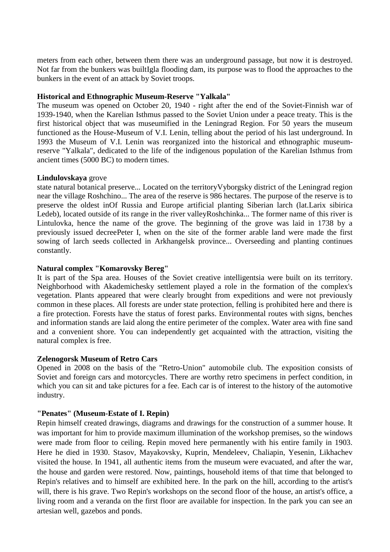meters from each other, between them there was an underground passage, but now it is destroyed. Not far from the bunkers was buil[tIgla flooding dam,](https://www.drive2.ru/l/472968671656935596/) its purpose was to flood the approaches to the bunkers in the event of an attack by Soviet troops.

#### **Historical and Ethnographic Museum-Reserve "Yalkala"**

The museum was opened on October 20, 1940 - right after the end of the Soviet-Finnish war of 1939-1940, when the Karelian Isthmus passed to the Soviet Union under a peace treaty. This is the first historical object that was museumified in the Leningrad Region. For 50 years the museum functioned as the House-Museum of V.I. Lenin, telling about the period of his last underground. In 1993 the Museum of V.I. Lenin was reorganized into the historical and ethnographic museumreserve "Yalkala", dedicated to the life of the indigenous population of the Karelian Isthmus from ancient times (5000 BC) to modern times.

#### **Lindulovskaya** grove

state natural botanical [preserve.](https://ru.wikipedia.org/wiki/%D0%97%D0%B0%D0%BA%D0%B0%D0%B7%D0%BD%D0%B8%D0%BA).. Located on the territor[yVyborgsky district of the Leningrad region](https://ru.wikipedia.org/wiki/%D0%92%D1%8B%D0%B1%D0%BE%D1%80%D0%B3%D1%81%D0%BA%D0%B8%D0%B9_%D1%80%D0%B0%D0%B9%D0%BE%D0%BD_(%D0%9B%D0%B5%D0%BD%D0%B8%D0%BD%D0%B3%D1%80%D0%B0%D0%B4%D1%81%D0%BA%D0%B0%D1%8F_%D0%BE%D0%B1%D0%BB%D0%B0%D1%81%D1%82%D1%8C)) near the village [Roshchino.](https://ru.wikipedia.org/wiki/%D0%A0%D0%BE%D1%89%D0%B8%D0%BD%D0%BE_(%D0%9B%D0%B5%D0%BD%D0%B8%D0%BD%D0%B3%D1%80%D0%B0%D0%B4%D1%81%D0%BA%D0%B0%D1%8F_%D0%BE%D0%B1%D0%BB%D0%B0%D1%81%D1%82%D1%8C)).. The area of the reserve is 986 hectares. The purpose of the reserve is to preserve the oldest i[nOf Russia](https://ru.wikipedia.org/wiki/%D0%A0%D0%BE%D1%81%D1%81%D0%B8%D1%8F) and [Europe](https://ru.wikipedia.org/wiki/%D0%95%D0%B2%D1%80%D0%BE%D0%BF%D0%B0) artificial planting [Siberian larch](https://ru.wikipedia.org/wiki/%D0%9B%D0%B8%D1%81%D1%82%D0%B2%D0%B5%D0%BD%D0%BD%D0%B8%D1%86%D0%B0_%D1%81%D0%B8%D0%B1%D0%B8%D1%80%D1%81%D0%BA%D0%B0%D1%8F) [\(lat.L](https://ru.wikipedia.org/wiki/%D0%9B%D0%B0%D1%82%D0%B8%D0%BD%D1%81%D0%BA%D0%B8%D0%B9_%D1%8F%D0%B7%D1%8B%D0%BA)arix sibirica Ledeb), located outside of its range in the river valle[yRoshchinka.](https://ru.wikipedia.org/wiki/%D0%A0%D0%BE%D1%89%D0%B8%D0%BD%D0%BA%D0%B0).. The former name of this river is Lintulovka, hence the name of the grove. The beginning of the grove was laid in 1738 by a previously issued decre[ePeter I,](https://ru.wikipedia.org/wiki/%D0%9F%D1%91%D1%82%D1%80_I) when on the site of the former arable land were made the first sowing of larch seeds collected in [Arkhangelsk province.](https://ru.wikipedia.org/wiki/%D0%90%D1%80%D1%85%D0%B0%D0%BD%D0%B3%D0%B5%D0%BB%D1%8C%D1%81%D0%BA%D0%B0%D1%8F_%D0%B3%D1%83%D0%B1%D0%B5%D1%80%D0%BD%D0%B8%D1%8F).. Overseeding and planting continues constantly.

## **Natural complex "Komarovsky Bereg"**

It is part of the Spa area. Houses of the Soviet creative intelligentsia were built on its territory. Neighborhood with Akademichesky settlement played a role in the formation of the complex's vegetation. Plants appeared that were clearly brought from expeditions and were not previously common in these places. All forests are under state protection, felling is prohibited here and there is a fire protection. Forests have the status of forest parks. Environmental routes with signs, benches and information stands are laid along the entire perimeter of the complex. Water area with fine sand and a convenient shore. You can independently get acquainted with the attraction, visiting the natural complex is free.

#### **Zelenogorsk Museum of Retro Cars**

Opened in 2008 on the basis of the "Retro-Union" automobile club. The exposition consists of Soviet and foreign cars and motorcycles. There are worthy retro specimens in perfect condition, in which you can sit and take pictures for a fee. Each car is of interest to the history of the automotive industry.

# **"Penates" (Museum-Estate of I. Repin)**

Repin himself created drawings, diagrams and drawings for the construction of a summer house. It was important for him to provide maximum illumination of the workshop premises, so the windows were made from floor to ceiling. Repin moved here permanently with his entire family in 1903. Here he died in 1930. Stasov, Mayakovsky, Kuprin, Mendeleev, Chaliapin, Yesenin, Likhachev visited the house. In 1941, all authentic items from the museum were evacuated, and after the war, the house and garden were restored. Now, paintings, household items of that time that belonged to Repin's relatives and to himself are exhibited here. In the park on the hill, according to the artist's will, there is his grave. Two Repin's workshops on the second floor of the house, an artist's office, a living room and a veranda on the first floor are available for inspection. In the park you can see an artesian well, gazebos and ponds.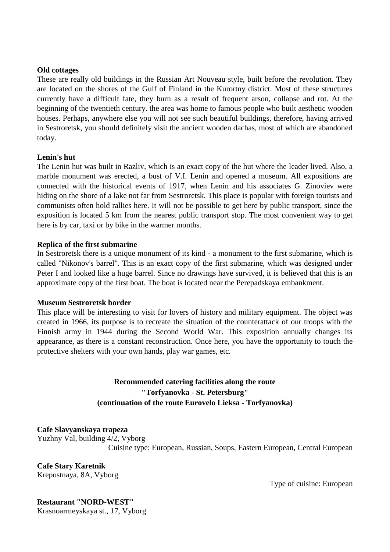#### **Old [cottages](https://susanintop.com/sight/starinnye-dachi)**

These are really old buildings in the Russian Art Nouveau style, built before the revolution. They are located on the shores of the Gulf of Finland in the Kurortny district. Most of these structures currently have a difficult fate, they burn as a result of frequent arson, collapse and rot. At the beginning of the twentieth century. the area was home to famous people who built aesthetic wooden houses. Perhaps, anywhere else you will not see such beautiful buildings, therefore, having arrived in Sestroretsk, you should definitely visit the ancient wooden dachas, most of which are abandoned today.

#### **[Lenin's hut](https://susanintop.com/sight/leninskij-shalash)**

The Lenin hut was built in Razliv, which is an exact copy of the hut where the leader lived. Also, a marble monument was erected, a bust of V.I. Lenin and opened a museum. All expositions are connected with the historical events of 1917, when Lenin and his associates G. Zinoviev were hiding on the shore of a lake not far from Sestroretsk. This place is popular with foreign tourists and communists often hold rallies here. It will not be possible to get here by public transport, since the exposition is located 5 km from the nearest public transport stop. The most convenient way to get here is by car, taxi or by bike in the warmer months.

#### **[Replica of the first submarine](https://susanintop.com/sight/kopija-pervoj-podvodnoj-lodki)**

In Sestroretsk there is a unique monument of its kind - a monument to the first submarine, which is called "Nikonov's barrel". This is an exact copy of the first submarine, which was designed under Peter I and looked like a huge barrel. Since no drawings have survived, it is believed that this is an approximate copy of the first boat. The boat is located near the Perepadskaya embankment.

## **[Museum Sestroretsk border](https://susanintop.com/sight/muzej-sestroreckij-rubezh)**

This place will be interesting to visit for lovers of history and military equipment. The object was created in 1966, its purpose is to recreate the situation of the counterattack of our troops with the Finnish army in 1944 during the Second World War. This exposition annually changes its appearance, as there is a constant reconstruction. Once here, you have the opportunity to touch the protective shelters with your own hands, play war games, etc.

# **Recommended catering facilities along the route "Torfyanovka - St. Petersburg" (continuation of the route Eurovelo Lieksa - Torfyanovka)**

**Cafe Slavyanskaya trapeza** [Yuzhny Val, building 4/2, Vyborg](https://www.tripadvisor.ru/Restaurant_Review-g298511-d3582403-Reviews-Slavyanskaya_Trapeza-Vyborg_Vyborgsky_District_Leningrad_Oblast_Northwestern_Dist.html#MAPVIEW) Cuisine type: European, Russian, Soups, Eastern European, Central European

**Cafe Stary Karetnik** [Krepostnaya, 8A, Vyborg](https://www.tripadvisor.ru/Restaurant_Review-g298511-d17539998-Reviews-Stary_Karetnik-Vyborg_Vyborgsky_District_Leningrad_Oblast_Northwestern_District.html#MAPVIEW)

Type of cuisine: European

#### **Restaurant "NORD-WEST"** [Krasnoarmeyskaya st., 17, Vyborg](https://www.tripadvisor.ru/Restaurant_Review-g298511-d3761720-Reviews-Nord_West_Restaurant-Vyborg_Vyborgsky_District_Leningrad_Oblast_Northwestern_Dist.html#MAPVIEW)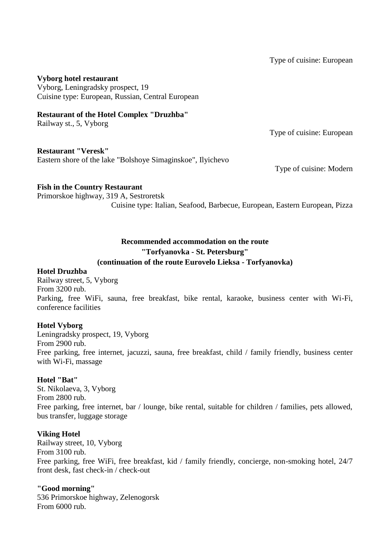Type of cuisine: European

## **Vyborg hotel restaurant**

Vyborg, Leningradsky prospect, 19 Cuisine type: European, Russian, Central European

## **Restaurant of the Hotel Complex "Druzhba"**

[Railway st., 5, Vyborg](https://www.tripadvisor.ru/Restaurant_Review-g298511-d3759170-Reviews-Hotel_Druzhba_Restaurant-Vyborg_Vyborgsky_District_Leningrad_Oblast_Northwestern_.html#MAPVIEW)

Type of cuisine: European

#### **Restaurant "Veresk"**

[Eastern shore of the lake "Bolshoye Simaginskoe", Ilyichevo](https://www.tripadvisor.ru/Restaurant_Review-g2700776-d10429712-Reviews-Veresk-Ilyichevo_Vyborgsky_District_Leningrad_Oblast_Northwestern_District.html#MAPVIEW)

Type of cuisine: Modern

## **Fish in the Country Restaurant**

[Primorskoe highway, 319 A, Sestroretsk](https://www.tripadvisor.ru/Restaurant_Review-g2345793-d3772173-Reviews-Ryba_Na_Dache-Sestroretsk_Kurortny_District_St_Petersburg_Northwestern_District.html#MAPVIEW) Cuisine type: Italian, Seafood, Barbecue, European, Eastern European, Pizza

# **Recommended accommodation on the route "Torfyanovka - St. Petersburg"**

# **(continuation of the route Eurovelo Lieksa - Torfyanovka)**

## **Hotel Druzhba**

Railway street, 5, Vyborg From 3200 rub. Parking, free WiFi, sauna, free breakfast, bike rental, karaoke, business center with Wi-Fi, conference facilities

## **Hotel Vyborg**

Leningradsky prospect, 19, Vyborg From 2900 rub. Free parking, free internet, jacuzzi, sauna, free breakfast, child / family friendly, business center with Wi-Fi, massage

## **Hotel "Bat"**

St. Nikolaeva, 3, Vyborg From 2800 rub. Free parking, free internet, bar / lounge, bike rental, suitable for children / families, pets allowed, bus transfer, luggage storage

## **Viking Hotel**

Railway street, 10, Vyborg From 3100 rub. Free parking, free WiFi, free breakfast, kid / family friendly, concierge, non-smoking hotel, 24/7 front desk, fast check-in / check-out

## **"Good morning"**

536 Primorskoe highway, Zelenogorsk From 6000 rub.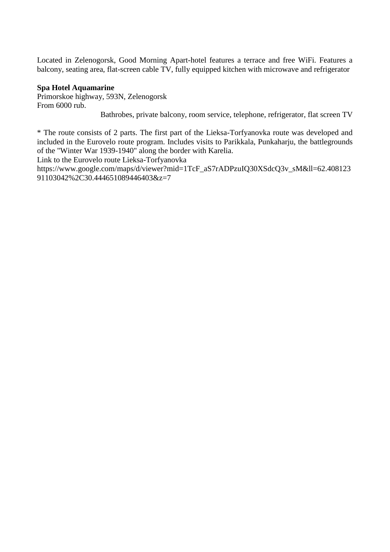Located in Zelenogorsk, Good Morning Apart-hotel features a terrace and free WiFi. Features a balcony, seating area, flat-screen cable TV, fully equipped kitchen with microwave and refrigerator

## **Spa Hotel Aquamarine**

Primorskoe highway, 593N, Zelenogorsk From 6000 rub.

Bathrobes, private balcony, room service, telephone, refrigerator, flat screen TV

\* The route consists of 2 parts. The first part of the Lieksa-Torfyanovka route was developed and included in the Eurovelo route program. Includes visits to Parikkala, Punkaharju, the battlegrounds of the "Winter War 1939-1940" along the border with Karelia.

Link to the Eurovelo route Lieksa-Torfyanovka

https://www.google.com/maps/d/viewer?mid=1TcF\_aS7rADPzuIQ30XSdcQ3v\_sM&ll=62.408123 91103042%2C30.444651089446403&z=7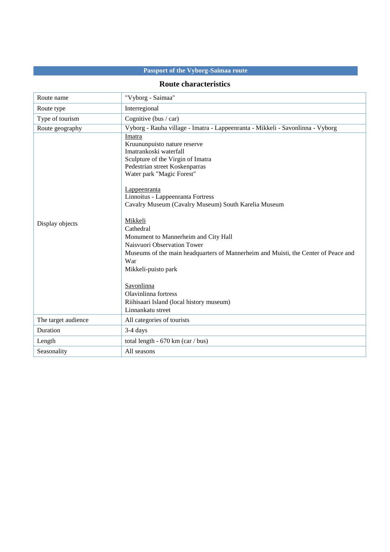# **Passport of the Vyborg-Saimaa route**

## **Route characteristics**

| Route name          | "Vyborg - Saimaa"                                                                                                                                                                                                                                                                                                                                                                                                                                                                                                                                                                                           |
|---------------------|-------------------------------------------------------------------------------------------------------------------------------------------------------------------------------------------------------------------------------------------------------------------------------------------------------------------------------------------------------------------------------------------------------------------------------------------------------------------------------------------------------------------------------------------------------------------------------------------------------------|
| Route type          | Interregional                                                                                                                                                                                                                                                                                                                                                                                                                                                                                                                                                                                               |
| Type of tourism     | Cognitive (bus / car)                                                                                                                                                                                                                                                                                                                                                                                                                                                                                                                                                                                       |
| Route geography     | Vyborg - Rauha village - Imatra - Lappeenranta - Mikkeli - Savonlinna - Vyborg                                                                                                                                                                                                                                                                                                                                                                                                                                                                                                                              |
| Display objects     | Imatra<br>Kruununpuisto nature reserve<br>Imatrankoski waterfall<br>Sculpture of the Virgin of Imatra<br>Pedestrian street Koskenparras<br>Water park "Magic Forest"<br>Lappeenranta<br>Linnoitus - Lappeenranta Fortress<br>Cavalry Museum (Cavalry Museum) South Karelia Museum<br>Mikkeli<br>Cathedral<br>Monument to Mannerheim and City Hall<br>Naisvuori Observation Tower<br>Museums of the main headquarters of Mannerheim and Muisti, the Center of Peace and<br>War<br>Mikkeli-puisto park<br>Savonlinna<br>Olavinlinna fortress<br>Riihisaari Island (local history museum)<br>Linnankatu street |
| The target audience | All categories of tourists                                                                                                                                                                                                                                                                                                                                                                                                                                                                                                                                                                                  |
| Duration            | $3-4$ days                                                                                                                                                                                                                                                                                                                                                                                                                                                                                                                                                                                                  |
| Length              | total length - $670 \text{ km}$ (car / bus)                                                                                                                                                                                                                                                                                                                                                                                                                                                                                                                                                                 |
| Seasonality         | All seasons                                                                                                                                                                                                                                                                                                                                                                                                                                                                                                                                                                                                 |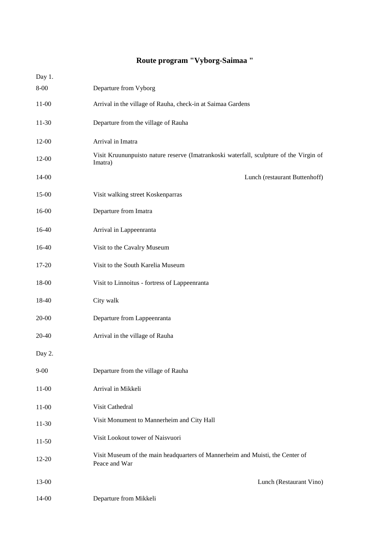# **Route program "Vyborg-Saimaa "**

| Day 1.    |                                                                                                   |
|-----------|---------------------------------------------------------------------------------------------------|
| $8 - 00$  | Departure from Vyborg                                                                             |
| $11-00$   | Arrival in the village of Rauha, check-in at Saimaa Gardens                                       |
| $11-30$   | Departure from the village of Rauha                                                               |
| 12-00     | Arrival in Imatra                                                                                 |
| 12-00     | Visit Kruununpuisto nature reserve (Imatrankoski waterfall, sculpture of the Virgin of<br>Imatra) |
| 14-00     | Lunch (restaurant Buttenhoff)                                                                     |
| 15-00     | Visit walking street Koskenparras                                                                 |
| $16-00$   | Departure from Imatra                                                                             |
| 16-40     | Arrival in Lappeenranta                                                                           |
| 16-40     | Visit to the Cavalry Museum                                                                       |
| 17-20     | Visit to the South Karelia Museum                                                                 |
| 18-00     | Visit to Linnoitus - fortress of Lappeenranta                                                     |
| 18-40     | City walk                                                                                         |
| $20 - 00$ | Departure from Lappeenranta                                                                       |
| 20-40     | Arrival in the village of Rauha                                                                   |
| Day 2.    |                                                                                                   |
| $9 - 00$  | Departure from the village of Rauha                                                               |
| $11-00$   | Arrival in Mikkeli                                                                                |
| $11-00$   | Visit Cathedral                                                                                   |
| $11-30$   | Visit Monument to Mannerheim and City Hall                                                        |
| $11-50$   | Visit Lookout tower of Naisvuori                                                                  |
| $12 - 20$ | Visit Museum of the main headquarters of Mannerheim and Muisti, the Center of<br>Peace and War    |
| 13-00     | Lunch (Restaurant Vino)                                                                           |
| $14 - 00$ | Departure from Mikkeli                                                                            |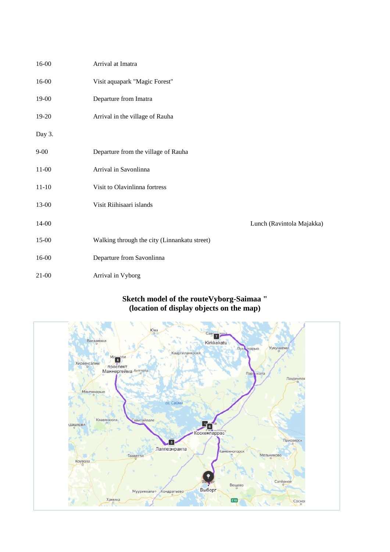| 16-00     | Arrival at Imatra                            |                           |
|-----------|----------------------------------------------|---------------------------|
| $16 - 00$ | Visit aquapark "Magic Forest"                |                           |
| 19-00     | Departure from Imatra                        |                           |
| 19-20     | Arrival in the village of Rauha              |                           |
| Day 3.    |                                              |                           |
| $9 - 00$  | Departure from the village of Rauha          |                           |
| $11 - 00$ | Arrival in Savonlinna                        |                           |
| $11 - 10$ | Visit to Olavinlinna fortress                |                           |
| 13-00     | Visit Riihisaari islands                     |                           |
| 14-00     |                                              | Lunch (Ravintola Majakka) |
| 15-00     | Walking through the city (Linnankatu street) |                           |
| 16-00     | Departure from Savonlinna                    |                           |
| $21 - 00$ | Arrival in Vyborg                            |                           |

# **Sketch model of the routeVyborg-Saimaa " (location of display objects on the map)**

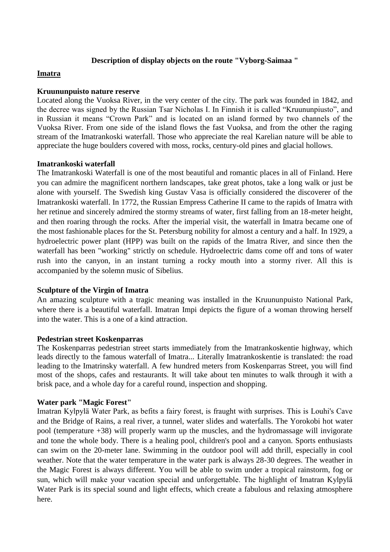#### **Description of display objects on the route "Vyborg-Saimaa "**

#### **Imatra**

#### **Kruununpuisto nature reserve**

Located along the Vuoksa River, in the very center of the city. The park was founded in 1842, and the decree was signed by the Russian Tsar Nicholas I. In Finnish it is called "Kruununpiusto", and in Russian it means "Crown Park" and is located on an island formed by two channels of the Vuoksa River. From one side of the island flows the fast Vuoksa, and from the other the raging stream of the Imatrankoski waterfall. Those who appreciate the real Karelian nature will be able to appreciate the huge boulders covered with moss, rocks, century-old pines and glacial hollows.

#### **Imatrankoski waterfall**

The Imatrankoski Waterfall is one of the most beautiful and romantic places in all of Finland. Here you can admire the magnificent northern landscapes, take great photos, take a long walk or just be alone with yourself. The Swedish king Gustav Vasa is officially considered the discoverer of the Imatrankoski waterfall. In 1772, the Russian Empress Catherine II came to the rapids of Imatra with her retinue and sincerely admired the stormy streams of water, first falling from an 18-meter height, and then roaring through the rocks. After the imperial visit, the waterfall in Imatra became one of the most fashionable places for the St. Petersburg nobility for almost a century and a half. In 1929, a hydroelectric power plant (HPP) was built on the rapids of the Imatra River, and since then the waterfall has been "working" strictly on schedule. Hydroelectric dams come off and tons of water rush into the canyon, in an instant turning a rocky mouth into a stormy river. All this is accompanied by the solemn music of Sibelius.

## **Sculpture of the Virgin of Imatra**

An amazing sculpture with a tragic meaning was installed in the Kruununpuisto National Park, where there is a beautiful waterfall. Imatran Impi depicts the figure of a woman throwing herself into the water. This is a one of a kind attraction.

#### **Pedestrian street Koskenparras**

The Koskenparras pedestrian street starts immediately from the Imatrankoskentie highway, which leads directly to the famous [waterfall of Imatra.](http://ru.esosedi.org/FI/13/1000172991/vodopad_imatrankoski/).. Literally Imatrankoskentie is translated: the road leading to the Imatrinsky waterfall. A few hundred meters from Koskenparras Street, you will find most of the shops, cafes and restaurants. It will take about ten minutes to walk through it with a brisk pace, and a whole day for a careful round, inspection and shopping.

#### **Water park "Magic Forest"**

Imatran Kylpylä Water Park, as befits a fairy forest, is fraught with surprises. This is Louhi's Cave and the Bridge of Rains, a real river, a tunnel, water slides and waterfalls. The Yorokobi hot water pool (temperature +38) will properly warm up the muscles, and the hydromassage will invigorate and tone the whole body. There is a healing pool, children's pool and a canyon. Sports enthusiasts can swim on the 20-meter lane. Swimming in the outdoor pool will add thrill, especially in cool weather. Note that the water temperature in the water park is always 28-30 degrees. The weather in the Magic Forest is always different. You will be able to swim under a tropical rainstorm, fog or sun, which will make your vacation special and unforgettable. The highlight of Imatran Kylpylä Water Park is its special sound and light effects, which create a fabulous and relaxing atmosphere here.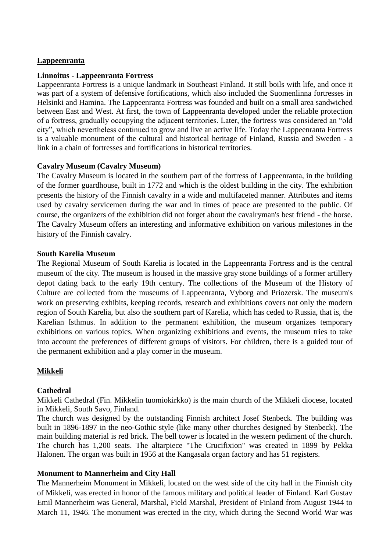# **Lappeenranta**

# **Linnoitus - Lappeenranta Fortress**

Lappeenranta Fortress is a unique landmark in Southeast Finland. It still boils with life, and once it was part of a system of defensive fortifications, which also included the Suomenlinna fortresses in Helsinki and Hamina. The Lappeenranta Fortress was founded and built on a small area sandwiched between East and West. At first, the town of Lappeenranta developed under the reliable protection of a fortress, gradually occupying the adjacent territories. Later, the fortress was considered an "old city", which nevertheless continued to grow and live an active life. Today the Lappeenranta Fortress is a valuable monument of the cultural and historical heritage of Finland, Russia and Sweden - a link in a chain of fortresses and fortifications in historical territories.

# **Cavalry Museum (Cavalry Museum)**

The Cavalry Museum is located in the southern part of the fortress of Lappeenranta, in the building of the former guardhouse, built in 1772 and which is the oldest building in the city. The exhibition presents the history of the Finnish cavalry in a wide and multifaceted manner. Attributes and items used by cavalry servicemen during the war and in times of peace are presented to the public. Of course, the organizers of the exhibition did not forget about the cavalryman's best friend - the horse. The Cavalry Museum offers an interesting and informative exhibition on various milestones in the history of the Finnish cavalry.

# **South Karelia Museum**

The Regional Museum of South Karelia is located in the Lappeenranta Fortress and is the central museum of the city. The museum is housed in the massive gray stone buildings of a former artillery depot dating back to the early 19th century. The collections of the Museum of the History of Culture are collected from the museums of Lappeenranta, Vyborg and Priozersk. The museum's work on preserving exhibits, keeping records, research and exhibitions covers not only the modern region of South Karelia, but also the southern part of Karelia, which has ceded to Russia, that is, the Karelian Isthmus. In addition to the permanent exhibition, the museum organizes temporary exhibitions on various topics. When organizing exhibitions and events, the museum tries to take into account the preferences of different groups of visitors. For children, there is a guided tour of the permanent exhibition and a play corner in the museum.

# **Mikkeli**

# **Cathedral**

Mikkeli Cathedral (Fin. Mikkelin tuomiokirkko) is the main church of the Mikkeli diocese, located in Mikkeli, South Savo, Finland.

The church was designed by the outstanding Finnish architect Josef Stenbeck. The building was built in 1896-1897 in the neo-Gothic style (like many other churches designed by Stenbeck). The main building material is red brick. The bell tower is located in the western pediment of the church. The church has 1,200 seats. The altarpiece "The Crucifixion" was created in 1899 by Pekka Halonen. The organ was built in 1956 at the Kangasala organ factory and has 51 registers.

# **Monument to Mannerheim and City Hall**

The Mannerheim Monument in Mikkeli, located on the west side of the city hall in the Finnish city of Mikkeli, was erected in honor of the famous military and political leader of Finland. Karl Gustav Emil Mannerheim was General, Marshal, Field Marshal, President of Finland from August 1944 to March 11, 1946. The monument was erected in the city, which during the Second World War was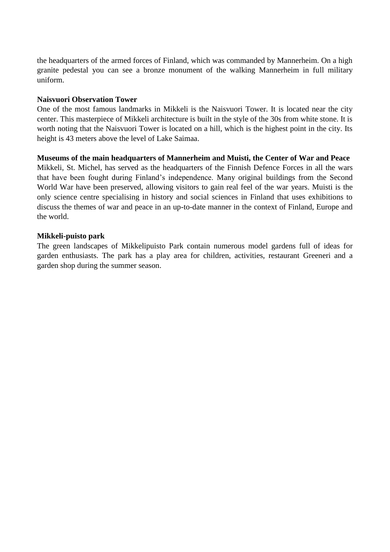the headquarters of the armed forces of Finland, which was commanded by Mannerheim. On a high granite pedestal you can see a bronze monument of the walking Mannerheim in full military uniform.

## **Naisvuori Observation Tower**

One of the most famous landmarks in Mikkeli is the Naisvuori Tower. It is located near the city center. This masterpiece of Mikkeli architecture is built in the style of the 30s from white stone. It is worth noting that the Naisvuori Tower is located on a hill, which is the highest point in the city. Its height is 43 meters above the level of Lake Saimaa.

# **Museums of the main headquarters of Mannerheim and Muisti, the Center of War and Peace**

Mikkeli, St. Michel, has served as the headquarters of the Finnish Defence Forces in all the wars that have been fought during Finland's independence. Many original buildings from the Second World War have been preserved, allowing visitors to gain real feel of the war years. Muisti is the only science centre specialising in history and social sciences in Finland that uses exhibitions to discuss the themes of war and peace in an up-to-date manner in the context of Finland, Europe and the world.

# **Mikkeli-puisto park**

The green landscapes of Mikkelipuisto Park contain numerous model gardens full of ideas for garden enthusiasts. The park has a play area for children, activities, restaurant Greeneri and a garden shop during the summer season.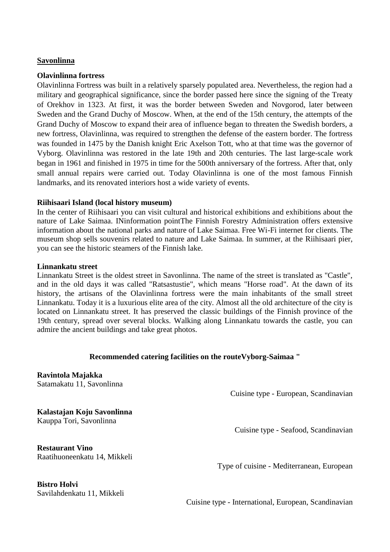## **Savonlinna**

## **Olavinlinna fortress**

Olavinlinna Fortress was built in a relatively sparsely populated area. Nevertheless, the region had a military and geographical significance, since the border passed here since the signing of the Treaty of Orekhov in 1323. At first, it was the border between Sweden and Novgorod, later between Sweden and the Grand Duchy of Moscow. When, at the end of the 15th century, the attempts of the Grand Duchy of Moscow to expand their area of influence began to threaten the Swedish borders, a new fortress, Olavinlinna, was required to strengthen the defense of the eastern border. The fortress was founded in 1475 by the Danish knight Eric Axelson Tott, who at that time was the governor of Vyborg. Olavinlinna was restored in the late 19th and 20th centuries. The last large-scale work began in 1961 and finished in 1975 in time for the 500th anniversary of the fortress. After that, only small annual repairs were carried out. Today Olavinlinna is one of the most famous Finnish landmarks, and its renovated interiors host a wide variety of events.

## **Riihisaari Island (local history museum)**

In the center of Riihisaari you can visit cultural and historical exhibitions and exhibitions about the nature of Lake Saimaa. I[Ninformation pointT](http://visitsavonlinna.fi/ru/)he Finnish Forestry Administration offers extensive information about the national parks and nature of Lake Saimaa. Free Wi-Fi internet for clients. The museum shop sells souvenirs related to nature and Lake Saimaa. In summer, at the Riihisaari pier, you can see the historic steamers of the Finnish lake.

## **Linnankatu street**

Linnankatu Street is the oldest street in Savonlinna. The name of the street is translated as "Castle", and in the old days it was called "Ratsastustie", which means "Horse road". At the dawn of its history, the artisans of the Olavinlinna fortress were the main inhabitants of the small street Linnankatu. Today it is a luxurious elite area of the city. Almost all the old architecture of the city is located on Linnankatu street. It has preserved the classic buildings of the Finnish province of the 19th century, spread over several blocks. Walking along Linnankatu towards the castle, you can admire the ancient buildings and take great photos.

## **Recommended catering facilities on the routeVyborg-Saimaa "**

**Ravintola Majakka** [Satamakatu 11, Savonlinna](https://www.tripadvisor.ru/Restaurant_Review-g189911-d1204012-Reviews-Ravintola_Majakka-Savonlinna_Southern_Savonia.html#MAPVIEW)

Cuisine type - European, Scandinavian

Cuisine type - Seafood, Scandinavian

**Kalastajan Koju Savonlinna** [Kauppa Tori, Savonlinna](https://www.tripadvisor.ru/Restaurant_Review-g189911-d2351638-Reviews-Kalastajan_Koju_Savonlinna-Savonlinna_Southern_Savonia.html#MAPVIEW) 

**Restaurant Vino** [Raatihuoneenkatu 14, Mikkeli](https://www.tripadvisor.ru/Restaurant_Review-g189909-d10508101-Reviews-Restaurant_Vino-Mikkeli_Southern_Savonia.html#MAPVIEW)

Type of cuisine - Mediterranean, European

**Bistro Holvi** [Savilahdenkatu 11, Mikkeli](https://www.tripadvisor.ru/Restaurant_Review-g189909-d14101418-Reviews-Bistro_Holvi-Mikkeli_Southern_Savonia.html#MAPVIEW)

Cuisine type - International, European, Scandinavian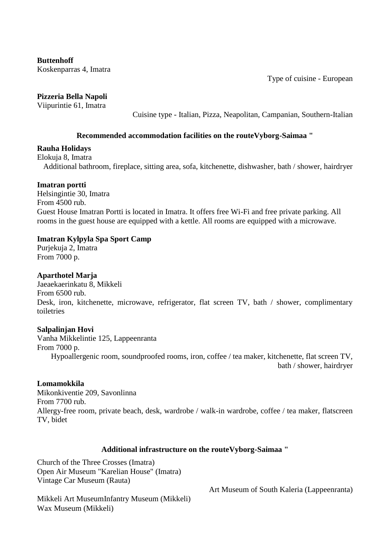**Buttenhoff** [Koskenparras 4, Imatra](https://www.tripadvisor.ru/Restaurant_Review-g226905-d3846781-Reviews-Buttenhoff-Imatra_South_Karelia.html#MAPVIEW)

Type of cuisine - European

# **Pizzeria Bella Napoli**

[Viipurintie 61, Imatra](https://www.tripadvisor.ru/Restaurant_Review-g226905-d10400227-Reviews-Pizzeria_Bella_Napoli-Imatra_South_Karelia.html#MAPVIEW)

Cuisine type - Italian, Pizza, Neapolitan, Campanian, Southern-Italian

## **Recommended accommodation facilities on the routeVyborg-Saimaa "**

# **Rauha Holidays**

Elokuja 8, Imatra

Additional bathroom, fireplace, sitting area, sofa, kitchenette, dishwasher, bath / shower, hairdryer

## **Imatran portti**

Helsingintie 30, Imatra From 4500 rub. Guest House Imatran Portti is located in Imatra. It offers free Wi-Fi and free private parking. All rooms in the guest house are equipped with a kettle. All rooms are equipped with a microwave.

# **Imatran Kylpyla Spa Sport Camp**

Purjekuja 2, Imatra From 7000 p.

# **Aparthotel Marja**

Jaeaekaerinkatu 8, Mikkeli From 6500 rub. Desk, iron, kitchenette, microwave, refrigerator, flat screen TV, bath / shower, complimentary toiletries

# **Salpalinjan Hovi**

Vanha Mikkelintie 125, Lappeenranta From 7000 p. Hypoallergenic room, soundproofed rooms, iron, coffee / tea maker, kitchenette, flat screen TV, bath / shower, hairdryer

## **Lomamokkila**

Mikonkiventie 209, Savonlinna From 7700 rub. Allergy-free room, private beach, desk, wardrobe / walk-in wardrobe, coffee / tea maker, flatscreen TV, bidet

# **Additional infrastructure on the routeVyborg-Saimaa "**

Church of the Three Crosses (Imatra) Open Air Museum "Karelian House" (Imatra) Vintage Car Museum (Rauta)

Art Museum of South Kaleria (Lappeenranta)

Mikkeli Art MuseumInfantry Museum (Mikkeli) Wax Museum (Mikkeli)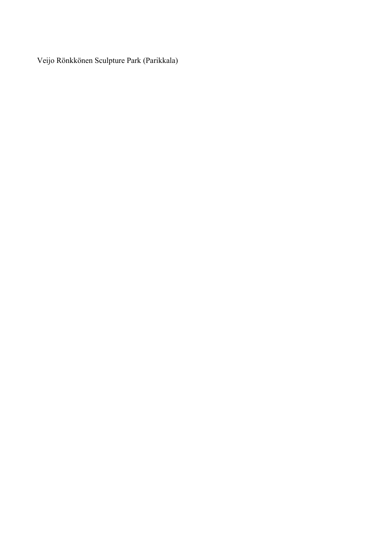Veijo Rönkkönen Sculpture Park (Parikkala)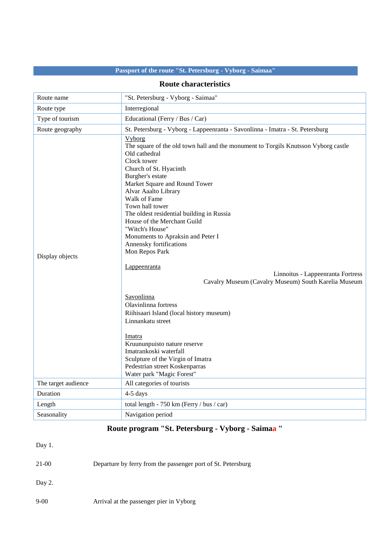# **Passport of the route "St. Petersburg - Vyborg - Saimaa"**

# **Route characteristics**

| Route name          | "St. Petersburg - Vyborg - Saimaa"                                                                                                                                                                                                                                                                                                                                                                                                                                                                                                                                                                                                                                                                                                                                                                                                                         |
|---------------------|------------------------------------------------------------------------------------------------------------------------------------------------------------------------------------------------------------------------------------------------------------------------------------------------------------------------------------------------------------------------------------------------------------------------------------------------------------------------------------------------------------------------------------------------------------------------------------------------------------------------------------------------------------------------------------------------------------------------------------------------------------------------------------------------------------------------------------------------------------|
| Route type          | Interregional                                                                                                                                                                                                                                                                                                                                                                                                                                                                                                                                                                                                                                                                                                                                                                                                                                              |
| Type of tourism     | Educational (Ferry / Bus / Car)                                                                                                                                                                                                                                                                                                                                                                                                                                                                                                                                                                                                                                                                                                                                                                                                                            |
| Route geography     | St. Petersburg - Vyborg - Lappeenranta - Savonlinna - Imatra - St. Petersburg                                                                                                                                                                                                                                                                                                                                                                                                                                                                                                                                                                                                                                                                                                                                                                              |
| Display objects     | <b>Vyborg</b><br>The square of the old town hall and the monument to Torgils Knutsson Vyborg castle<br>Old cathedral<br>Clock tower<br>Church of St. Hyacinth<br>Burgher's estate<br>Market Square and Round Tower<br>Alvar Aaalto Library<br>Walk of Fame<br>Town hall tower<br>The oldest residential building in Russia<br>House of the Merchant Guild<br>"Witch's House"<br>Monuments to Apraksin and Peter I<br>Annensky fortifications<br>Mon Repos Park<br>Lappeenranta<br>Linnoitus - Lappeenranta Fortress<br>Cavalry Museum (Cavalry Museum) South Karelia Museum<br>Savonlinna<br>Olavinlinna fortress<br>Riihisaari Island (local history museum)<br>Linnankatu street<br>Imatra<br>Kruununpuisto nature reserve<br>Imatrankoski waterfall<br>Sculpture of the Virgin of Imatra<br>Pedestrian street Koskenparras<br>Water park "Magic Forest" |
| The target audience | All categories of tourists                                                                                                                                                                                                                                                                                                                                                                                                                                                                                                                                                                                                                                                                                                                                                                                                                                 |
| Duration            | 4-5 days                                                                                                                                                                                                                                                                                                                                                                                                                                                                                                                                                                                                                                                                                                                                                                                                                                                   |
| Length              | total length - 750 km (Ferry / bus / car)                                                                                                                                                                                                                                                                                                                                                                                                                                                                                                                                                                                                                                                                                                                                                                                                                  |
| Seasonality         | Navigation period                                                                                                                                                                                                                                                                                                                                                                                                                                                                                                                                                                                                                                                                                                                                                                                                                                          |

# **Route program "St. Petersburg - Vyborg - Saimaa "**

| Day 1.   |                                                              |
|----------|--------------------------------------------------------------|
| 21-00    | Departure by ferry from the passenger port of St. Petersburg |
| Day 2.   |                                                              |
| $9 - 00$ | Arrival at the passenger pier in Vyborg                      |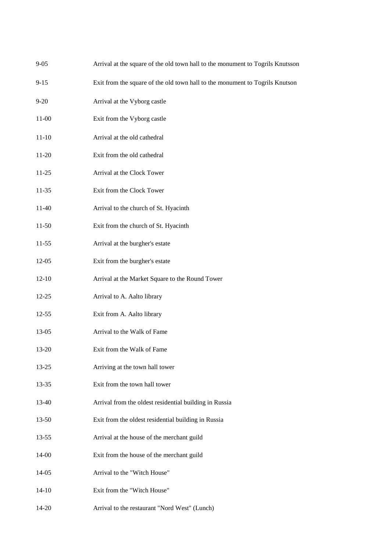| $9 - 05$  | Arrival at the square of the old town hall to the monument to Togrils Knutsson |
|-----------|--------------------------------------------------------------------------------|
| $9 - 15$  | Exit from the square of the old town hall to the monument to Togrils Knutson   |
| $9 - 20$  | Arrival at the Vyborg castle                                                   |
| 11-00     | Exit from the Vyborg castle                                                    |
| 11-10     | Arrival at the old cathedral                                                   |
| $11-20$   | Exit from the old cathedral                                                    |
| 11-25     | Arrival at the Clock Tower                                                     |
| 11-35     | Exit from the Clock Tower                                                      |
| 11-40     | Arrival to the church of St. Hyacinth                                          |
| $11-50$   | Exit from the church of St. Hyacinth                                           |
| 11-55     | Arrival at the burgher's estate                                                |
| 12-05     | Exit from the burgher's estate                                                 |
| $12-10$   | Arrival at the Market Square to the Round Tower                                |
| 12-25     | Arrival to A. Aalto library                                                    |
| $12 - 55$ | Exit from A. Aalto library                                                     |
| 13-05     | Arrival to the Walk of Fame                                                    |
| 13-20     | Exit from the Walk of Fame                                                     |
| 13-25     | Arriving at the town hall tower                                                |
| 13-35     | Exit from the town hall tower                                                  |
| 13-40     | Arrival from the oldest residential building in Russia                         |
| 13-50     | Exit from the oldest residential building in Russia                            |
| 13-55     | Arrival at the house of the merchant guild                                     |
| 14-00     | Exit from the house of the merchant guild                                      |
| 14-05     | Arrival to the "Witch House"                                                   |
| 14-10     | Exit from the "Witch House"                                                    |
| 14-20     | Arrival to the restaurant "Nord West" (Lunch)                                  |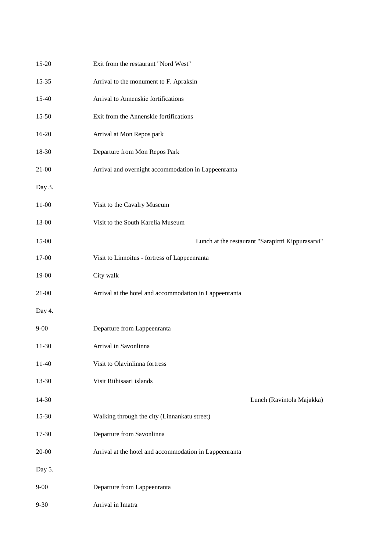| 15-20     | Exit from the restaurant "Nord West"                   |
|-----------|--------------------------------------------------------|
| 15-35     | Arrival to the monument to F. Apraksin                 |
| 15-40     | Arrival to Annenskie fortifications                    |
| 15-50     | Exit from the Annenskie fortifications                 |
| 16-20     | Arrival at Mon Repos park                              |
| 18-30     | Departure from Mon Repos Park                          |
| $21 - 00$ | Arrival and overnight accommodation in Lappeenranta    |
| Day 3.    |                                                        |
| $11-00$   | Visit to the Cavalry Museum                            |
| 13-00     | Visit to the South Karelia Museum                      |
| 15-00     | Lunch at the restaurant "Sarapirtti Kippurasarvi"      |
| 17-00     | Visit to Linnoitus - fortress of Lappeenranta          |
| 19-00     | City walk                                              |
| $21-00$   | Arrival at the hotel and accommodation in Lappeenranta |
| Day 4.    |                                                        |
| $9 - 00$  | Departure from Lappeenranta                            |
| 11-30     | Arrival in Savonlinna                                  |
| $11-40$   | Visit to Olavinlinna fortress                          |
| 13-30     | Visit Riihisaari islands                               |
| 14-30     | Lunch (Ravintola Majakka)                              |
| 15-30     | Walking through the city (Linnankatu street)           |
| 17-30     | Departure from Savonlinna                              |
| $20 - 00$ | Arrival at the hotel and accommodation in Lappeenranta |
| Day 5.    |                                                        |
| $9 - 00$  | Departure from Lappeenranta                            |
| $9 - 30$  | Arrival in Imatra                                      |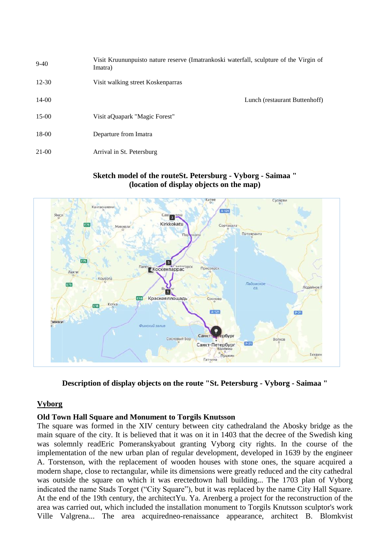| $9-40$    | Visit Kruununpuisto nature reserve (Imatrankoski waterfall, sculpture of the Virgin of<br>Imatra) |
|-----------|---------------------------------------------------------------------------------------------------|
| $12 - 30$ | Visit walking street Koskenparras                                                                 |
| 14-00     | Lunch (restaurant Buttenhoff)                                                                     |
| $15-00$   | Visit aQuapark "Magic Forest"                                                                     |
| 18-00     | Departure from Imatra                                                                             |
| 21-00     | Arrival in St. Petersburg                                                                         |

## **Sketch model of the routeSt. Petersburg - Vyborg - Saimaa " (location of display objects on the map)**



**Description of display objects on the route "St. Petersburg - Vyborg - Saimaa "**

# **Vyborg**

# **Old Town Hall Square and Monument to Torgils Knutsson**

The square was formed in the XIV century between [city cathedrala](https://ru.wikipedia.org/wiki/%D0%A1%D1%82%D0%B0%D1%80%D1%8B%D0%B9_%D0%BA%D0%B0%D1%84%D0%B5%D0%B4%D1%80%D0%B0%D0%BB%D1%8C%D0%BD%D1%8B%D0%B9_%D1%81%D0%BE%D0%B1%D0%BE%D1%80_(%D0%92%D1%8B%D0%B1%D0%BE%D1%80%D0%B3))nd the Abosky bridge as the main square of the city. It is believed that it was on it in 1403 that the decree of the Swedish king was solemnly rea[dEric Pomeranskya](https://ru.wikipedia.org/wiki/%D0%AD%D1%80%D0%B8%D0%BA_%D0%9F%D0%BE%D0%BC%D0%B5%D1%80%D0%B0%D0%BD%D1%81%D0%BA%D0%B8%D0%B9)bout granting Vyborg city rights. In the course of the implementation of the new urban plan of regular development, developed in 1639 by the engineer A. Torstenson, with the replacement of wooden houses with stone ones, the square acquired a modern shape, close to rectangular, while its dimensions were greatly reduced and the city cathedral was outside the square on which it was erecte[dtown hall building.](https://ru.wikipedia.org/wiki/%D0%92%D1%8B%D0%B1%D0%BE%D1%80%D0%B3%D1%81%D0%BA%D0%B0%D1%8F_%D1%80%D0%B0%D1%82%D1%83%D1%88%D0%B0).. The 1703 plan of Vyborg indicated the name Stads Torget ("City Square"), but it was replaced by the name City Hall Square. At the end of the 19th century, the architec[tYu. Ya. Arenberg](https://ru.wikipedia.org/wiki/%D0%90%D1%80%D0%B5%D0%BD%D0%B1%D0%B5%D1%80%D0%B3,_%D0%AE%D1%85%D0%B0%D0%BD_%D0%AF%D0%BA%D0%BE%D0%B1) a project for the reconstruction of the area was carried out, which included the installation [monument to Torgils Knutsson](https://ru.wikipedia.org/wiki/%D0%9F%D0%B0%D0%BC%D1%8F%D1%82%D0%BD%D0%B8%D0%BA_%D0%A2%D0%BE%D1%80%D0%B3%D0%B8%D0%BB%D1%8C%D1%81%D1%83_%D0%9A%D0%BD%D1%83%D1%82%D1%81%D1%81%D0%BE%D0%BD%D1%83) sculptor's work [Ville Valgrena.](https://ru.wikipedia.org/wiki/%D0%92%D0%B0%D0%BB%D1%8C%D0%B3%D1%80%D0%B5%D0%BD,_%D0%92%D0%B8%D0%BB%D0%BB%D0%B5).. The area acquire[dneo-renaissance](https://ru.wikipedia.org/wiki/%D0%9D%D0%B5%D0%BE%D1%80%D0%B5%D0%BD%D0%B5%D1%81%D1%81%D0%B0%D0%BD%D1%81) appearance, architect [B. Blomkvist](https://ru.wikipedia.org/wiki/%D0%91%D0%BB%D0%BE%D0%BC%D0%BA%D0%B2%D0%B8%D1%81%D1%82,_%D0%99%D0%BE%D1%85%D0%B0%D0%BD_%D0%91%D1%80%D1%8E%D0%BD%D0%BE%D0%BB%D1%8C%D1%84)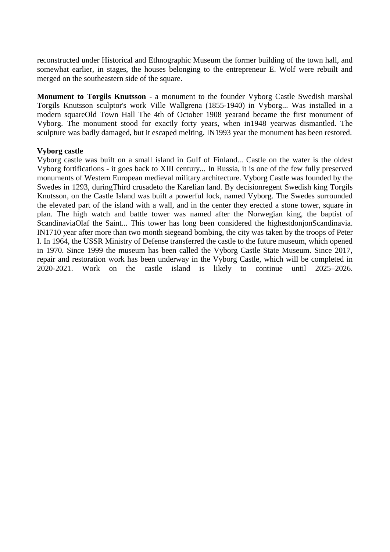reconstructed under [Historical and Ethnographic Museum](https://fi.wikipedia.org/wiki/Viipurin_historiallinen_museo) the former building of the town hall, and somewhat earlier, in stages, the houses belonging to the entrepreneur E. Wolf were rebuilt and merged on the southeastern side of the square.

**Monument to Torgils Knutsson** - a monument to the founder [Vyborg Castle](https://ru.wikipedia.org/wiki/%D0%92%D1%8B%D0%B1%D0%BE%D1%80%D0%B3%D1%81%D0%BA%D0%B8%D0%B9_%D0%B7%D0%B0%D0%BC%D0%BE%D0%BA) Swedish marshal [Torgils Knutsson](https://ru.wikipedia.org/wiki/%D0%A2%D0%BE%D1%80%D0%B3%D0%B8%D0%BB%D1%8C%D1%81_%D0%9A%D0%BD%D1%83%D1%82%D1%81%D1%81%D0%BE%D0%BD) sculptor's work [Ville Wallgrena](https://ru.wikipedia.org/wiki/%D0%92%D0%B0%D0%BB%D0%BB%D1%8C%D0%B3%D1%80%D0%B5%D0%BD,_%D0%92%D0%B8%D0%BB%D0%BB%D0%B5) [\(1855-](https://ru.wikipedia.org/wiki/1855)[1940\)](https://ru.wikipedia.org/wiki/1940) in [Vyborg.](https://ru.wikipedia.org/wiki/%D0%92%D1%8B%D0%B1%D0%BE%D1%80%D0%B3).. Was installed in a modern squar[eOld Town Hall](https://ru.wikipedia.org/wiki/%D0%92%D1%8B%D0%B1%D0%BE%D1%80%D0%B3%D1%81%D0%BA%D0%B0%D1%8F_%D1%80%D0%B0%D1%82%D1%83%D1%88%D0%B0) [The 4th of October](https://ru.wikipedia.org/wiki/4_%D0%BE%D0%BA%D1%82%D1%8F%D0%B1%D1%80%D1%8F) [1908 yeara](https://ru.wikipedia.org/wiki/1908_%D0%B3%D0%BE%D0%B4)nd became the first monument of Vyborg. The monument stood for exactly forty years, when i[n1948 yearw](https://ru.wikipedia.org/wiki/1948_%D0%B3%D0%BE%D0%B4)as dismantled. The sculpture was badly damaged, but it escaped melting. I[N1993 year](https://ru.wikipedia.org/wiki/1993_%D0%B3%D0%BE%D0%B4) the monument has been restored.

## **Vyborg castle**

Vyborg castle was built on a small [island](https://ru.wikipedia.org/wiki/%D0%97%D0%B0%D0%BC%D0%BA%D0%BE%D0%B2%D1%8B%D0%B9_(%D0%BE%D1%81%D1%82%D1%80%D0%BE%D0%B2,_%D0%92%D1%8B%D0%B1%D0%BE%D1%80%D0%B3)) in [Gulf of Finland.](https://ru.wikipedia.org/wiki/%D0%A4%D0%B8%D0%BD%D1%81%D0%BA%D0%B8%D0%B9_%D0%B7%D0%B0%D0%BB%D0%B8%D0%B2).. [Castle on the water](https://ru.wikipedia.org/wiki/%D0%97%D0%B0%D0%BC%D0%BE%D0%BA_%D0%BD%D0%B0_%D0%B2%D0%BE%D0%B4%D0%B5) is the oldest [Vyborg](https://ru.wikipedia.org/wiki/%D0%92%D1%8B%D0%B1%D0%BE%D1%80%D0%B3) fortifications - it goes back to [XIII century.](https://ru.wikipedia.org/wiki/XIII_%D0%B2%D0%B5%D0%BA).. In Russia, it is one of the few fully preserved monuments of Western European medieval military architecture. Vyborg Castle was founded by the Swedes in 1293, durin[gThird crusadet](https://ru.wikipedia.org/wiki/%D0%A2%D1%80%D0%B5%D1%82%D0%B8%D0%B9_%D1%88%D0%B2%D0%B5%D0%B4%D1%81%D0%BA%D0%B8%D0%B9_%D0%BA%D1%80%D0%B5%D1%81%D1%82%D0%BE%D0%B2%D1%8B%D0%B9_%D0%BF%D0%BE%D1%85%D0%BE%D0%B4)o the Karelian land. By decisio[nregent](https://ru.wikipedia.org/wiki/%D0%A0%D0%B5%D0%B3%D0%B5%D0%BD%D1%82) [Swedish king](https://ru.wikipedia.org/wiki/%D0%91%D0%B8%D1%80%D0%B3%D0%B5%D1%80_%D0%9C%D0%B0%D0%B3%D0%BD%D1%83%D1%81%D1%81%D0%BE%D0%BD_(%D0%BA%D0%BE%D1%80%D0%BE%D0%BB%D1%8C_%D0%A8%D0%B2%D0%B5%D1%86%D0%B8%D0%B8)) [Torgils](https://ru.wikipedia.org/wiki/%D0%A2%D0%BE%D1%80%D0%B3%D0%B8%D0%BB%D1%8C%D1%81_%D0%9A%D0%BD%D1%83%D1%82%D1%81%D1%81%D0%BE%D0%BD)  [Knutsson,](https://ru.wikipedia.org/wiki/%D0%A2%D0%BE%D1%80%D0%B3%D0%B8%D0%BB%D1%8C%D1%81_%D0%9A%D0%BD%D1%83%D1%82%D1%81%D1%81%D0%BE%D0%BD) on the Castle Island was built a powerful [lock,](https://ru.wikipedia.org/wiki/%D0%97%D0%B0%D0%BC%D0%BE%D0%BA_(%D1%81%D1%82%D1%80%D0%BE%D0%B5%D0%BD%D0%B8%D0%B5)) named Vyborg. The Swedes surrounded the elevated part of the island with a wall, and in the center they erected a stone tower, square in plan. The high watch and battle tower was named after the Norwegian king, the baptist of Scandinavi[aOlaf the Saint.](https://ru.wikipedia.org/wiki/%D0%9E%D0%BB%D0%B0%D1%84_II).. This tower has long been considered the highes[tdonjonS](https://ru.wikipedia.org/wiki/%D0%94%D0%BE%D0%BD%D0%B6%D0%BE%D0%BD)candinavia. I[N1710](https://ru.wikipedia.org/wiki/1710_%D0%B3%D0%BE%D0%B4) year after more than [two month siegea](https://ru.wikipedia.org/wiki/%D0%9E%D1%81%D0%B0%D0%B4%D0%B0_%D0%92%D1%8B%D0%B1%D0%BE%D1%80%D0%B3%D0%B0_(1710))nd bombing, the city was taken by the troops of Peter I. In 1964, the USSR Ministry of Defense transferred the castle to the future museum, which opened in 1970. Since 1999 the museum has been called the Vyborg Castle State Museum. Since 2017, repair and restoration work has been underway in the Vyborg Castle, which will be completed in 2020-2021. Work on the castle island is likely to continue until 2025–2026.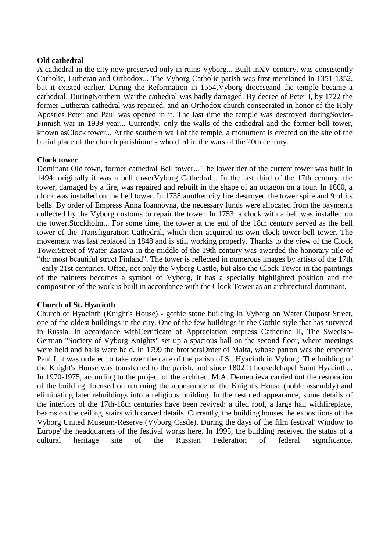#### **Old cathedral**

A cathedral in the city now preserved only in ruins [Vyborg.](https://ru.wikipedia.org/wiki/%D0%92%D1%8B%D0%B1%D0%BE%D1%80%D0%B3).. Built i[nXV century,](https://ru.wikipedia.org/wiki/XV_%D0%B2%D0%B5%D0%BA) was consistently [Catholic,](https://ru.wikipedia.org/wiki/%D0%9A%D0%B0%D1%82%D0%BE%D0%BB%D0%B8%D1%87%D0%B5%D1%81%D1%82%D0%B2%D0%BE) [Lutheran](https://ru.wikipedia.org/wiki/%D0%9B%D1%8E%D1%82%D0%B5%D1%80%D0%B0%D0%BD%D1%81%D1%82%D0%B2%D0%BE) and [Orthodox.](https://ru.wikipedia.org/wiki/%D0%9F%D1%80%D0%B0%D0%B2%D0%BE%D1%81%D0%BB%D0%B0%D0%B2%D0%B8%D0%B5).. The Vyborg Catholic parish was first mentioned in 1351-1352, but it existed earlier. During the Reformation in 1554[,Vyborg diocesea](https://ru.wikipedia.org/wiki/%D0%92%D1%8B%D0%B1%D0%BE%D1%80%D0%B3%D1%81%D0%BA%D0%B0%D1%8F_%D0%B5%D0%BF%D0%B0%D1%80%D1%85%D0%B8%D1%8F_(%D0%BB%D1%8E%D1%82%D0%B5%D1%80%D0%B0%D0%BD%D1%81%D0%BA%D0%B0%D1%8F))nd the temple became a cathedral. Durin[gNorthern Wart](https://ru.wikipedia.org/wiki/%D0%A1%D0%B5%D0%B2%D0%B5%D1%80%D0%BD%D0%B0%D1%8F_%D0%B2%D0%BE%D0%B9%D0%BD%D0%B0)he cathedral was badly damaged. By decree of Peter I, by 1722 the former Lutheran cathedral was repaired, and an Orthodox church consecrated in honor of the Holy Apostles Peter and Paul was opened in it. The last time the temple was destroyed durin[gSoviet-](https://ru.wikipedia.org/wiki/%D0%A1%D0%BE%D0%B2%D0%B5%D1%82%D1%81%D0%BA%D0%BE-%D1%84%D0%B8%D0%BD%D1%81%D0%BA%D0%B8%D0%B5_%D0%B2%D0%BE%D0%B9%D0%BD%D1%8B)[Finnish war](https://ru.wikipedia.org/wiki/%D0%A1%D0%BE%D0%B2%D0%B5%D1%82%D1%81%D0%BA%D0%BE-%D1%84%D0%B8%D0%BD%D1%81%D0%BA%D0%B8%D0%B5_%D0%B2%D0%BE%D0%B9%D0%BD%D1%8B) in [1939 year.](https://ru.wikipedia.org/wiki/1939_%D0%B3%D0%BE%D0%B4).. Currently, only the walls of the cathedral and the former bell tower, known a[sClock tower.](https://ru.wikipedia.org/wiki/%D0%A7%D0%B0%D1%81%D0%BE%D0%B2%D0%B0%D1%8F_%D0%B1%D0%B0%D1%88%D0%BD%D1%8F_(%D0%92%D1%8B%D0%B1%D0%BE%D1%80%D0%B3)).. At the southern wall of the temple, a monument is erected on the site of the burial place of the church parishioners who died in the wars of the 20th century.

#### **Clock tower**

Dominant [Old town,](https://ru.wikipedia.org/wiki/%D0%A1%D1%82%D0%B0%D1%80%D1%8B%D0%B9_%D0%B3%D0%BE%D1%80%D0%BE%D0%B4_(%D0%92%D1%8B%D0%B1%D0%BE%D1%80%D0%B3)) former cathedral [Bell tower.](https://ru.wikipedia.org/wiki/%D0%9A%D0%BE%D0%BB%D0%BE%D0%BA%D0%BE%D0%BB%D1%8C%D0%BD%D1%8F).. The lower tier of the current tower was built in 1494; originally it was a bell towe[rVyborg Cathedral.](https://ru.wikipedia.org/wiki/%D0%A1%D1%82%D0%B0%D1%80%D1%8B%D0%B9_%D0%BA%D0%B0%D1%84%D0%B5%D0%B4%D1%80%D0%B0%D0%BB%D1%8C%D0%BD%D1%8B%D0%B9_%D1%81%D0%BE%D0%B1%D0%BE%D1%80_(%D0%92%D1%8B%D0%B1%D0%BE%D1%80%D0%B3)).. In the last third of the 17th century, the tower, damaged by a fire, was repaired and rebuilt in the shape of an octagon on a four. In 1660, a clock was installed on the bell tower. In 1738 another city fire destroyed the tower spire and 9 of its bells. By order of Empress Anna Ioannovna, the necessary funds were allocated from the payments collected by the Vyborg customs to repair the tower. In 1753, a clock with a bell was installed on the tower[.Stockholm.](https://ru.wikipedia.org/wiki/%D0%A1%D1%82%D0%BE%D0%BA%D0%B3%D0%BE%D0%BB%D1%8C%D0%BC).. For some time, the tower at the end of the 18th century served as the bell tower of the Transfiguration Cathedral, which then acquired its own clock tower-bell tower. The movement was last replaced in 1848 and is still working properly. Thanks to the view of the Clock Towe[rStreet of Water Zastava](https://ru.wikipedia.org/wiki/%D0%A3%D0%BB%D0%B8%D1%86%D0%B0_%D0%92%D0%BE%D0%B4%D0%BD%D0%BE%D0%B9_%D0%97%D0%B0%D1%81%D1%82%D0%B0%D0%B2%D1%8B) in the middle of the 19th century was awarded the honorary title of "the most beautiful street [Finland"](https://ru.wikipedia.org/wiki/%D0%92%D0%B5%D0%BB%D0%B8%D0%BA%D0%BE%D0%B5_%D0%BA%D0%BD%D1%8F%D0%B6%D0%B5%D1%81%D1%82%D0%B2%D0%BE_%D0%A4%D0%B8%D0%BD%D0%BB%D1%8F%D0%BD%D0%B4%D1%81%D0%BA%D0%BE%D0%B5). The tower is reflected in numerous images by artists of the 17th - early 21st centuries. Often, not only the Vyborg Castle, but also the Clock Tower in the paintings of the painters becomes a symbol of Vyborg, it has a specially highlighted position and the composition of the work is built in accordance with the Clock Tower as an architectural dominant.

## **Church of St. Hyacinth**

Church of Hyacinth (Knight's House) - [gothic](https://ru.wikipedia.org/wiki/%D0%93%D0%BE%D1%82%D0%B8%D0%BA%D0%B0) stone building in [Vyborg](https://ru.wikipedia.org/wiki/%D0%92%D1%8B%D0%B1%D0%BE%D1%80%D0%B3) on [Water Outpost Street,](https://ru.wikipedia.org/wiki/%D0%A3%D0%BB%D0%B8%D1%86%D0%B0_%D0%92%D0%BE%D0%B4%D0%BD%D0%BE%D0%B9_%D0%97%D0%B0%D1%81%D1%82%D0%B0%D0%B2%D1%8B) one of the oldest buildings in the city. One of the few buildings in the Gothic style that has survived in Russia. In accordance wit[hCertificate of Appreciation](https://ru.wikipedia.org/wiki/%D0%96%D0%B0%D0%BB%D0%BE%D0%B2%D0%B0%D0%BD%D0%BD%D0%B0%D1%8F_%D0%B3%D1%80%D0%B0%D0%BC%D0%BE%D1%82%D0%B0_%D0%B4%D0%B2%D0%BE%D1%80%D1%8F%D0%BD%D1%81%D1%82%D0%B2%D1%83) empress [Catherine II,](https://ru.wikipedia.org/wiki/%D0%95%D0%BA%D0%B0%D1%82%D0%B5%D1%80%D0%B8%D0%BD%D0%B0_II) The Swedish-German "Society of Vyborg Knights" set up a spacious hall on the second floor, where meetings were held and balls were held. In 1799 the brother[sOrder of Malta,](https://ru.wikipedia.org/wiki/%D0%9C%D0%B0%D0%BB%D1%8C%D1%82%D0%B8%D0%B9%D1%81%D0%BA%D0%B8%D0%B9_%D0%BE%D1%80%D0%B4%D0%B5%D0%BD) whose patron was the emperor [Paul I,](https://ru.wikipedia.org/wiki/%D0%9F%D0%B0%D0%B2%D0%B5%D0%BB_I) it was ordered to take over the care of the parish of St. Hyacinth in Vyborg. The building of the Knight's House was transferred to the parish, and since 1802 it house[dchapel](https://ru.wikipedia.org/wiki/%D0%A7%D0%B0%D1%81%D0%BE%D0%B2%D0%BD%D1%8F) [Saint Hyacinth.](https://ru.wikipedia.org/wiki/%D0%9E%D0%B4%D1%80%D0%BE%D0%B2%D0%BE%D0%BD%D0%B6,_%D0%AF%D1%86%D0%B5%D0%BA).. In 1970-1975, according to the project of the architect M.A. Dementieva carried out the restoration of the building, focused on returning the appearance of the Knight's House (noble assembly) and eliminating later rebuildings into a religious building. In the restored appearance, some details of the interiors of the 17th-18th centuries have been revived: a tiled roof, a large hall wit[hfireplace,](https://ru.wikipedia.org/wiki/%D0%9A%D0%B0%D0%BC%D0%B8%D0%BD) beams on the ceiling, stairs with carved details. Currently, the building houses the expositions of the Vyborg United Museum-Reserve (Vyborg Castle). During the days of the film festiva[l"Window to](https://ru.wikipedia.org/wiki/%D0%9E%D0%BA%D0%BD%D0%BE_%D0%B2_%D0%95%D0%B2%D1%80%D0%BE%D0%BF%D1%83_(%D0%BA%D0%B8%D0%BD%D0%BE%D1%84%D0%B5%D1%81%D1%82%D0%B8%D0%B2%D0%B0%D0%BB%D1%8C))  [Europe"t](https://ru.wikipedia.org/wiki/%D0%9E%D0%BA%D0%BD%D0%BE_%D0%B2_%D0%95%D0%B2%D1%80%D0%BE%D0%BF%D1%83_(%D0%BA%D0%B8%D0%BD%D0%BE%D1%84%D0%B5%D1%81%D1%82%D0%B8%D0%B2%D0%B0%D0%BB%D1%8C))he headquarters of the festival works here. In 1995, the building received the status of a cultural heritage site of the Russian Federation of federal significance.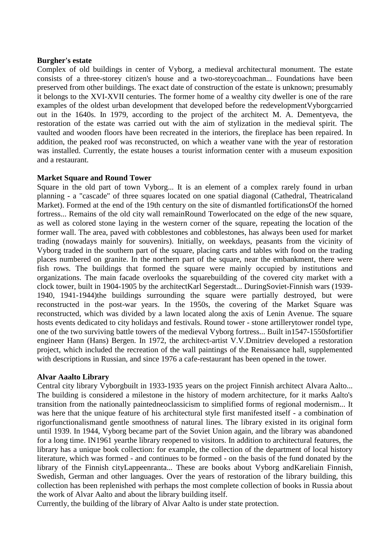#### **Burgher's estate**

Complex of old buildings in [center of Vyborg,](https://ru.wikipedia.org/wiki/%D0%A1%D1%82%D0%B0%D1%80%D1%8B%D0%B9_%D0%B3%D0%BE%D1%80%D0%BE%D0%B4_(%D0%92%D1%8B%D0%B1%D0%BE%D1%80%D0%B3)) a medieval architectural monument. The estate consists of a three-storey citizen's house and a two-store[ycoachman.](https://ru.wikipedia.org/wiki/%D0%9A%D0%B0%D1%80%D0%B5%D1%82%D0%BD%D0%B8%D0%BA_(%D0%BF%D0%BE%D1%81%D1%82%D1%80%D0%BE%D0%B9%D0%BA%D0%B0)).. Foundations have been preserved from other buildings. The exact date of construction of the estate is unknown; presumably it belongs to the XVI-XVII centuries. The former home of a wealthy city dweller is one of the rare examples of the oldest urban development that developed before the redevelopmen[tVyborgc](https://ru.wikipedia.org/wiki/%D0%92%D1%8B%D0%B1%D0%BE%D1%80%D0%B3)arried out in the 1640s. In 1979, according to the project of the architect M. A. Dementyeva, the restoration of the estate was carried out with the aim of stylization in the medieval spirit. The vaulted and wooden floors have been recreated in the interiors, the fireplace has been repaired. In addition, the peaked roof was reconstructed, on which a weather vane with the year of restoration was installed. Currently, the estate houses a tourist information center with a museum exposition and a restaurant.

## **Market Square and Round Tower**

[Square](https://ru.wikipedia.org/wiki/%D0%9F%D0%BB%D0%BE%D1%89%D0%B0%D0%B4%D1%8C_(%D0%B0%D1%80%D1%85%D0%B8%D1%82%D0%B5%D0%BA%D1%82%D1%83%D1%80%D0%B0)) in the old part of town [Vyborg.](https://ru.wikipedia.org/wiki/%D0%92%D1%8B%D0%B1%D0%BE%D1%80%D0%B3).. It is an element of a complex rarely found in urban planning - a "cascade" of three squares located on one spatial diagonal [\(Cathedral,](https://ru.wikipedia.org/wiki/%D0%A1%D0%BE%D0%B1%D0%BE%D1%80%D0%BD%D0%B0%D1%8F_%D0%BF%D0%BB%D0%BE%D1%89%D0%B0%D0%B4%D1%8C_(%D0%92%D1%8B%D0%B1%D0%BE%D1%80%D0%B3)) [Theatricala](https://ru.wikipedia.org/wiki/%D0%A2%D0%B5%D0%B0%D1%82%D1%80%D0%B0%D0%BB%D1%8C%D0%BD%D0%B0%D1%8F_%D0%BF%D0%BB%D0%BE%D1%89%D0%B0%D0%B4%D1%8C_(%D0%92%D1%8B%D0%B1%D0%BE%D1%80%D0%B3))nd Market). Formed at the end of the 19th century on the site of dismantled fortification[sOf the horned](https://ru.wikipedia.org/wiki/%D0%92%D1%8B%D0%B1%D0%BE%D1%80%D0%B3%D1%81%D0%BA%D0%B0%D1%8F_%D0%B3%D0%BE%D1%80%D0%BE%D0%B4%D1%81%D0%BA%D0%B0%D1%8F_%D1%81%D1%82%D0%B5%D0%BD%D0%B0)  [fortress.](https://ru.wikipedia.org/wiki/%D0%92%D1%8B%D0%B1%D0%BE%D1%80%D0%B3%D1%81%D0%BA%D0%B0%D1%8F_%D0%B3%D0%BE%D1%80%D0%BE%D0%B4%D1%81%D0%BA%D0%B0%D1%8F_%D1%81%D1%82%D0%B5%D0%BD%D0%B0).. Remains of the old city wall remai[nRound Towerl](https://ru.wikipedia.org/wiki/%D0%9A%D1%80%D1%83%D0%B3%D0%BB%D0%B0%D1%8F_%D0%B1%D0%B0%D1%88%D0%BD%D1%8F_(%D0%92%D1%8B%D0%B1%D0%BE%D1%80%D0%B3))ocated on the edge of the new square, as well as colored stone laying in the western corner of the square, repeating the location of the former wall. The area, paved with cobblestones and cobblestones, has always been used for market trading (nowadays mainly for souvenirs). Initially, on weekdays, peasants from the vicinity of Vyborg traded in the southern part of the square, placing carts and tables with food on the trading places numbered on granite. In the northern part of the square, near the embankment, there were fish rows. The buildings that formed the square were mainly occupied by institutions and organizations. The main facade overlooks the squar[ebuilding of the covered city](https://ru.wikipedia.org/wiki/%D0%92%D1%8B%D0%B1%D0%BE%D1%80%D0%B3%D1%81%D0%BA%D0%B8%D0%B9_%D1%80%D1%8B%D0%BD%D0%BE%D0%BA) market with a [clock tower,](https://ru.wikipedia.org/wiki/%D0%92%D1%8B%D0%B1%D0%BE%D1%80%D0%B3%D1%81%D0%BA%D0%B8%D0%B9_%D1%80%D1%8B%D0%BD%D0%BE%D0%BA) built in 1904-1905 by the architec[tKarl Segerstadt.](https://ru.wikipedia.org/wiki/%D0%A5%D0%BE%D1%80%D0%B4_%D0%B0%D1%84_%D0%A1%D0%B5%D0%B3%D0%B5%D1%80%D1%88%D1%82%D0%B0%D0%B4,_%D0%9A%D0%B0%D1%80%D0%BB).. Durin[gSoviet-Finnish wars \(1939-](https://ru.wikipedia.org/wiki/%D0%A1%D0%BE%D0%B2%D0%B5%D1%82%D1%81%D0%BA%D0%BE-%D1%84%D0%B8%D0%BD%D1%81%D0%BA%D0%B8%D0%B5_%D0%B2%D0%BE%D0%B9%D0%BD%D1%8B) [1940, 1941-1944\)t](https://ru.wikipedia.org/wiki/%D0%A1%D0%BE%D0%B2%D0%B5%D1%82%D1%81%D0%BA%D0%BE-%D1%84%D0%B8%D0%BD%D1%81%D0%BA%D0%B8%D0%B5_%D0%B2%D0%BE%D0%B9%D0%BD%D1%8B)he buildings surrounding the square were partially destroyed, but were reconstructed in the post-war years. In the 1950s, the covering of the Market Square was reconstructed, which was divided by a lawn located along the axis of Lenin Avenue. The square hosts events dedicated to city holidays and festivals. Round tower - stone artiller[ytower](https://ru.wikipedia.org/wiki/%D0%91%D0%B0%D1%88%D0%BD%D1%8F) [rondel](https://ru.wikipedia.org/wiki/%D0%A0%D0%BE%D0%BD%D0%B4%D0%B5%D0%BB%D1%8C_(%D1%84%D0%BE%D1%80%D1%82%D0%B8%D1%84%D0%B8%D0%BA%D0%B0%D1%86%D0%B8%D1%8F)) type, one of the two surviving battle towers of the medieval [Vyborg fortress.](https://ru.wikipedia.org/wiki/%D0%92%D1%8B%D0%B1%D0%BE%D1%80%D0%B3%D1%81%D0%BA%D0%B0%D1%8F_%D0%B3%D0%BE%D1%80%D0%BE%D0%B4%D1%81%D0%BA%D0%B0%D1%8F_%D1%81%D1%82%D0%B5%D0%BD%D0%B0).. Built i[n1547](https://ru.wikipedia.org/wiki/1547)[-1550sf](https://ru.wikipedia.org/wiki/1550_%D0%B3%D0%BE%D0%B4)ortifier engineer Hann (Hans) Bergen. In 1972, the architect-artist V.V.Dmitriev developed a restoration project, which included the recreation of the wall paintings of the Renaissance hall, supplemented with descriptions in Russian, and since 1976 a cafe-restaurant has been opened in the tower.

## **Alvar Aaalto Library**

Central city [library](https://ru.wikipedia.org/wiki/%D0%91%D0%B8%D0%B1%D0%BB%D0%B8%D0%BE%D1%82%D0%B5%D0%BA%D0%B0) [Vyborgb](https://ru.wikipedia.org/wiki/%D0%92%D1%8B%D0%B1%D0%BE%D1%80%D0%B3)uilt in [1933-](https://ru.wikipedia.org/wiki/1933)[1935 years](https://ru.wikipedia.org/wiki/1935_%D0%B3%D0%BE%D0%B4) on the project [Finnish](https://ru.wikipedia.org/wiki/%D0%A4%D0%B8%D0%BD%D0%BD%D1%8B) [architect](https://ru.wikipedia.org/wiki/%D0%90%D1%80%D1%85%D0%B8%D1%82%D0%B5%D0%BA%D1%82%D0%BE%D1%80) [Alvara Aalto.](https://ru.wikipedia.org/wiki/%D0%90%D0%B0%D0%BB%D1%82%D0%BE,_%D0%90%D0%BB%D0%B2%D0%B0%D1%80).. The building is considered a milestone in the history of modern architecture, for it marks Aalto's transition from the nationally painte[dneoclassicism](https://ru.wikipedia.org/wiki/%D0%9D%D0%B5%D0%BE%D0%BA%D0%BB%D0%B0%D1%81%D1%81%D0%B8%D1%86%D0%B8%D0%B7%D0%BC) to simplified forms of regional [modernism.](https://ru.wikipedia.org/wiki/%D0%9C%D0%BE%D0%B4%D0%B5%D1%80%D0%BD%D0%B8%D0%B7%D0%BC).. It was here that the unique feature of his architectural style first manifested itself - a combination of rigo[rfunctionalisma](https://ru.wikipedia.org/wiki/%D0%A4%D1%83%D0%BD%D0%BA%D1%86%D0%B8%D0%BE%D0%BD%D0%B0%D0%BB%D0%B8%D0%B7%D0%BC_(%D0%B0%D1%80%D1%85%D0%B8%D1%82%D0%B5%D0%BA%D1%82%D1%83%D1%80%D0%B0))nd gentle smoothness of natural lines. The library existed in its original form until 1939. In 1944, Vyborg became part of the Soviet Union again, and the library was abandoned for a long time. I[N1961 yeart](https://ru.wikipedia.org/wiki/1961_%D0%B3%D0%BE%D0%B4)he library reopened to visitors. In addition to architectural features, the library has a unique book collection: for example, the collection of the department of local history literature, which was formed - and continues to be formed - on the basis of the fund donated by the library of the Finnish cit[yLappeenranta.](https://ru.wikipedia.org/wiki/%D0%9B%D0%B0%D0%BF%D0%BF%D0%B5%D0%B5%D0%BD%D1%80%D0%B0%D0%BD%D1%82%D0%B0).. These are books about Vyborg an[dKareliai](https://ru.wikipedia.org/wiki/%D0%9A%D0%B0%D1%80%D0%B5%D0%BB%D0%B8%D1%8F)n Finnish, Swedish, German and other languages. Over the years of restoration of the library building, this collection has been replenished with perhaps the most complete collection of books in Russia about the work of Alvar Aalto and about the library building itself.

Currently, the building of the library of Alvar Aalto is under state protection.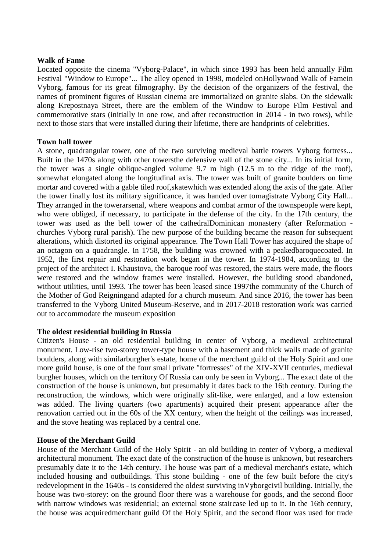#### **Walk of Fame**

Located opposite the cinema ["Vyborg-Palace",](https://ru.wikipedia.org/wiki/%D0%9D%D0%BE%D0%B2%D0%B0%D1%8F_%D1%80%D0%B0%D1%82%D1%83%D1%88%D0%B0_(%D0%92%D1%8B%D0%B1%D0%BE%D1%80%D0%B3)) in which since 1993 has been held annually [Film](https://ru.wikipedia.org/wiki/%D0%9E%D0%BA%D0%BD%D0%BE_%D0%B2_%D0%95%D0%B2%D1%80%D0%BE%D0%BF%D1%83_(%D0%BA%D0%B8%D0%BD%D0%BE%D1%84%D0%B5%D1%81%D1%82%D0%B8%D0%B2%D0%B0%D0%BB%D1%8C))  [Festival "Window to Europe".](https://ru.wikipedia.org/wiki/%D0%9E%D0%BA%D0%BD%D0%BE_%D0%B2_%D0%95%D0%B2%D1%80%D0%BE%D0%BF%D1%83_(%D0%BA%D0%B8%D0%BD%D0%BE%D1%84%D0%B5%D1%81%D1%82%D0%B8%D0%B2%D0%B0%D0%BB%D1%8C)).. The alley opened in 1998, modeled o[nHollywood Walk of Famei](https://ru.wikipedia.org/wiki/%D0%93%D0%BE%D0%BB%D0%BB%D0%B8%D0%B2%D1%83%D0%B4%D1%81%D0%BA%D0%B0%D1%8F_%C2%AB%D0%90%D0%BB%D0%BB%D0%B5%D1%8F_%D1%81%D0%BB%D0%B0%D0%B2%D1%8B%C2%BB)n Vyborg, famous for its great filmography. By the decision of the organizers of the festival, the names of prominent figures of Russian cinema are immortalized on granite slabs. On the sidewalk along Krepostnaya Street, there are the emblem of the Window to Europe Film Festival and commemorative stars (initially in one row, and after reconstruction in 2014 - in two rows), while next to those stars that were installed during their lifetime, there are handprints of celebrities.

## **Town hall tower**

A stone, quadrangular tower, one of the two surviving medieval battle towers [Vyborg fortress.](https://ru.wikipedia.org/wiki/%D0%92%D1%8B%D0%B1%D0%BE%D1%80%D0%B3%D1%81%D0%BA%D0%B0%D1%8F_%D0%BA%D1%80%D0%B5%D0%BF%D0%BE%D1%81%D1%82%D1%8C).. Built in the 1470s along with other tower[sthe defensive wall of the stone city.](https://ru.wikipedia.org/wiki/%D0%92%D1%8B%D0%B1%D0%BE%D1%80%D0%B3%D1%81%D0%BA%D0%B0%D1%8F_%D0%B3%D0%BE%D1%80%D0%BE%D0%B4%D1%81%D0%BA%D0%B0%D1%8F_%D1%81%D1%82%D0%B5%D0%BD%D0%B0).. In its initial form, the tower was a single oblique-angled volume 9.7 m high (12.5 m to the ridge of the roof), somewhat elongated along the longitudinal axis. The tower was built of granite boulders on lime mortar and covered with a gable tiled roof[,skatew](https://ru.wikipedia.org/wiki/%D0%9E%D1%85%D0%BB%D1%83%D0%BF%D0%B5%D0%BD%D1%8C)hich was extended along the axis of the gate. After the tower finally lost its military significance, it was handed over t[omagistrate](https://ru.wikipedia.org/wiki/%D0%9C%D0%B0%D0%B3%D0%B8%D1%81%D1%82%D1%80%D0%B0%D1%82) [Vyborg City Hall.](https://ru.wikipedia.org/wiki/%D0%92%D1%8B%D0%B1%D0%BE%D1%80%D0%B3%D1%81%D0%BA%D0%B0%D1%8F_%D1%80%D0%B0%D1%82%D1%83%D1%88%D0%B0).. They arranged in the towe[rarsenal,](https://ru.wikipedia.org/wiki/%D0%90%D1%80%D1%81%D0%B5%D0%BD%D0%B0%D0%BB) where weapons and combat armor of the townspeople were kept, who were obliged, if necessary, to participate in the defense of the city. In the 17th century, the tower was used as the bell tower of the cathedra[lDominican](https://ru.wikipedia.org/wiki/%D0%94%D0%BE%D0%BC%D0%B8%D0%BD%D0%B8%D0%BA%D0%B0%D0%BD%D1%86%D1%8B) monastery (after [Reformation](https://ru.wikipedia.org/wiki/%D0%A0%D0%B5%D1%84%D0%BE%D1%80%D0%BC%D0%B0%D1%86%D0%B8%D1%8F) churches [Vyborg rural parish\)](https://ru.wikipedia.org/wiki/%D0%92%D1%8B%D0%B1%D0%BE%D1%80%D0%B3%D1%81%D0%BA%D0%B8%D0%B9_%D1%81%D0%BE%D0%B1%D0%BE%D1%80_%D0%B4%D0%BE%D0%BC%D0%B8%D0%BD%D0%B8%D0%BA%D0%B0%D0%BD%D1%81%D0%BA%D0%BE%D0%B3%D0%BE_%D0%BC%D0%BE%D0%BD%D0%B0%D1%81%D1%82%D1%8B%D1%80%D1%8F). The new purpose of the building became the reason for subsequent alterations, which distorted its original appearance. The Town Hall Tower has acquired the shape of an octagon on a quadrangle. In 1758, the building was crowned with a peake[dbaroquec](https://ru.wikipedia.org/wiki/%D0%91%D0%B0%D1%80%D0%BE%D0%BA%D0%BA%D0%BE)oated. In 1952, the first repair and restoration work began in the tower. In 1974-1984, according to the project of the architect I. Khaustova, the baroque roof was restored, the stairs were made, the floors were restored and the window frames were installed. However, the building stood abandoned, without utilities, until 1993. The tower has been leased since 199[7the community of the Church of](https://ru.wikipedia.org/wiki/%D0%91%D0%BE%D0%B3%D0%BE%D1%80%D0%BE%D0%B4%D0%B8%D1%87%D0%BD%D1%8B%D0%B9_%D1%86%D0%B5%D0%BD%D1%82%D1%80)  [the Mother of God Reigninga](https://ru.wikipedia.org/wiki/%D0%91%D0%BE%D0%B3%D0%BE%D1%80%D0%BE%D0%B4%D0%B8%D1%87%D0%BD%D1%8B%D0%B9_%D1%86%D0%B5%D0%BD%D1%82%D1%80)nd adapted for a church museum. And since 2016, the tower has been transferred to the Vyborg United Museum-Reserve, and in 2017-2018 restoration work was carried out to accommodate the museum exposition

## **The oldest residential building in Russia**

Citizen's House - an old residential building in [center of Vyborg,](https://ru.wikipedia.org/wiki/%D0%A1%D1%82%D0%B0%D1%80%D1%8B%D0%B9_%D0%B3%D0%BE%D1%80%D0%BE%D0%B4_(%D0%92%D1%8B%D0%B1%D0%BE%D1%80%D0%B3)) a medieval architectural monument. Low-rise two-storey tower-type house with a basement and thick walls made of granite boulders, along with simila[rburgher's estate,](https://ru.wikipedia.org/wiki/%D0%A3%D1%81%D0%B0%D0%B4%D1%8C%D0%B1%D0%B0_%D0%B1%D1%8E%D1%80%D0%B3%D0%B5%D1%80%D0%B0) [home of the merchant guild of the Holy Spirit](https://ru.wikipedia.org/wiki/%D0%94%D0%BE%D0%BC_%D0%BA%D1%83%D0%BF%D0%B5%D1%87%D0%B5%D1%81%D0%BA%D0%BE%D0%B9_%D0%B3%D0%B8%D0%BB%D1%8C%D0%B4%D0%B8%D0%B8_%D0%A1%D0%B2%D1%8F%D1%82%D0%BE%D0%B3%D0%BE_%D0%94%D1%83%D1%85%D0%B0) and one more [guild house,](https://ru.wikipedia.org/wiki/%D0%93%D0%B8%D0%BB%D1%8C%D0%B4%D0%B5%D0%B9%D1%81%D0%BA%D0%B8%D0%B9_%D0%B4%D0%BE%D0%BC_(%D0%92%D1%8B%D0%B1%D0%BE%D1%80%D0%B3)) is one of the four small private "fortresses" of the XIV-XVII centuries, medieval burgher houses, which on the territory [Of Russia](https://ru.wikipedia.org/wiki/%D0%A0%D0%BE%D1%81%D1%81%D0%B8%D1%8F) can only be seen in [Vyborg.](https://ru.wikipedia.org/wiki/%D0%92%D1%8B%D0%B1%D0%BE%D1%80%D0%B3).. The exact date of the construction of the house is unknown, but presumably it dates back to the 16th century. During the reconstruction, the windows, which were originally slit-like, were enlarged, and a low extension was added. The living quarters (two apartments) acquired their present appearance after the renovation carried out in the 60s of the XX century, when the height of the ceilings was increased, and the stove heating was replaced by a central one.

## **House of the Merchant Guild**

House of the Merchant Guild of the Holy Spirit - an old building in [center of Vyborg,](https://ru.wikipedia.org/wiki/%D0%A1%D1%82%D0%B0%D1%80%D1%8B%D0%B9_%D0%B3%D0%BE%D1%80%D0%BE%D0%B4_(%D0%92%D1%8B%D0%B1%D0%BE%D1%80%D0%B3)) a medieval architectural monument. The exact date of the construction of the house is unknown, but researchers presumably date it to the 14th century. The house was part of a medieval merchant's estate, which included housing and outbuildings. This stone building - one of the few built before the city's redevelopment in the 1640s - is considered the oldest surviving i[nVyborgc](https://ru.wikipedia.org/wiki/%D0%92%D1%8B%D0%B1%D0%BE%D1%80%D0%B3)ivil building. Initially, the house was two-storey: on the ground floor there was a warehouse for goods, and the second floor with narrow windows was residential; an external stone staircase led up to it. In the 16th century, the house was acquire[dmerchant guild](https://ru.wikipedia.org/wiki/%D0%9A%D1%83%D0%BF%D0%B5%D1%87%D0%B5%D1%81%D0%BA%D0%B0%D1%8F_%D0%B3%D0%B8%D0%BB%D1%8C%D0%B4%D0%B8%D1%8F) [Of the Holy Spirit,](https://ru.wikipedia.org/wiki/%D0%A1%D0%B2%D1%8F%D1%82%D0%BE%D0%B9_%D0%94%D1%83%D1%85) and the second floor was used for trade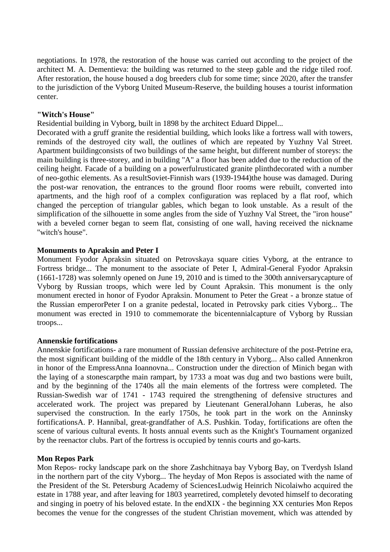negotiations. In 1978, the restoration of the house was carried out according to the project of the architect M. A. Dementieva: the building was returned to the steep gable and the ridge tiled roof. After restoration, the house housed a dog breeders club for some time; since 2020, after the transfer to the jurisdiction of the Vyborg United Museum-Reserve, the building houses a tourist information center.

## **"Witch's House"**

Residential building in [Vyborg,](https://ru.wikipedia.org/wiki/%D0%92%D1%8B%D0%B1%D0%BE%D1%80%D0%B3) built in 1898 by the architect [Eduard Dippel.](https://ru.wikipedia.org/wiki/%D0%94%D0%B8%D0%BF%D0%BF%D0%B5%D0%BB%D1%8C,_%D0%AD%D0%B4%D1%83%D0%B0%D1%80%D0%B4)..

Decorated with a gruff [granite](https://ru.wikipedia.org/wiki/%D0%93%D1%80%D0%B0%D0%BD%D0%B8%D1%82) the residential building, which looks like a fortress wall with towers, reminds of the destroyed city wall, the outlines of which are repeated by Yuzhny Val Street. [Apartment buildingc](https://ru.wikipedia.org/wiki/%D0%94%D0%BE%D1%85%D0%BE%D0%B4%D0%BD%D1%8B%D0%B9_%D0%B4%D0%BE%D0%BC)onsists of two buildings of the same height, but different number of storeys: the main building is three-storey, and in building "A" a floor has been added due to the reduction of the ceiling height. Facade of a building on a powerfu[lrusticated](https://ru.wikipedia.org/wiki/%D0%A0%D1%83%D1%81%D1%82%D0%B8%D0%BA%D0%B0) granite [plinthd](https://ru.wikipedia.org/wiki/%D0%A6%D0%BE%D0%BA%D0%BE%D0%BB%D1%8C)ecorated with a number of neo-gothic elements. As a resul[tSoviet-Finnish wars \(1939-1944\)t](https://ru.wikipedia.org/wiki/%D0%A1%D0%BE%D0%B2%D0%B5%D1%82%D1%81%D0%BA%D0%BE-%D1%84%D0%B8%D0%BD%D1%81%D0%BA%D0%B8%D0%B5_%D0%B2%D0%BE%D0%B9%D0%BD%D1%8B)he house was damaged. During the post-war renovation, the entrances to the ground floor rooms were rebuilt, converted into apartments, and the high roof of a complex configuration was replaced by a flat roof, which changed the perception of triangular gables, which began to look unstable. As a result of the simplification of the silhouette in some angles from the side of Yuzhny Val Street, the "iron house" with a beveled corner began to seem flat, consisting of one wall, having received the nickname "witch's house".

#### **Monuments to Apraksin and Peter I**

Monument [Fyodor Apraksin](https://ru.wikipedia.org/wiki/%D0%90%D0%BF%D1%80%D0%B0%D0%BA%D1%81%D0%B8%D0%BD,_%D0%A4%D1%91%D0%B4%D0%BE%D1%80_%D0%9C%D0%B0%D1%82%D0%B2%D0%B5%D0%B5%D0%B2%D0%B8%D1%87) situated on [Petrovskaya square](https://ru.wikipedia.org/wiki/%D0%9F%D0%B5%D1%82%D1%80%D0%BE%D0%B2%D1%81%D0%BA%D0%B0%D1%8F_%D0%BF%D0%BB%D0%BE%D1%89%D0%B0%D0%B4%D1%8C_(%D0%92%D1%8B%D0%B1%D0%BE%D1%80%D0%B3)) cities [Vyborg,](https://ru.wikipedia.org/wiki/%D0%92%D1%8B%D0%B1%D0%BE%D1%80%D0%B3) at the entrance to [Fortress bridge.](https://ru.wikipedia.org/wiki/%D0%9A%D1%80%D0%B5%D0%BF%D0%BE%D1%81%D1%82%D0%BD%D0%BE%D0%B9_%D0%BC%D0%BE%D1%81%D1%82_(%D0%92%D1%8B%D0%B1%D0%BE%D1%80%D0%B3)).. The monument to the associate of Peter I, Admiral-General Fyodor Apraksin (1661-1728) was solemnly opened on June 19, 2010 and is timed to the 300th anniversar[ycapture of](https://ru.wikipedia.org/wiki/%D0%9E%D1%81%D0%B0%D0%B4%D0%B0_%D0%92%D1%8B%D0%B1%D0%BE%D1%80%D0%B3%D0%B0_(1710))  [Vyborg by Russian troops,](https://ru.wikipedia.org/wiki/%D0%9E%D1%81%D0%B0%D0%B4%D0%B0_%D0%92%D1%8B%D0%B1%D0%BE%D1%80%D0%B3%D0%B0_(1710)) which were led by Count Apraksin. This monument is the only monument erected in honor of Fyodor Apraksin. Monument to Peter the Great - a bronze statue of the Russian empero[rPeter I](https://ru.wikipedia.org/wiki/%D0%9F%D1%91%D1%82%D1%80_I) on a granite pedestal, located in [Petrovsky park](https://ru.wikipedia.org/wiki/%D0%9F%D0%B5%D1%82%D1%80%D0%BE%D0%B2%D1%81%D0%BA%D0%B8%D0%B9_%D0%BF%D0%B0%D1%80%D0%BA_(%D0%92%D1%8B%D0%B1%D0%BE%D1%80%D0%B3)) cities [Vyborg.](https://ru.wikipedia.org/wiki/%D0%92%D1%8B%D0%B1%D0%BE%D1%80%D0%B3).. The monument was erected in 1910 to commemorate the bicentennia[lcapture of Vyborg by Russian](https://ru.wikipedia.org/wiki/%D0%9E%D1%81%D0%B0%D0%B4%D0%B0_%D0%92%D1%8B%D0%B1%D0%BE%D1%80%D0%B3%D0%B0_(1710))  [troops.](https://ru.wikipedia.org/wiki/%D0%9E%D1%81%D0%B0%D0%B4%D0%B0_%D0%92%D1%8B%D0%B1%D0%BE%D1%80%D0%B3%D0%B0_(1710))..

#### **Annenskie fortifications**

Annenskie fortifications- a rare monument of Russian defensive architecture of the post-Petrine era, the most significant building of the middle of the 18th century in [Vyborg.](https://ru.wikipedia.org/wiki/%D0%98%D1%81%D1%82%D0%BE%D1%80%D0%B8%D1%8F_%D0%92%D1%8B%D0%B1%D0%BE%D1%80%D0%B3%D0%B0).. Also called Annenkron in honor of the Empres[sAnna Ioannovna.](https://ru.wikipedia.org/wiki/%D0%90%D0%BD%D0%BD%D0%B0_%D0%98%D0%BE%D0%B0%D0%BD%D0%BD%D0%BE%D0%B2%D0%BD%D0%B0).. Construction under the direction of Minich began with the laying of a ston[escarpt](https://ru.wikipedia.org/wiki/%D0%AD%D1%81%D0%BA%D0%B0%D1%80%D0%BF)he main rampart, by 1733 a moat was dug and two bastions were built, and by the beginning of the 1740s all the main elements of the fortress were completed. The Russian-Swedish war of 1741 - 1743 required the strengthening of defensive structures and accelerated work. The project was prepared by Lieutenant Genera[lJohann Luberas,](https://ru.wikipedia.org/wiki/%D0%9B%D1%8E%D0%B1%D0%B5%D1%80%D0%B0%D1%81_%D1%84%D0%BE%D0%BD_%D0%9F%D0%BE%D1%82%D1%82,_%D0%98%D0%BE%D0%B3%D0%B0%D0%BD%D0%BD_%D0%9B%D1%8E%D0%B4%D0%B2%D0%B8%D0%B3) he also supervised the construction. In the early 1750s, he took part in the work on the Anninsky fortification[sA. P. Hannibal,](https://ru.wikipedia.org/wiki/%D0%93%D0%B0%D0%BD%D0%BD%D0%B8%D0%B1%D0%B0%D0%BB,_%D0%90%D0%B1%D1%80%D0%B0%D0%BC_%D0%9F%D0%B5%D1%82%D1%80%D0%BE%D0%B2%D0%B8%D1%87) great-grandfather of A.S. Pushkin. Today, fortifications are often the scene of various cultural events. It hosts annual events such as the Knight's Tournament organized by the reenactor clubs. Part of the fortress is occupied by tennis courts and go-karts.

## **Mon Repos Park**

Mon Repos- rocky [landscape park](https://ru.wikipedia.org/wiki/%D0%9F%D0%B5%D0%B9%D0%B7%D0%B0%D0%B6%D0%BD%D1%8B%D0%B9_%D0%BF%D0%B0%D1%80%D0%BA) on the shore [Zashchitnaya bay](https://ru.wikipedia.org/wiki/%D0%97%D0%B0%D1%89%D0%B8%D1%82%D0%BD%D0%B0%D1%8F) [Vyborg Bay,](https://ru.wikipedia.org/wiki/%D0%92%D1%8B%D0%B1%D0%BE%D1%80%D0%B3%D1%81%D0%BA%D0%B8%D0%B9_%D0%B7%D0%B0%D0%BB%D0%B8%D0%B2) on Tverdysh Island in the northern part of the city [Vyborg.](https://ru.wikipedia.org/wiki/%D0%92%D1%8B%D0%B1%D0%BE%D1%80%D0%B3).. The heyday of Mon Repos is associated with the name of the President of the St. Petersburg Academy of Science[sLudwig Heinrich Nicolaiw](https://ru.wikipedia.org/wiki/%D0%9D%D0%B8%D0%BA%D0%BE%D0%BB%D0%B0%D0%B8,_%D0%9B%D1%8E%D0%B4%D0%B2%D0%B8%D0%B3_%D0%93%D0%B5%D0%BD%D1%80%D0%B8%D1%85)ho acquired the estate in [1788 year,](https://ru.wikipedia.org/wiki/1788_%D0%B3%D0%BE%D0%B4) and after leaving for [1803 yearr](https://ru.wikipedia.org/wiki/1803_%D0%B3%D0%BE%D0%B4)etired, completely devoted himself to decorating and singing in poetry of his beloved estate. In the en[dXIX](https://ru.wikipedia.org/wiki/XIX_%D0%B2%D0%B5%D0%BA) - the beginning [XX centuries](https://ru.wikipedia.org/wiki/XX_%D0%B2%D0%B5%D0%BA) Mon Repos becomes the venue for the congresses of the student Christian movement, which was attended by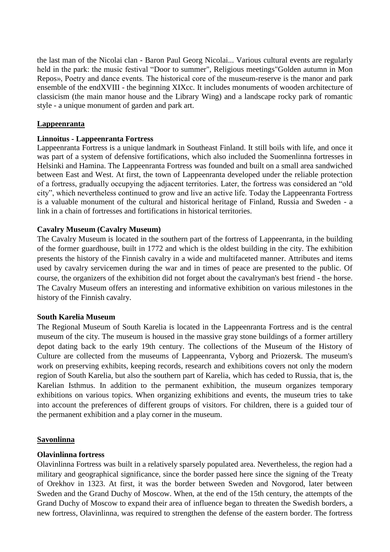the last man of the Nicolai clan - Baron [Paul Georg Nicolai.](https://ru.wikipedia.org/wiki/%D0%9D%D0%B8%D0%BA%D0%BE%D0%BB%D0%B0%D0%B8,_%D0%9F%D0%B0%D0%B2%D0%B5%D0%BB_%D0%9D%D0%B8%D0%BA%D0%BE%D0%BB%D0%B0%D0%B5%D0%B2%D0%B8%D1%87).. Various cultural events are regularly held in the park: the music festival ["Door to summer"](https://ru.wikipedia.org/w/index.php?title=%D0%94%D0%B2%D0%B5%D1%80%D1%8C_%D0%B2_%D0%BB%D0%B5%D1%82%D0%BE_(%D1%84%D0%B5%D1%81%D1%82%D0%B8%D0%B2%D0%B0%D0%BB%D1%8C)&action=edit&redlink=1), Religious meetings["Golden autumn in Mon](https://ru.wikipedia.org/w/index.php?title=%D0%97%D0%BE%D0%BB%D0%BE%D1%82%D0%B0%D1%8F_%D0%BE%D1%81%D0%B5%D0%BD%D1%8C_%D0%B2_%D0%9C%D0%BE%D0%BD%D1%80%D0%B5%D0%BF%D0%BE&action=edit&redlink=1)  [Repos»](https://ru.wikipedia.org/w/index.php?title=%D0%97%D0%BE%D0%BB%D0%BE%D1%82%D0%B0%D1%8F_%D0%BE%D1%81%D0%B5%D0%BD%D1%8C_%D0%B2_%D0%9C%D0%BE%D0%BD%D1%80%D0%B5%D0%BF%D0%BE&action=edit&redlink=1), Poetry and dance events. The historical core of the museum-reserve is the manor and park ensemble of the en[dXVIII](https://ru.wikipedia.org/wiki/XVIII_%D0%B2%D0%B5%D0%BA) - the beginning [XIXc](https://ru.wikipedia.org/wiki/XIX_%D0%B2%D0%B5%D0%BA)c. It includes monuments of wooden architecture of classicism (the main manor house and the Library Wing) and a landscape rocky park of romantic style - a unique monument of garden and park art.

# **Lappeenranta**

## **Linnoitus - Lappeenranta Fortress**

Lappeenranta Fortress is a unique landmark in Southeast Finland. It still boils with life, and once it was part of a system of defensive fortifications, which also included the Suomenlinna fortresses in Helsinki and Hamina. The Lappeenranta Fortress was founded and built on a small area sandwiched between East and West. At first, the town of Lappeenranta developed under the reliable protection of a fortress, gradually occupying the adjacent territories. Later, the fortress was considered an "old city", which nevertheless continued to grow and live an active life. Today the Lappeenranta Fortress is a valuable monument of the cultural and historical heritage of Finland, Russia and Sweden - a link in a chain of fortresses and fortifications in historical territories.

# **Cavalry Museum (Cavalry Museum)**

The Cavalry Museum is located in the southern part of the fortress of Lappeenranta, in the building of the former guardhouse, built in 1772 and which is the oldest building in the city. The exhibition presents the history of the Finnish cavalry in a wide and multifaceted manner. Attributes and items used by cavalry servicemen during the war and in times of peace are presented to the public. Of course, the organizers of the exhibition did not forget about the cavalryman's best friend - the horse. The Cavalry Museum offers an interesting and informative exhibition on various milestones in the history of the Finnish cavalry.

## **South Karelia Museum**

The Regional Museum of South Karelia is located in the Lappeenranta Fortress and is the central museum of the city. The museum is housed in the massive gray stone buildings of a former artillery depot dating back to the early 19th century. The collections of the Museum of the History of Culture are collected from the museums of Lappeenranta, Vyborg and Priozersk. The museum's work on preserving exhibits, keeping records, research and exhibitions covers not only the modern region of South Karelia, but also the southern part of Karelia, which has ceded to Russia, that is, the Karelian Isthmus. In addition to the permanent exhibition, the museum organizes temporary exhibitions on various topics. When organizing exhibitions and events, the museum tries to take into account the preferences of different groups of visitors. For children, there is a guided tour of the permanent exhibition and a play corner in the museum.

## **Savonlinna**

## **Olavinlinna fortress**

Olavinlinna Fortress was built in a relatively sparsely populated area. Nevertheless, the region had a military and geographical significance, since the border passed here since the signing of the Treaty of Orekhov in 1323. At first, it was the border between Sweden and Novgorod, later between Sweden and the Grand Duchy of Moscow. When, at the end of the 15th century, the attempts of the Grand Duchy of Moscow to expand their area of influence began to threaten the Swedish borders, a new fortress, Olavinlinna, was required to strengthen the defense of the eastern border. The fortress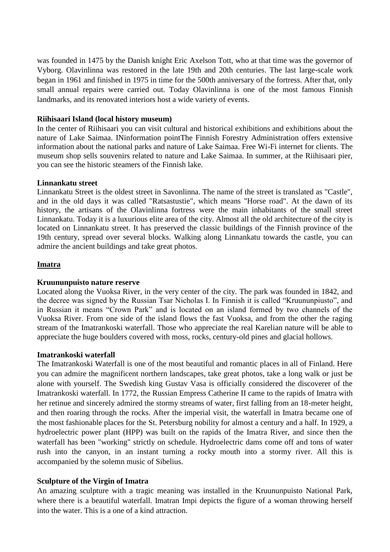was founded in 1475 by the Danish knight Eric Axelson Tott, who at that time was the governor of Vyborg. Olavinlinna was restored in the late 19th and 20th centuries. The last large-scale work began in 1961 and finished in 1975 in time for the 500th anniversary of the fortress. After that, only small annual repairs were carried out. Today Olavinlinna is one of the most famous Finnish landmarks, and its renovated interiors host a wide variety of events.

## **Riihisaari Island (local history museum)**

In the center of Riihisaari you can visit cultural and historical exhibitions and exhibitions about the nature of Lake Saimaa. I[Ninformation pointT](http://visitsavonlinna.fi/ru/)he Finnish Forestry Administration offers extensive information about the national parks and nature of Lake Saimaa. Free Wi-Fi internet for clients. The museum shop sells souvenirs related to nature and Lake Saimaa. In summer, at the Riihisaari pier, you can see the historic steamers of the Finnish lake.

## **Linnankatu street**

Linnankatu Street is the oldest street in Savonlinna. The name of the street is translated as "Castle", and in the old days it was called "Ratsastustie", which means "Horse road". At the dawn of its history, the artisans of the Olavinlinna fortress were the main inhabitants of the small street Linnankatu. Today it is a luxurious elite area of the city. Almost all the old architecture of the city is located on Linnankatu street. It has preserved the classic buildings of the Finnish province of the 19th century, spread over several blocks. Walking along Linnankatu towards the castle, you can admire the ancient buildings and take great photos.

# **Imatra**

## **Kruununpuisto nature reserve**

Located along the Vuoksa River, in the very center of the city. The park was founded in 1842, and the decree was signed by the Russian Tsar Nicholas I. In Finnish it is called "Kruununpiusto", and in Russian it means "Crown Park" and is located on an island formed by two channels of the Vuoksa River. From one side of the island flows the fast Vuoksa, and from the other the raging stream of the Imatrankoski waterfall. Those who appreciate the real Karelian nature will be able to appreciate the huge boulders covered with moss, rocks, century-old pines and glacial hollows.

## **Imatrankoski waterfall**

The Imatrankoski Waterfall is one of the most beautiful and romantic places in all of Finland. Here you can admire the magnificent northern landscapes, take great photos, take a long walk or just be alone with yourself. The Swedish king Gustav Vasa is officially considered the discoverer of the Imatrankoski waterfall. In 1772, the Russian Empress Catherine II came to the rapids of Imatra with her retinue and sincerely admired the stormy streams of water, first falling from an 18-meter height, and then roaring through the rocks. After the imperial visit, the waterfall in Imatra became one of the most fashionable places for the St. Petersburg nobility for almost a century and a half. In 1929, a hydroelectric power plant (HPP) was built on the rapids of the Imatra River, and since then the waterfall has been "working" strictly on schedule. Hydroelectric dams come off and tons of water rush into the canyon, in an instant turning a rocky mouth into a stormy river. All this is accompanied by the solemn music of Sibelius.

# **Sculpture of the Virgin of Imatra**

An amazing sculpture with a tragic meaning was installed in the Kruununpuisto National Park, where there is a beautiful waterfall. Imatran Impi depicts the figure of a woman throwing herself into the water. This is a one of a kind attraction.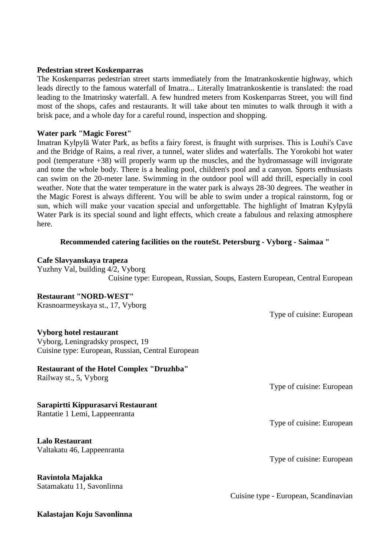#### **Pedestrian street Koskenparras**

The Koskenparras pedestrian street starts immediately from the Imatrankoskentie highway, which leads directly to the famous [waterfall of Imatra.](http://ru.esosedi.org/FI/13/1000172991/vodopad_imatrankoski/).. Literally Imatrankoskentie is translated: the road leading to the Imatrinsky waterfall. A few hundred meters from Koskenparras Street, you will find most of the shops, cafes and restaurants. It will take about ten minutes to walk through it with a brisk pace, and a whole day for a careful round, inspection and shopping.

#### **Water park "Magic Forest"**

Imatran Kylpylä Water Park, as befits a fairy forest, is fraught with surprises. This is Louhi's Cave and the Bridge of Rains, a real river, a tunnel, water slides and waterfalls. The Yorokobi hot water pool (temperature +38) will properly warm up the muscles, and the hydromassage will invigorate and tone the whole body. There is a healing pool, children's pool and a canyon. Sports enthusiasts can swim on the 20-meter lane. Swimming in the outdoor pool will add thrill, especially in cool weather. Note that the water temperature in the water park is always 28-30 degrees. The weather in the Magic Forest is always different. You will be able to swim under a tropical rainstorm, fog or sun, which will make your vacation special and unforgettable. The highlight of Imatran Kylpylä Water Park is its special sound and light effects, which create a fabulous and relaxing atmosphere here.

#### **Recommended catering facilities on the routeSt. Petersburg - Vyborg - Saimaa "**

#### **Cafe Slavyanskaya trapeza**

[Yuzhny Val, building 4/2, Vyborg](https://www.tripadvisor.ru/Restaurant_Review-g298511-d3582403-Reviews-Slavyanskaya_Trapeza-Vyborg_Vyborgsky_District_Leningrad_Oblast_Northwestern_Dist.html#MAPVIEW) Cuisine type: European, Russian, Soups, Eastern European, Central European

## **Restaurant "NORD-WEST"**

[Krasnoarmeyskaya st., 17, Vyborg](https://www.tripadvisor.ru/Restaurant_Review-g298511-d3761720-Reviews-Nord_West_Restaurant-Vyborg_Vyborgsky_District_Leningrad_Oblast_Northwestern_Dist.html#MAPVIEW)

Type of cuisine: European

## **Vyborg hotel restaurant**

Vyborg, Leningradsky prospect, 19 Cuisine type: European, Russian, Central European

## **Restaurant of the Hotel Complex "Druzhba"**

[Railway st., 5, Vyborg](https://www.tripadvisor.ru/Restaurant_Review-g298511-d3759170-Reviews-Hotel_Druzhba_Restaurant-Vyborg_Vyborgsky_District_Leningrad_Oblast_Northwestern_.html#MAPVIEW)

# **Sarapirtti Kippurasarvi Restaurant**

[Rantatie 1 Lemi, Lappeenranta](https://www.tripadvisor.ru/Restaurant_Review-g227603-d785313-Reviews-Sarapirtti_Kippurasarvi-Lappeenranta_South_Karelia.html#MAPVIEW)

**Lalo Restaurant** [Valtakatu 46, Lappeenranta](https://www.tripadvisor.ru/Restaurant_Review-g227603-d15003726-Reviews-Lalo-Lappeenranta_South_Karelia.html#MAPVIEW) 

**Ravintola Majakka** [Satamakatu 11, Savonlinna](https://www.tripadvisor.ru/Restaurant_Review-g189911-d1204012-Reviews-Ravintola_Majakka-Savonlinna_Southern_Savonia.html#MAPVIEW)

**Kalastajan Koju Savonlinna**

Type of cuisine: European

Type of cuisine: European

Type of cuisine: European

Cuisine type - European, Scandinavian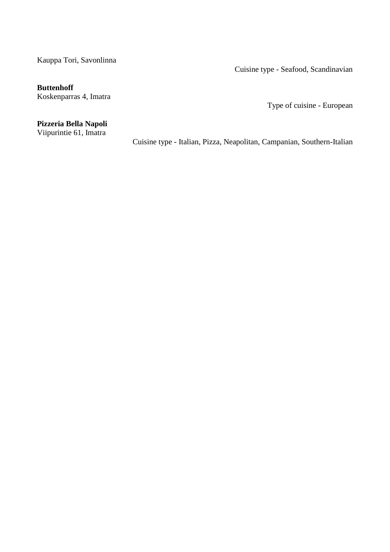[Kauppa Tori, Savonlinna](https://www.tripadvisor.ru/Restaurant_Review-g189911-d2351638-Reviews-Kalastajan_Koju_Savonlinna-Savonlinna_Southern_Savonia.html#MAPVIEW) 

Cuisine type - Seafood, Scandinavian

# **Buttenhoff**

[Koskenparras 4, Imatra](https://www.tripadvisor.ru/Restaurant_Review-g226905-d3846781-Reviews-Buttenhoff-Imatra_South_Karelia.html#MAPVIEW)

Type of cuisine - European

# **Pizzeria Bella Napoli**

[Viipurintie 61, Imatra](https://www.tripadvisor.ru/Restaurant_Review-g226905-d10400227-Reviews-Pizzeria_Bella_Napoli-Imatra_South_Karelia.html#MAPVIEW)

Cuisine type - Italian, Pizza, Neapolitan, Campanian, Southern-Italian